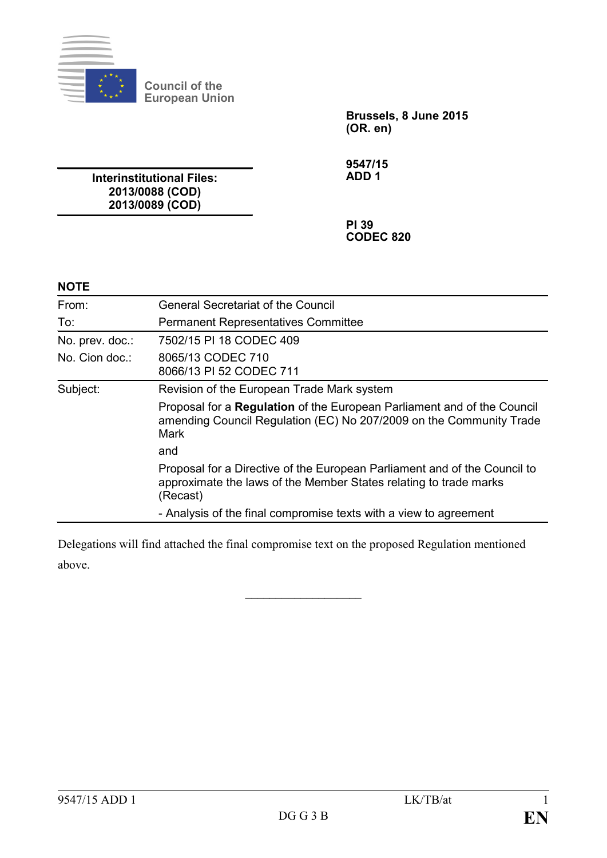

**Council of the European Union**

**Brussels, 8 June 2015 (OR. en)**

**Interinstitutional Files: 2013/0088 (COD) 2013/0089 (COD)**

**9547/15 ADD 1**

**PI 39 CODEC 820**

## **NOTE**

| From:           | <b>General Secretariat of the Council</b>                                                                                                                  |
|-----------------|------------------------------------------------------------------------------------------------------------------------------------------------------------|
| To:             | <b>Permanent Representatives Committee</b>                                                                                                                 |
| No. prev. doc.: | 7502/15 PI 18 CODEC 409                                                                                                                                    |
| No. Cion doc.:  | 8065/13 CODEC 710<br>8066/13 PI 52 CODEC 711                                                                                                               |
| Subject:        | Revision of the European Trade Mark system                                                                                                                 |
|                 | Proposal for a Regulation of the European Parliament and of the Council<br>amending Council Regulation (EC) No 207/2009 on the Community Trade<br>Mark     |
|                 | and                                                                                                                                                        |
|                 | Proposal for a Directive of the European Parliament and of the Council to<br>approximate the laws of the Member States relating to trade marks<br>(Recast) |
|                 | - Analysis of the final compromise texts with a view to agreement                                                                                          |

Delegations will find attached the final compromise text on the proposed Regulation mentioned above.

 $\mathcal{L}$  , we have the set of the set of the set of the set of the set of the set of the set of the set of the set of the set of the set of the set of the set of the set of the set of the set of the set of the set of the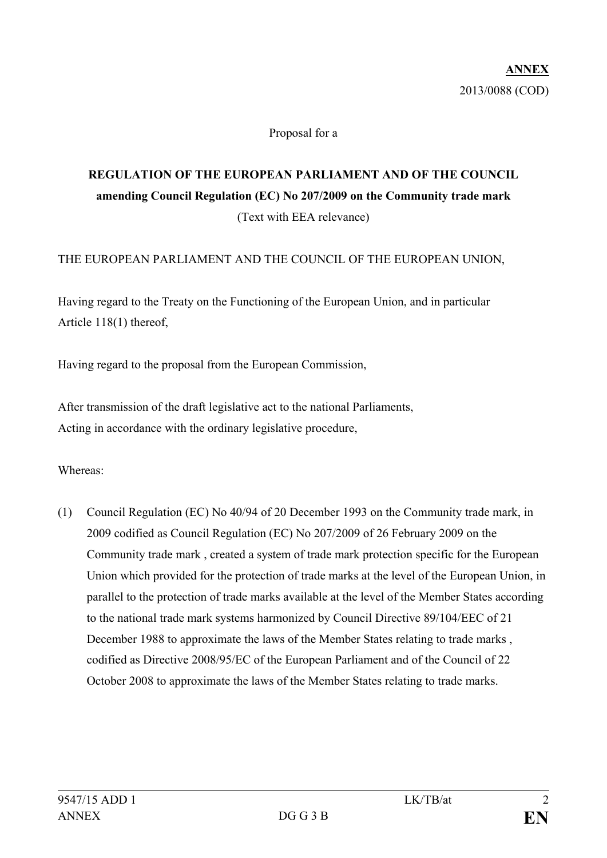#### Proposal for a

# **REGULATION OF THE EUROPEAN PARLIAMENT AND OF THE COUNCIL amending Council Regulation (EC) No 207/2009 on the Community trade mark** (Text with EEA relevance)

#### THE EUROPEAN PARLIAMENT AND THE COUNCIL OF THE EUROPEAN UNION,

Having regard to the Treaty on the Functioning of the European Union, and in particular Article 118(1) thereof,

Having regard to the proposal from the European Commission,

After transmission of the draft legislative act to the national Parliaments, Acting in accordance with the ordinary legislative procedure,

Whereas:

(1) Council Regulation (EC) No 40/94 of 20 December 1993 on the Community trade mark, in 2009 codified as Council Regulation (EC) No 207/2009 of 26 February 2009 on the Community trade mark , created a system of trade mark protection specific for the European Union which provided for the protection of trade marks at the level of the European Union, in parallel to the protection of trade marks available at the level of the Member States according to the national trade mark systems harmonized by Council Directive 89/104/EEC of 21 December 1988 to approximate the laws of the Member States relating to trade marks , codified as Directive 2008/95/EC of the European Parliament and of the Council of 22 October 2008 to approximate the laws of the Member States relating to trade marks.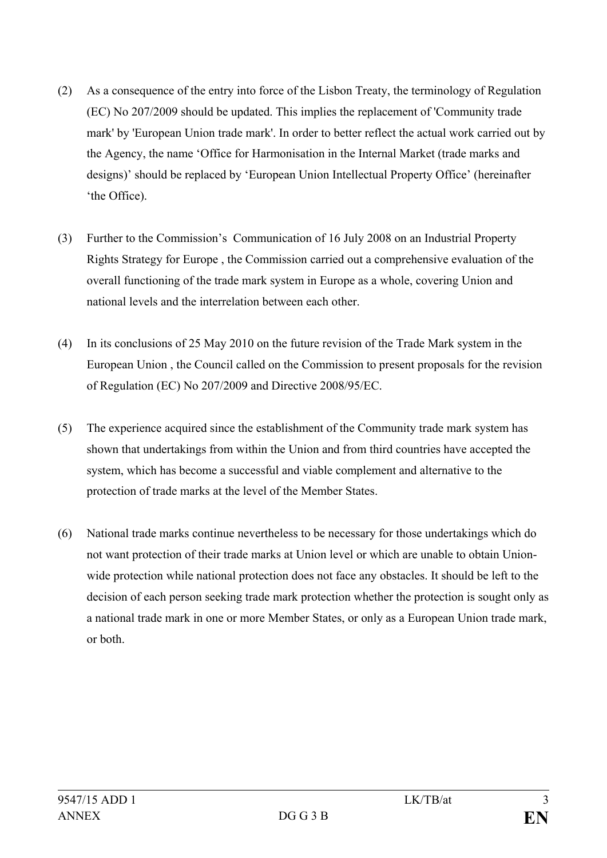- (2) As a consequence of the entry into force of the Lisbon Treaty, the terminology of Regulation (EC) No 207/2009 should be updated. This implies the replacement of 'Community trade mark' by 'European Union trade mark'. In order to better reflect the actual work carried out by the Agency, the name 'Office for Harmonisation in the Internal Market (trade marks and designs)' should be replaced by 'European Union Intellectual Property Office' (hereinafter 'the Office).
- (3) Further to the Commission's Communication of 16 July 2008 on an Industrial Property Rights Strategy for Europe , the Commission carried out a comprehensive evaluation of the overall functioning of the trade mark system in Europe as a whole, covering Union and national levels and the interrelation between each other.
- (4) In its conclusions of 25 May 2010 on the future revision of the Trade Mark system in the European Union , the Council called on the Commission to present proposals for the revision of Regulation (EC) No 207/2009 and Directive 2008/95/EC.
- (5) The experience acquired since the establishment of the Community trade mark system has shown that undertakings from within the Union and from third countries have accepted the system, which has become a successful and viable complement and alternative to the protection of trade marks at the level of the Member States.
- (6) National trade marks continue nevertheless to be necessary for those undertakings which do not want protection of their trade marks at Union level or which are unable to obtain Unionwide protection while national protection does not face any obstacles. It should be left to the decision of each person seeking trade mark protection whether the protection is sought only as a national trade mark in one or more Member States, or only as a European Union trade mark, or both.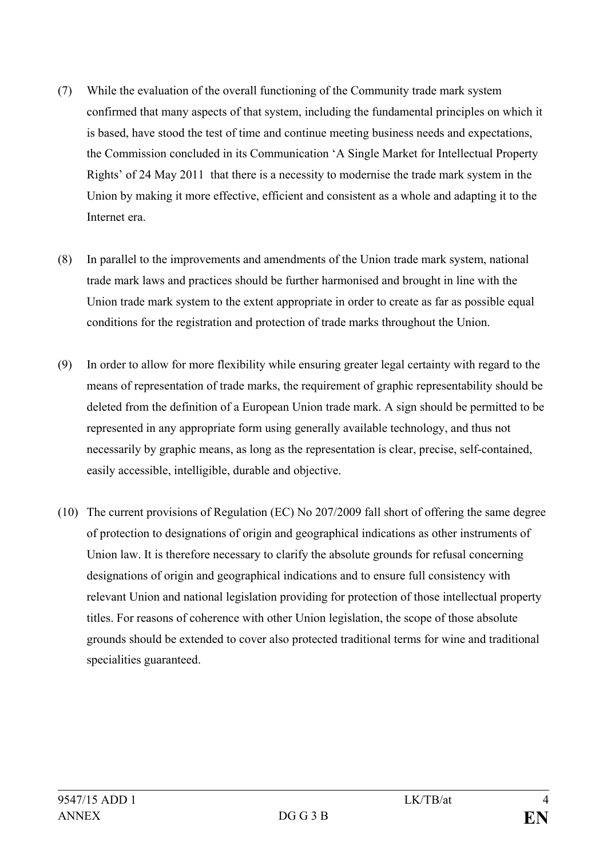- (7) While the evaluation of the overall functioning of the Community trade mark system confirmed that many aspects of that system, including the fundamental principles on which it is based, have stood the test of time and continue meeting business needs and expectations, the Commission concluded in its Communication 'A Single Market for Intellectual Property Rights' of 24 May 2011 that there is a necessity to modernise the trade mark system in the Union by making it more effective, efficient and consistent as a whole and adapting it to the Internet era.
- (8) In parallel to the improvements and amendments of the Union trade mark system, national trade mark laws and practices should be further harmonised and brought in line with the Union trade mark system to the extent appropriate in order to create as far as possible equal conditions for the registration and protection of trade marks throughout the Union.
- (9) In order to allow for more flexibility while ensuring greater legal certainty with regard to the means of representation of trade marks, the requirement of graphic representability should be deleted from the definition of a European Union trade mark. A sign should be permitted to be represented in any appropriate form using generally available technology, and thus not necessarily by graphic means, as long as the representation is clear, precise, self-contained, easily accessible, intelligible, durable and objective.
- (10) The current provisions of Regulation (EC) No 207/2009 fall short of offering the same degree of protection to designations of origin and geographical indications as other instruments of Union law. It is therefore necessary to clarify the absolute grounds for refusal concerning designations of origin and geographical indications and to ensure full consistency with relevant Union and national legislation providing for protection of those intellectual property titles. For reasons of coherence with other Union legislation, the scope of those absolute grounds should be extended to cover also protected traditional terms for wine and traditional specialities guaranteed.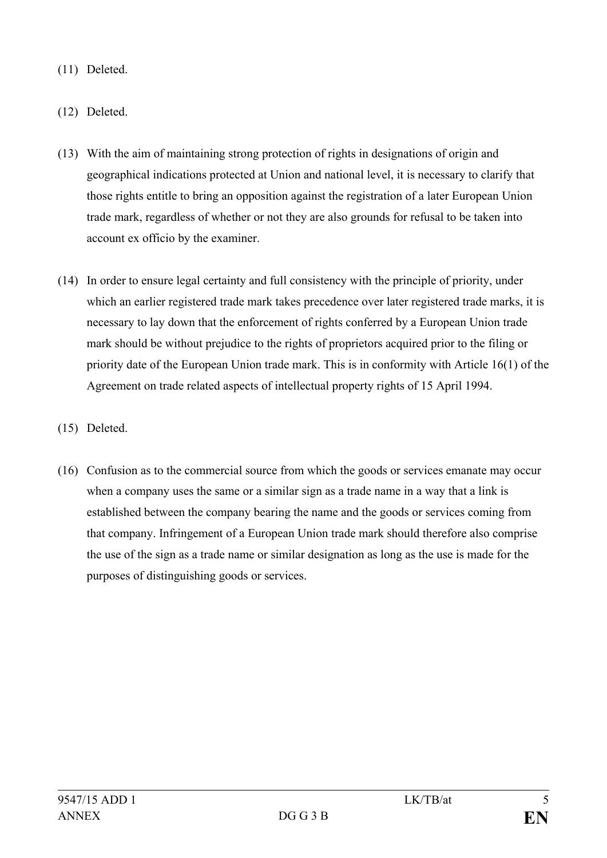- (11) Deleted.
- (12) Deleted.
- (13) With the aim of maintaining strong protection of rights in designations of origin and geographical indications protected at Union and national level, it is necessary to clarify that those rights entitle to bring an opposition against the registration of a later European Union trade mark, regardless of whether or not they are also grounds for refusal to be taken into account ex officio by the examiner.
- (14) In order to ensure legal certainty and full consistency with the principle of priority, under which an earlier registered trade mark takes precedence over later registered trade marks, it is necessary to lay down that the enforcement of rights conferred by a European Union trade mark should be without prejudice to the rights of proprietors acquired prior to the filing or priority date of the European Union trade mark. This is in conformity with Article 16(1) of the Agreement on trade related aspects of intellectual property rights of 15 April 1994.
- (15) Deleted.
- (16) Confusion as to the commercial source from which the goods or services emanate may occur when a company uses the same or a similar sign as a trade name in a way that a link is established between the company bearing the name and the goods or services coming from that company. Infringement of a European Union trade mark should therefore also comprise the use of the sign as a trade name or similar designation as long as the use is made for the purposes of distinguishing goods or services.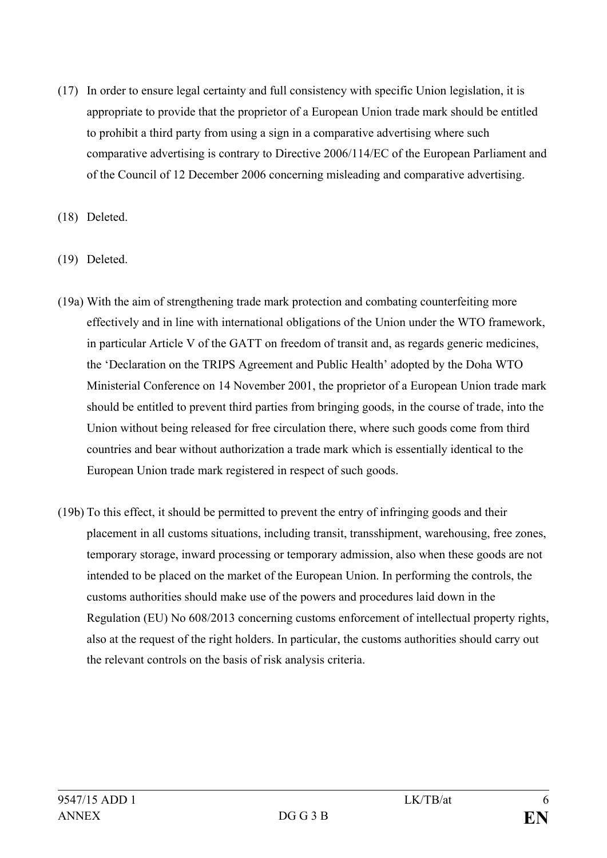(17) In order to ensure legal certainty and full consistency with specific Union legislation, it is appropriate to provide that the proprietor of a European Union trade mark should be entitled to prohibit a third party from using a sign in a comparative advertising where such comparative advertising is contrary to Directive 2006/114/EC of the European Parliament and of the Council of 12 December 2006 concerning misleading and comparative advertising.

(18) Deleted.

(19) Deleted.

- (19a) With the aim of strengthening trade mark protection and combating counterfeiting more effectively and in line with international obligations of the Union under the WTO framework, in particular Article V of the GATT on freedom of transit and, as regards generic medicines, the 'Declaration on the TRIPS Agreement and Public Health' adopted by the Doha WTO Ministerial Conference on 14 November 2001, the proprietor of a European Union trade mark should be entitled to prevent third parties from bringing goods, in the course of trade, into the Union without being released for free circulation there, where such goods come from third countries and bear without authorization a trade mark which is essentially identical to the European Union trade mark registered in respect of such goods.
- (19b) To this effect, it should be permitted to prevent the entry of infringing goods and their placement in all customs situations, including transit, transshipment, warehousing, free zones, temporary storage, inward processing or temporary admission, also when these goods are not intended to be placed on the market of the European Union. In performing the controls, the customs authorities should make use of the powers and procedures laid down in the Regulation (EU) No 608/2013 concerning customs enforcement of intellectual property rights, also at the request of the right holders. In particular, the customs authorities should carry out the relevant controls on the basis of risk analysis criteria.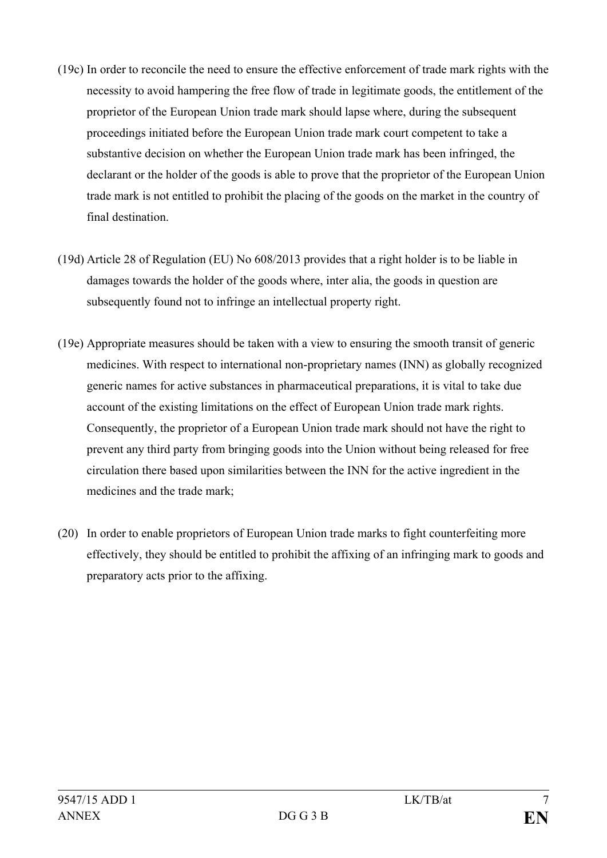- (19c) In order to reconcile the need to ensure the effective enforcement of trade mark rights with the necessity to avoid hampering the free flow of trade in legitimate goods, the entitlement of the proprietor of the European Union trade mark should lapse where, during the subsequent proceedings initiated before the European Union trade mark court competent to take a substantive decision on whether the European Union trade mark has been infringed, the declarant or the holder of the goods is able to prove that the proprietor of the European Union trade mark is not entitled to prohibit the placing of the goods on the market in the country of final destination.
- (19d) Article 28 of Regulation (EU) No 608/2013 provides that a right holder is to be liable in damages towards the holder of the goods where, inter alia, the goods in question are subsequently found not to infringe an intellectual property right.
- (19e) Appropriate measures should be taken with a view to ensuring the smooth transit of generic medicines. With respect to international non-proprietary names (INN) as globally recognized generic names for active substances in pharmaceutical preparations, it is vital to take due account of the existing limitations on the effect of European Union trade mark rights. Consequently, the proprietor of a European Union trade mark should not have the right to prevent any third party from bringing goods into the Union without being released for free circulation there based upon similarities between the INN for the active ingredient in the medicines and the trade mark;
- (20) In order to enable proprietors of European Union trade marks to fight counterfeiting more effectively, they should be entitled to prohibit the affixing of an infringing mark to goods and preparatory acts prior to the affixing.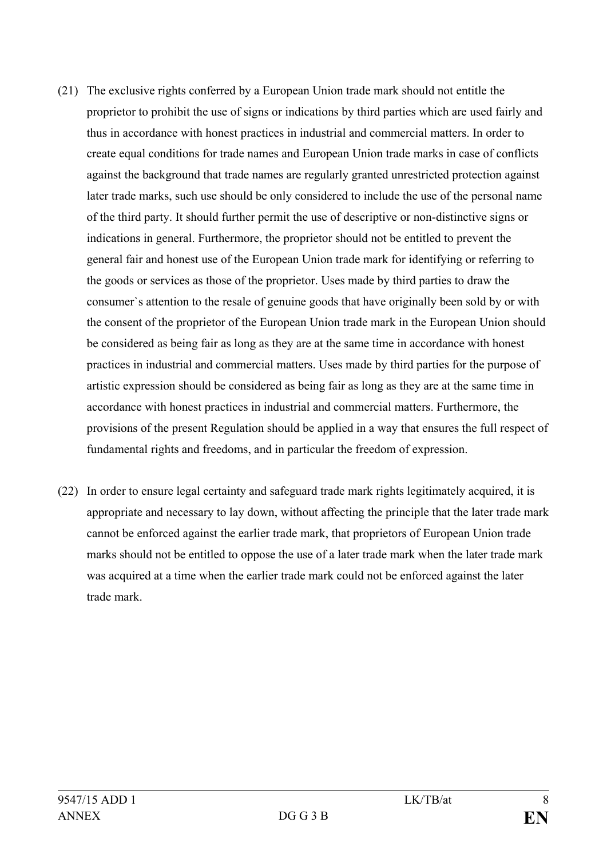- (21) The exclusive rights conferred by a European Union trade mark should not entitle the proprietor to prohibit the use of signs or indications by third parties which are used fairly and thus in accordance with honest practices in industrial and commercial matters. In order to create equal conditions for trade names and European Union trade marks in case of conflicts against the background that trade names are regularly granted unrestricted protection against later trade marks, such use should be only considered to include the use of the personal name of the third party. It should further permit the use of descriptive or non-distinctive signs or indications in general. Furthermore, the proprietor should not be entitled to prevent the general fair and honest use of the European Union trade mark for identifying or referring to the goods or services as those of the proprietor. Uses made by third parties to draw the consumer`s attention to the resale of genuine goods that have originally been sold by or with the consent of the proprietor of the European Union trade mark in the European Union should be considered as being fair as long as they are at the same time in accordance with honest practices in industrial and commercial matters. Uses made by third parties for the purpose of artistic expression should be considered as being fair as long as they are at the same time in accordance with honest practices in industrial and commercial matters. Furthermore, the provisions of the present Regulation should be applied in a way that ensures the full respect of fundamental rights and freedoms, and in particular the freedom of expression.
- (22) In order to ensure legal certainty and safeguard trade mark rights legitimately acquired, it is appropriate and necessary to lay down, without affecting the principle that the later trade mark cannot be enforced against the earlier trade mark, that proprietors of European Union trade marks should not be entitled to oppose the use of a later trade mark when the later trade mark was acquired at a time when the earlier trade mark could not be enforced against the later trade mark.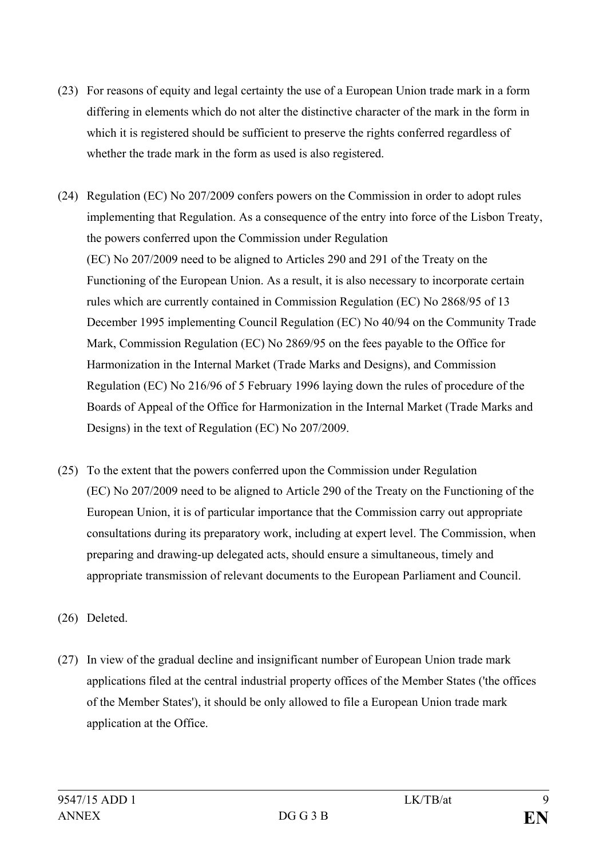- (23) For reasons of equity and legal certainty the use of a European Union trade mark in a form differing in elements which do not alter the distinctive character of the mark in the form in which it is registered should be sufficient to preserve the rights conferred regardless of whether the trade mark in the form as used is also registered.
- (24) Regulation (EC) No 207/2009 confers powers on the Commission in order to adopt rules implementing that Regulation. As a consequence of the entry into force of the Lisbon Treaty, the powers conferred upon the Commission under Regulation (EC) No 207/2009 need to be aligned to Articles 290 and 291 of the Treaty on the Functioning of the European Union. As a result, it is also necessary to incorporate certain rules which are currently contained in Commission Regulation (EC) No 2868/95 of 13 December 1995 implementing Council Regulation (EC) No 40/94 on the Community Trade Mark, Commission Regulation (EC) No 2869/95 on the fees payable to the Office for Harmonization in the Internal Market (Trade Marks and Designs), and Commission Regulation (EC) No 216/96 of 5 February 1996 laying down the rules of procedure of the Boards of Appeal of the Office for Harmonization in the Internal Market (Trade Marks and Designs) in the text of Regulation (EC) No 207/2009.
- (25) To the extent that the powers conferred upon the Commission under Regulation (EC) No 207/2009 need to be aligned to Article 290 of the Treaty on the Functioning of the European Union, it is of particular importance that the Commission carry out appropriate consultations during its preparatory work, including at expert level. The Commission, when preparing and drawing-up delegated acts, should ensure a simultaneous, timely and appropriate transmission of relevant documents to the European Parliament and Council.
- (26) Deleted.
- (27) In view of the gradual decline and insignificant number of European Union trade mark applications filed at the central industrial property offices of the Member States ('the offices of the Member States'), it should be only allowed to file a European Union trade mark application at the Office.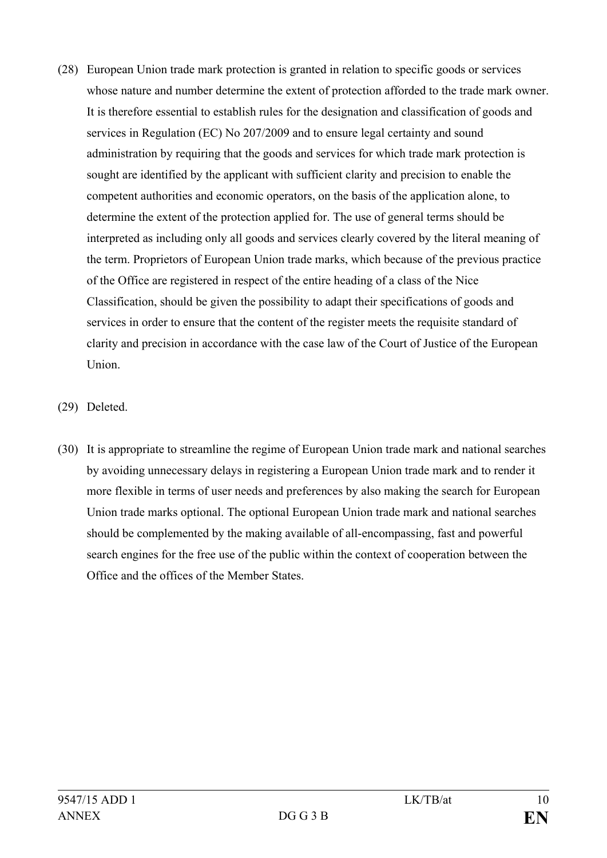- (28) European Union trade mark protection is granted in relation to specific goods or services whose nature and number determine the extent of protection afforded to the trade mark owner. It is therefore essential to establish rules for the designation and classification of goods and services in Regulation (EC) No 207/2009 and to ensure legal certainty and sound administration by requiring that the goods and services for which trade mark protection is sought are identified by the applicant with sufficient clarity and precision to enable the competent authorities and economic operators, on the basis of the application alone, to determine the extent of the protection applied for. The use of general terms should be interpreted as including only all goods and services clearly covered by the literal meaning of the term. Proprietors of European Union trade marks, which because of the previous practice of the Office are registered in respect of the entire heading of a class of the Nice Classification, should be given the possibility to adapt their specifications of goods and services in order to ensure that the content of the register meets the requisite standard of clarity and precision in accordance with the case law of the Court of Justice of the European Union.
- (29) Deleted.
- (30) It is appropriate to streamline the regime of European Union trade mark and national searches by avoiding unnecessary delays in registering a European Union trade mark and to render it more flexible in terms of user needs and preferences by also making the search for European Union trade marks optional. The optional European Union trade mark and national searches should be complemented by the making available of all-encompassing, fast and powerful search engines for the free use of the public within the context of cooperation between the Office and the offices of the Member States.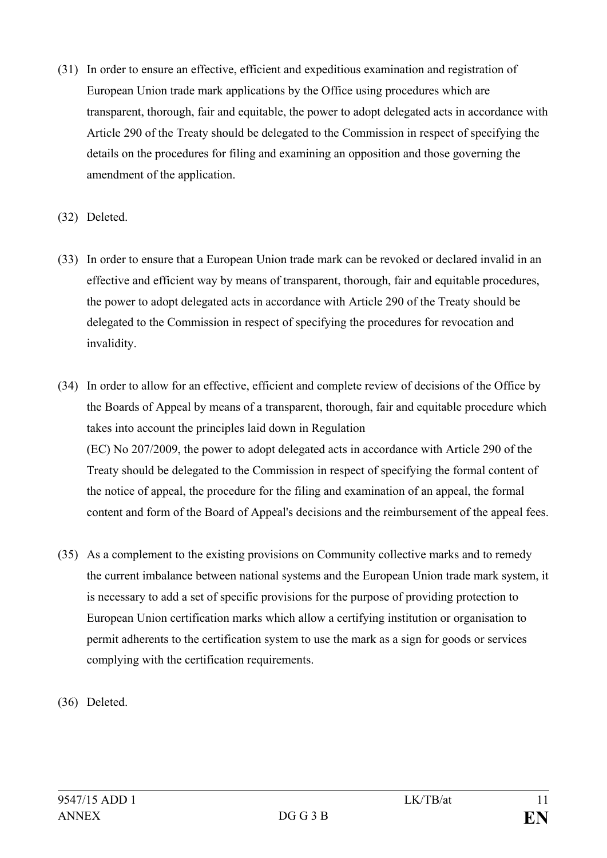- (31) In order to ensure an effective, efficient and expeditious examination and registration of European Union trade mark applications by the Office using procedures which are transparent, thorough, fair and equitable, the power to adopt delegated acts in accordance with Article 290 of the Treaty should be delegated to the Commission in respect of specifying the details on the procedures for filing and examining an opposition and those governing the amendment of the application.
- (32) Deleted.
- (33) In order to ensure that a European Union trade mark can be revoked or declared invalid in an effective and efficient way by means of transparent, thorough, fair and equitable procedures, the power to adopt delegated acts in accordance with Article 290 of the Treaty should be delegated to the Commission in respect of specifying the procedures for revocation and invalidity.
- (34) In order to allow for an effective, efficient and complete review of decisions of the Office by the Boards of Appeal by means of a transparent, thorough, fair and equitable procedure which takes into account the principles laid down in Regulation (EC) No 207/2009, the power to adopt delegated acts in accordance with Article 290 of the Treaty should be delegated to the Commission in respect of specifying the formal content of the notice of appeal, the procedure for the filing and examination of an appeal, the formal content and form of the Board of Appeal's decisions and the reimbursement of the appeal fees.
- (35) As a complement to the existing provisions on Community collective marks and to remedy the current imbalance between national systems and the European Union trade mark system, it is necessary to add a set of specific provisions for the purpose of providing protection to European Union certification marks which allow a certifying institution or organisation to permit adherents to the certification system to use the mark as a sign for goods or services complying with the certification requirements.
- (36) Deleted.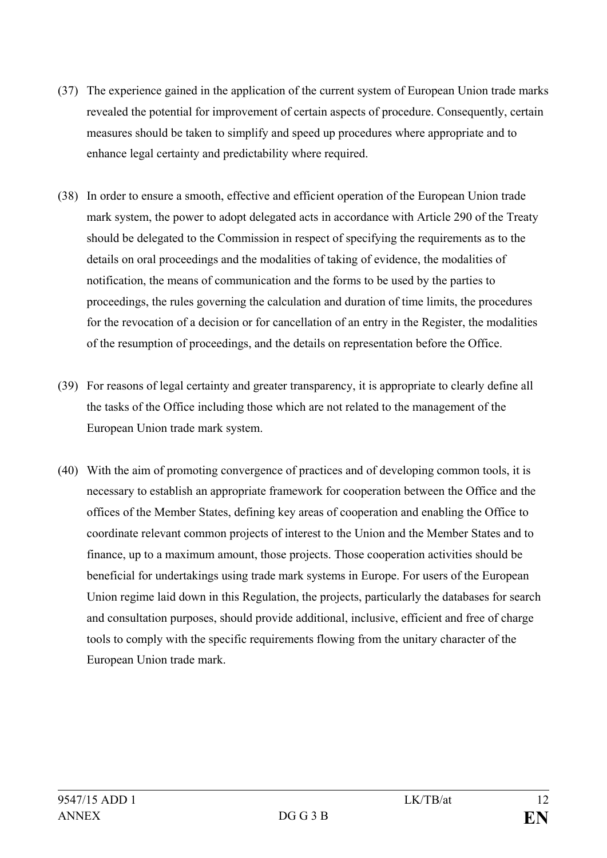- (37) The experience gained in the application of the current system of European Union trade marks revealed the potential for improvement of certain aspects of procedure. Consequently, certain measures should be taken to simplify and speed up procedures where appropriate and to enhance legal certainty and predictability where required.
- (38) In order to ensure a smooth, effective and efficient operation of the European Union trade mark system, the power to adopt delegated acts in accordance with Article 290 of the Treaty should be delegated to the Commission in respect of specifying the requirements as to the details on oral proceedings and the modalities of taking of evidence, the modalities of notification, the means of communication and the forms to be used by the parties to proceedings, the rules governing the calculation and duration of time limits, the procedures for the revocation of a decision or for cancellation of an entry in the Register, the modalities of the resumption of proceedings, and the details on representation before the Office.
- (39) For reasons of legal certainty and greater transparency, it is appropriate to clearly define all the tasks of the Office including those which are not related to the management of the European Union trade mark system.
- (40) With the aim of promoting convergence of practices and of developing common tools, it is necessary to establish an appropriate framework for cooperation between the Office and the offices of the Member States, defining key areas of cooperation and enabling the Office to coordinate relevant common projects of interest to the Union and the Member States and to finance, up to a maximum amount, those projects. Those cooperation activities should be beneficial for undertakings using trade mark systems in Europe. For users of the European Union regime laid down in this Regulation, the projects, particularly the databases for search and consultation purposes, should provide additional, inclusive, efficient and free of charge tools to comply with the specific requirements flowing from the unitary character of the European Union trade mark.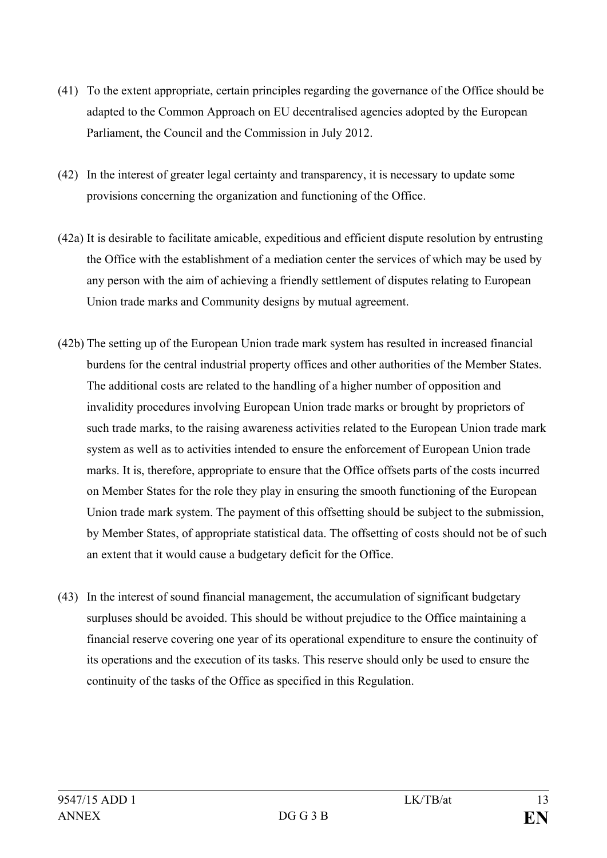- (41) To the extent appropriate, certain principles regarding the governance of the Office should be adapted to the Common Approach on EU decentralised agencies adopted by the European Parliament, the Council and the Commission in July 2012.
- (42) In the interest of greater legal certainty and transparency, it is necessary to update some provisions concerning the organization and functioning of the Office.
- (42a) It is desirable to facilitate amicable, expeditious and efficient dispute resolution by entrusting the Office with the establishment of a mediation center the services of which may be used by any person with the aim of achieving a friendly settlement of disputes relating to European Union trade marks and Community designs by mutual agreement.
- (42b) The setting up of the European Union trade mark system has resulted in increased financial burdens for the central industrial property offices and other authorities of the Member States. The additional costs are related to the handling of a higher number of opposition and invalidity procedures involving European Union trade marks or brought by proprietors of such trade marks, to the raising awareness activities related to the European Union trade mark system as well as to activities intended to ensure the enforcement of European Union trade marks. It is, therefore, appropriate to ensure that the Office offsets parts of the costs incurred on Member States for the role they play in ensuring the smooth functioning of the European Union trade mark system. The payment of this offsetting should be subject to the submission, by Member States, of appropriate statistical data. The offsetting of costs should not be of such an extent that it would cause a budgetary deficit for the Office.
- (43) In the interest of sound financial management, the accumulation of significant budgetary surpluses should be avoided. This should be without prejudice to the Office maintaining a financial reserve covering one year of its operational expenditure to ensure the continuity of its operations and the execution of its tasks. This reserve should only be used to ensure the continuity of the tasks of the Office as specified in this Regulation.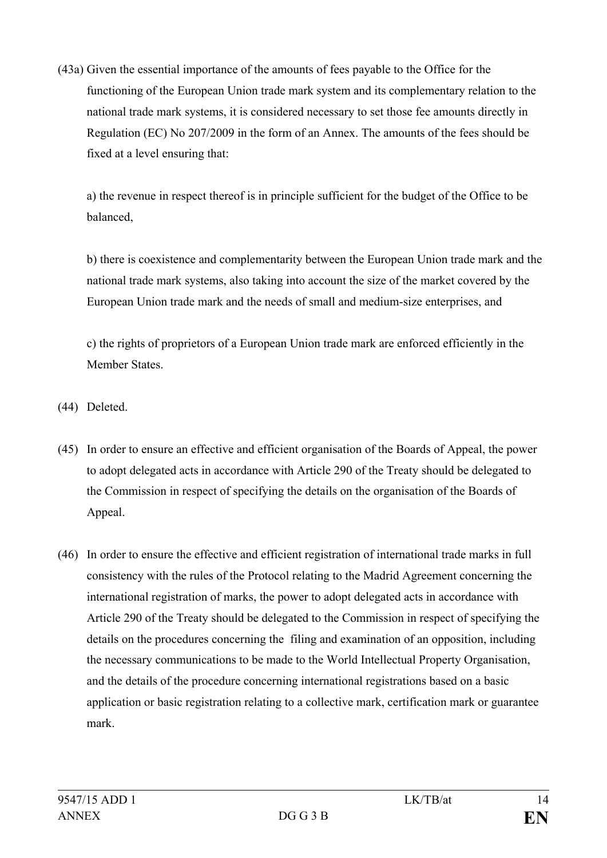(43a) Given the essential importance of the amounts of fees payable to the Office for the functioning of the European Union trade mark system and its complementary relation to the national trade mark systems, it is considered necessary to set those fee amounts directly in Regulation (EC) No 207/2009 in the form of an Annex. The amounts of the fees should be fixed at a level ensuring that:

a) the revenue in respect thereof is in principle sufficient for the budget of the Office to be balanced,

b) there is coexistence and complementarity between the European Union trade mark and the national trade mark systems, also taking into account the size of the market covered by the European Union trade mark and the needs of small and medium-size enterprises, and

c) the rights of proprietors of a European Union trade mark are enforced efficiently in the Member States.

- (44) Deleted.
- (45) In order to ensure an effective and efficient organisation of the Boards of Appeal, the power to adopt delegated acts in accordance with Article 290 of the Treaty should be delegated to the Commission in respect of specifying the details on the organisation of the Boards of Appeal.
- (46) In order to ensure the effective and efficient registration of international trade marks in full consistency with the rules of the Protocol relating to the Madrid Agreement concerning the international registration of marks, the power to adopt delegated acts in accordance with Article 290 of the Treaty should be delegated to the Commission in respect of specifying the details on the procedures concerning the filing and examination of an opposition, including the necessary communications to be made to the World Intellectual Property Organisation, and the details of the procedure concerning international registrations based on a basic application or basic registration relating to a collective mark, certification mark or guarantee mark.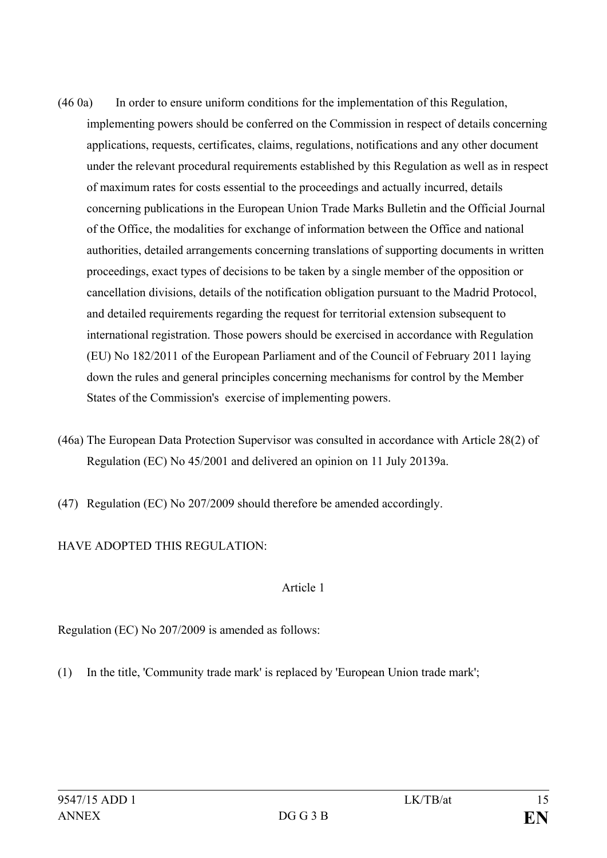- (46 0a) In order to ensure uniform conditions for the implementation of this Regulation, implementing powers should be conferred on the Commission in respect of details concerning applications, requests, certificates, claims, regulations, notifications and any other document under the relevant procedural requirements established by this Regulation as well as in respect of maximum rates for costs essential to the proceedings and actually incurred, details concerning publications in the European Union Trade Marks Bulletin and the Official Journal of the Office, the modalities for exchange of information between the Office and national authorities, detailed arrangements concerning translations of supporting documents in written proceedings, exact types of decisions to be taken by a single member of the opposition or cancellation divisions, details of the notification obligation pursuant to the Madrid Protocol, and detailed requirements regarding the request for territorial extension subsequent to international registration. Those powers should be exercised in accordance with Regulation (EU) No 182/2011 of the European Parliament and of the Council of February 2011 laying down the rules and general principles concerning mechanisms for control by the Member States of the Commission's exercise of implementing powers.
- (46a) The European Data Protection Supervisor was consulted in accordance with Article 28(2) of Regulation (EC) No 45/2001 and delivered an opinion on 11 July 20139a.
- (47) Regulation (EC) No 207/2009 should therefore be amended accordingly.

# HAVE ADOPTED THIS REGULATION:

#### Article 1

Regulation (EC) No 207/2009 is amended as follows:

(1) In the title, 'Community trade mark' is replaced by 'European Union trade mark';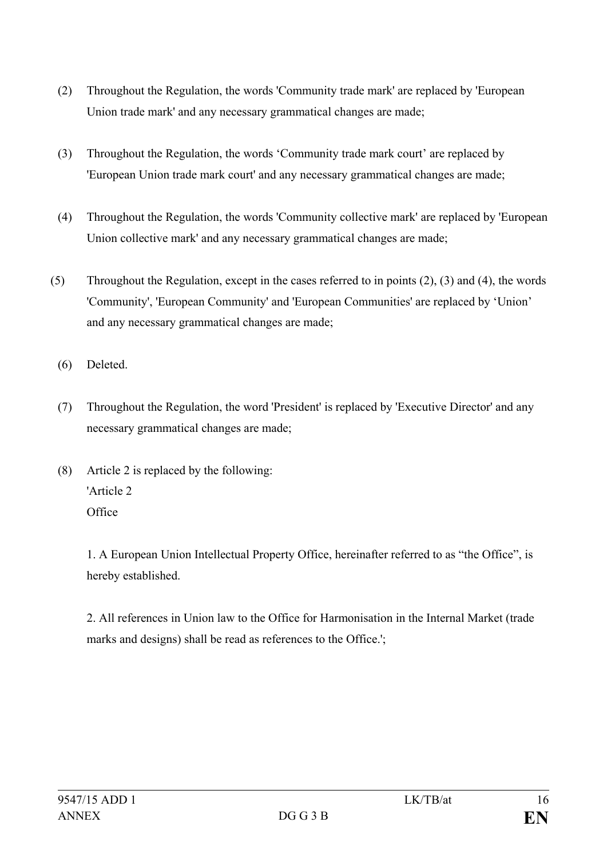- (2) Throughout the Regulation, the words 'Community trade mark' are replaced by 'European Union trade mark' and any necessary grammatical changes are made;
- (3) Throughout the Regulation, the words 'Community trade mark court' are replaced by 'European Union trade mark court' and any necessary grammatical changes are made;
- (4) Throughout the Regulation, the words 'Community collective mark' are replaced by 'European Union collective mark' and any necessary grammatical changes are made;
- (5) Throughout the Regulation, except in the cases referred to in points (2), (3) and (4), the words 'Community', 'European Community' and 'European Communities' are replaced by 'Union' and any necessary grammatical changes are made;
	- (6) Deleted.
	- (7) Throughout the Regulation, the word 'President' is replaced by 'Executive Director' and any necessary grammatical changes are made;
	- (8) Article 2 is replaced by the following: 'Article 2 **Office**

1. A European Union Intellectual Property Office, hereinafter referred to as "the Office", is hereby established.

2. All references in Union law to the Office for Harmonisation in the Internal Market (trade marks and designs) shall be read as references to the Office.';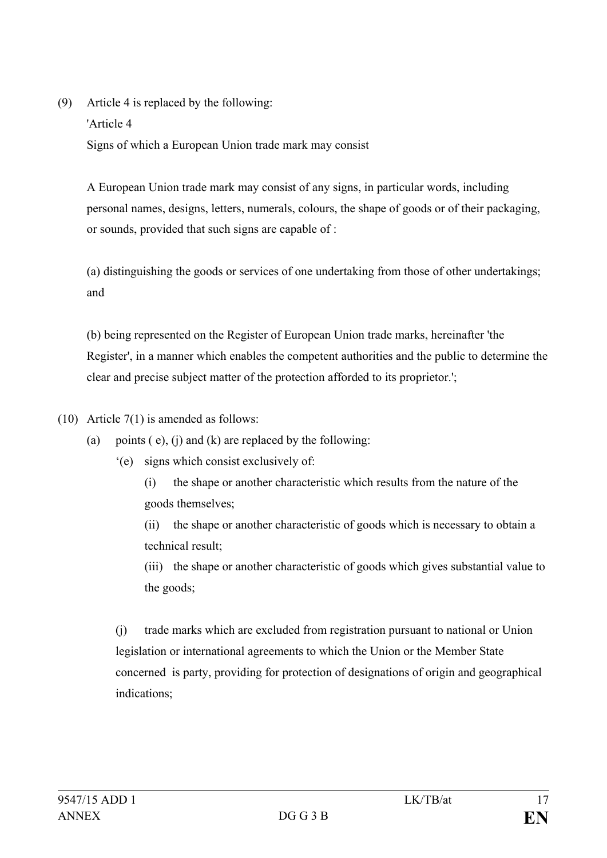(9) Article 4 is replaced by the following: 'Article 4 Signs of which a European Union trade mark may consist

A European Union trade mark may consist of any signs, in particular words, including personal names, designs, letters, numerals, colours, the shape of goods or of their packaging, or sounds, provided that such signs are capable of :

(a) distinguishing the goods or services of one undertaking from those of other undertakings; and

(b) being represented on the Register of European Union trade marks, hereinafter 'the Register', in a manner which enables the competent authorities and the public to determine the clear and precise subject matter of the protection afforded to its proprietor.';

- (10) Article 7(1) is amended as follows:
	- (a) points  $(e)$ ,  $(i)$  and  $(k)$  are replaced by the following:
		- '(e) signs which consist exclusively of:

(i) the shape or another characteristic which results from the nature of the goods themselves;

(ii) the shape or another characteristic of goods which is necessary to obtain a technical result;

(iii) the shape or another characteristic of goods which gives substantial value to the goods;

(j) trade marks which are excluded from registration pursuant to national or Union legislation or international agreements to which the Union or the Member State concerned is party, providing for protection of designations of origin and geographical indications;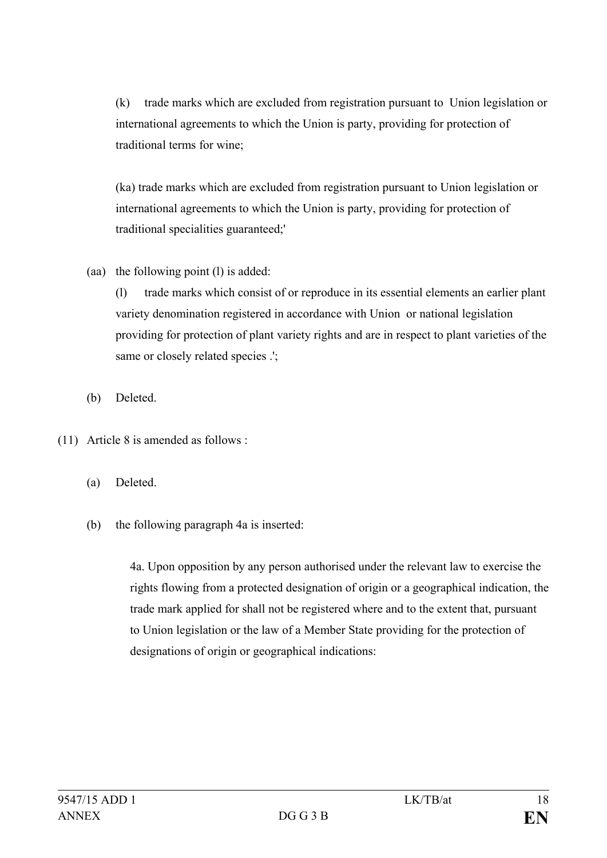(k) trade marks which are excluded from registration pursuant to Union legislation or international agreements to which the Union is party, providing for protection of traditional terms for wine;

(ka) trade marks which are excluded from registration pursuant to Union legislation or international agreements to which the Union is party, providing for protection of traditional specialities guaranteed;'

(aa) the following point (l) is added:

(l) trade marks which consist of or reproduce in its essential elements an earlier plant variety denomination registered in accordance with Union or national legislation providing for protection of plant variety rights and are in respect to plant varieties of the same or closely related species .';

- (b) Deleted.
- (11) Article 8 is amended as follows :
	- (a) Deleted.
	- (b) the following paragraph 4a is inserted:

4a. Upon opposition by any person authorised under the relevant law to exercise the rights flowing from a protected designation of origin or a geographical indication, the trade mark applied for shall not be registered where and to the extent that, pursuant to Union legislation or the law of a Member State providing for the protection of designations of origin or geographical indications: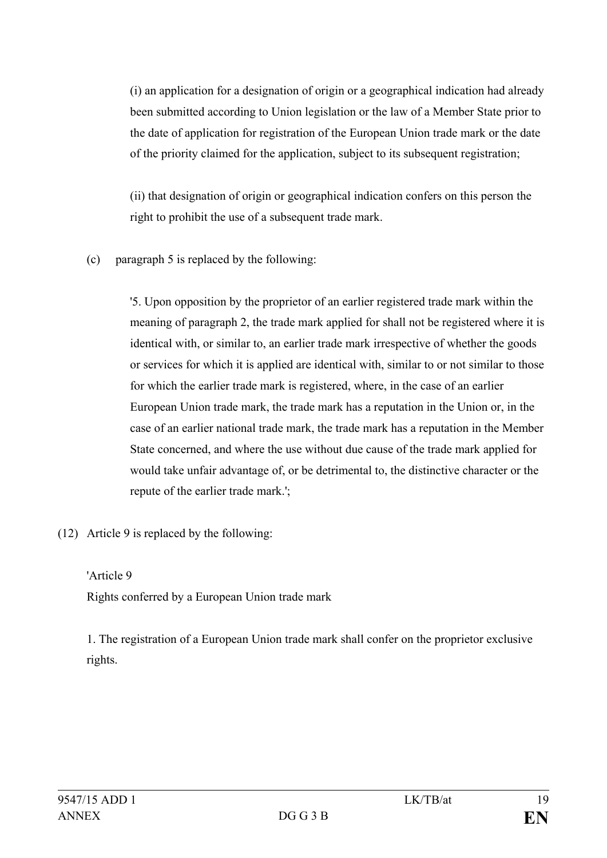(i) an application for a designation of origin or a geographical indication had already been submitted according to Union legislation or the law of a Member State prior to the date of application for registration of the European Union trade mark or the date of the priority claimed for the application, subject to its subsequent registration;

(ii) that designation of origin or geographical indication confers on this person the right to prohibit the use of a subsequent trade mark.

(c) paragraph 5 is replaced by the following:

'5. Upon opposition by the proprietor of an earlier registered trade mark within the meaning of paragraph 2, the trade mark applied for shall not be registered where it is identical with, or similar to, an earlier trade mark irrespective of whether the goods or services for which it is applied are identical with, similar to or not similar to those for which the earlier trade mark is registered, where, in the case of an earlier European Union trade mark, the trade mark has a reputation in the Union or, in the case of an earlier national trade mark, the trade mark has a reputation in the Member State concerned, and where the use without due cause of the trade mark applied for would take unfair advantage of, or be detrimental to, the distinctive character or the repute of the earlier trade mark.';

(12) Article 9 is replaced by the following:

#### 'Article 9

Rights conferred by a European Union trade mark

1. The registration of a European Union trade mark shall confer on the proprietor exclusive rights.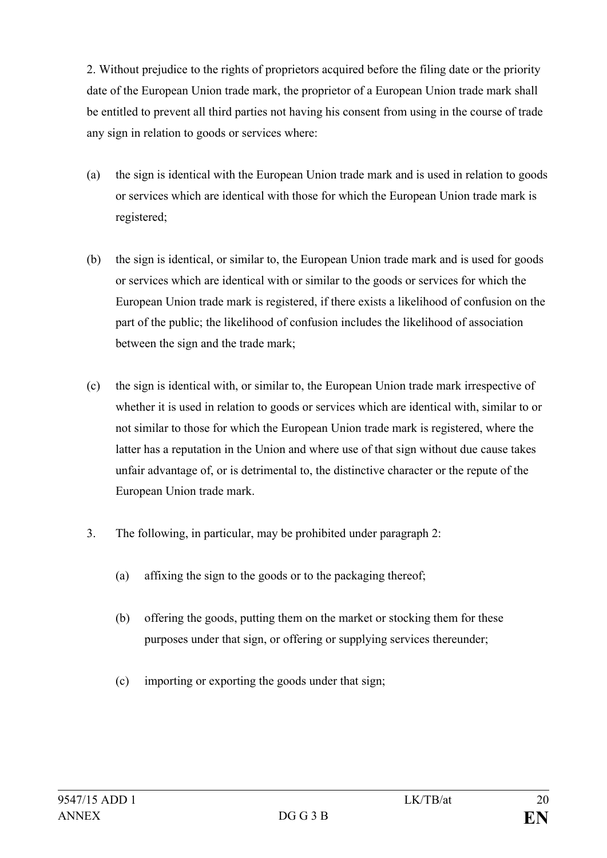2. Without prejudice to the rights of proprietors acquired before the filing date or the priority date of the European Union trade mark, the proprietor of a European Union trade mark shall be entitled to prevent all third parties not having his consent from using in the course of trade any sign in relation to goods or services where:

- (a) the sign is identical with the European Union trade mark and is used in relation to goods or services which are identical with those for which the European Union trade mark is registered;
- (b) the sign is identical, or similar to, the European Union trade mark and is used for goods or services which are identical with or similar to the goods or services for which the European Union trade mark is registered, if there exists a likelihood of confusion on the part of the public; the likelihood of confusion includes the likelihood of association between the sign and the trade mark;
- (c) the sign is identical with, or similar to, the European Union trade mark irrespective of whether it is used in relation to goods or services which are identical with, similar to or not similar to those for which the European Union trade mark is registered, where the latter has a reputation in the Union and where use of that sign without due cause takes unfair advantage of, or is detrimental to, the distinctive character or the repute of the European Union trade mark.
- 3. The following, in particular, may be prohibited under paragraph 2:
	- (a) affixing the sign to the goods or to the packaging thereof;
	- (b) offering the goods, putting them on the market or stocking them for these purposes under that sign, or offering or supplying services thereunder;
	- (c) importing or exporting the goods under that sign;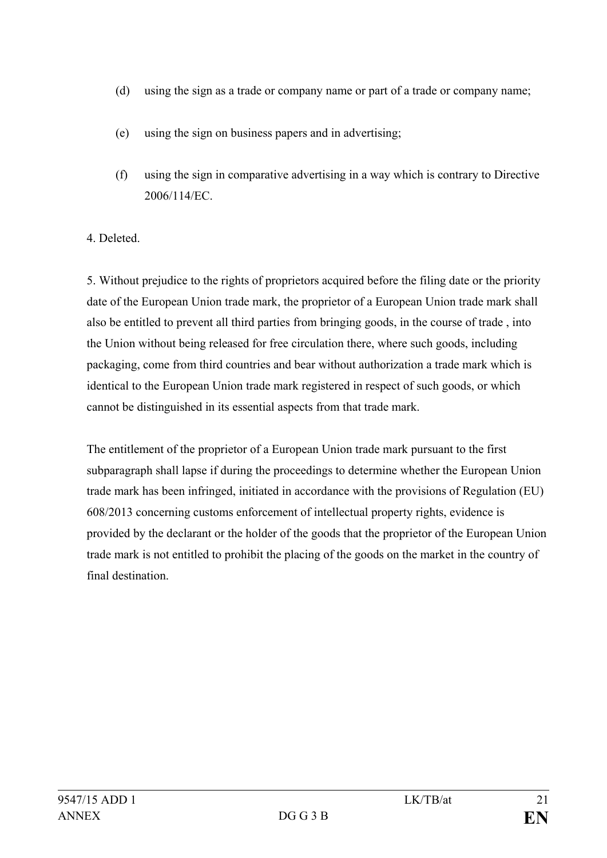- (d) using the sign as a trade or company name or part of a trade or company name;
- (e) using the sign on business papers and in advertising;
- (f) using the sign in comparative advertising in a way which is contrary to Directive 2006/114/EC.

# 4. Deleted.

5. Without prejudice to the rights of proprietors acquired before the filing date or the priority date of the European Union trade mark, the proprietor of a European Union trade mark shall also be entitled to prevent all third parties from bringing goods, in the course of trade , into the Union without being released for free circulation there, where such goods, including packaging, come from third countries and bear without authorization a trade mark which is identical to the European Union trade mark registered in respect of such goods, or which cannot be distinguished in its essential aspects from that trade mark.

The entitlement of the proprietor of a European Union trade mark pursuant to the first subparagraph shall lapse if during the proceedings to determine whether the European Union trade mark has been infringed, initiated in accordance with the provisions of Regulation (EU) 608/2013 concerning customs enforcement of intellectual property rights, evidence is provided by the declarant or the holder of the goods that the proprietor of the European Union trade mark is not entitled to prohibit the placing of the goods on the market in the country of final destination.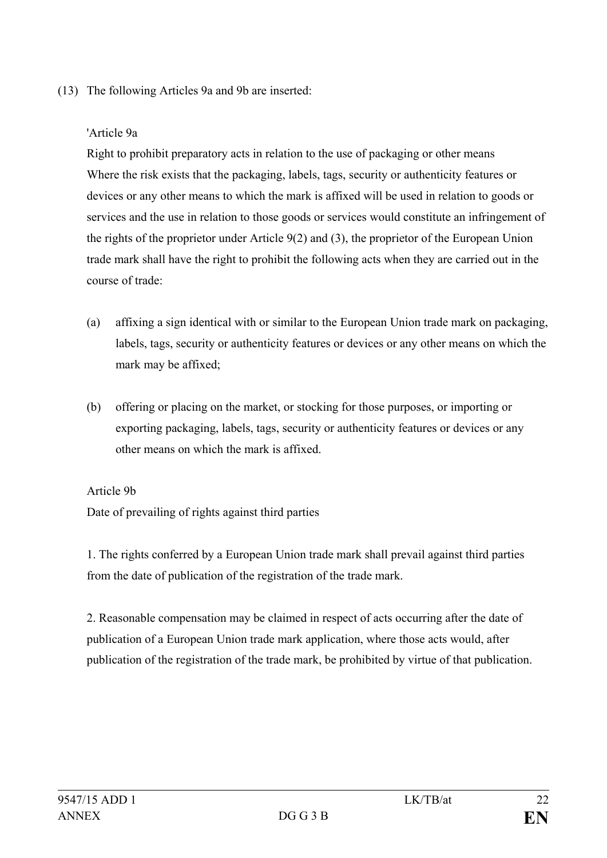## (13) The following Articles 9a and 9b are inserted:

### 'Article 9a

Right to prohibit preparatory acts in relation to the use of packaging or other means Where the risk exists that the packaging, labels, tags, security or authenticity features or devices or any other means to which the mark is affixed will be used in relation to goods or services and the use in relation to those goods or services would constitute an infringement of the rights of the proprietor under Article 9(2) and (3), the proprietor of the European Union trade mark shall have the right to prohibit the following acts when they are carried out in the course of trade:

- (a) affixing a sign identical with or similar to the European Union trade mark on packaging, labels, tags, security or authenticity features or devices or any other means on which the mark may be affixed;
- (b) offering or placing on the market, or stocking for those purposes, or importing or exporting packaging, labels, tags, security or authenticity features or devices or any other means on which the mark is affixed.

#### Article 9b

Date of prevailing of rights against third parties

1. The rights conferred by a European Union trade mark shall prevail against third parties from the date of publication of the registration of the trade mark.

2. Reasonable compensation may be claimed in respect of acts occurring after the date of publication of a European Union trade mark application, where those acts would, after publication of the registration of the trade mark, be prohibited by virtue of that publication.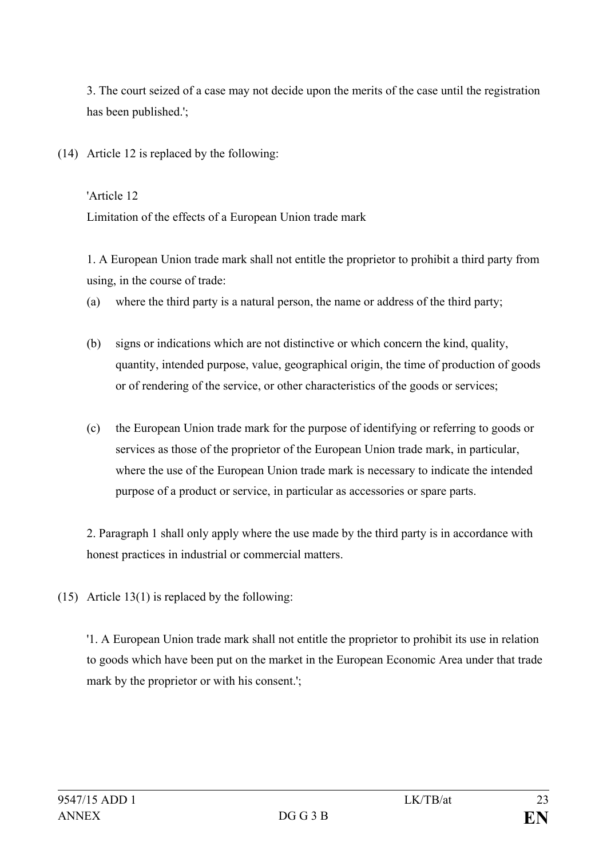3. The court seized of a case may not decide upon the merits of the case until the registration has been published.';

(14) Article 12 is replaced by the following:

'Article 12 Limitation of the effects of a European Union trade mark

1. A European Union trade mark shall not entitle the proprietor to prohibit a third party from using, in the course of trade:

- (a) where the third party is a natural person, the name or address of the third party;
- (b) signs or indications which are not distinctive or which concern the kind, quality, quantity, intended purpose, value, geographical origin, the time of production of goods or of rendering of the service, or other characteristics of the goods or services;
- (c) the European Union trade mark for the purpose of identifying or referring to goods or services as those of the proprietor of the European Union trade mark, in particular, where the use of the European Union trade mark is necessary to indicate the intended purpose of a product or service, in particular as accessories or spare parts.

2. Paragraph 1 shall only apply where the use made by the third party is in accordance with honest practices in industrial or commercial matters.

(15) Article 13(1) is replaced by the following:

'1. A European Union trade mark shall not entitle the proprietor to prohibit its use in relation to goods which have been put on the market in the European Economic Area under that trade mark by the proprietor or with his consent.';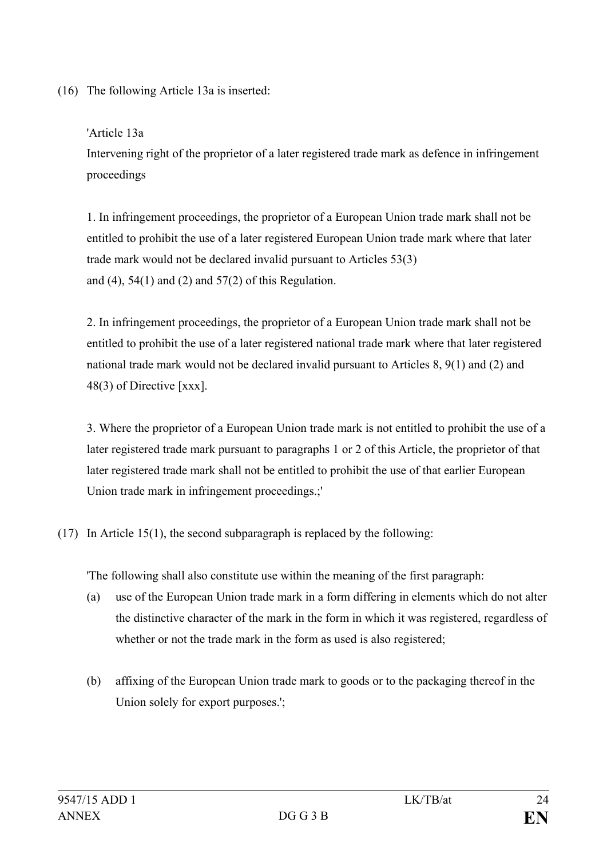(16) The following Article 13a is inserted:

'Article 13a

Intervening right of the proprietor of a later registered trade mark as defence in infringement proceedings

1. In infringement proceedings, the proprietor of a European Union trade mark shall not be entitled to prohibit the use of a later registered European Union trade mark where that later trade mark would not be declared invalid pursuant to Articles 53(3) and (4), 54(1) and (2) and 57(2) of this Regulation.

2. In infringement proceedings, the proprietor of a European Union trade mark shall not be entitled to prohibit the use of a later registered national trade mark where that later registered national trade mark would not be declared invalid pursuant to Articles 8, 9(1) and (2) and 48(3) of Directive [xxx].

3. Where the proprietor of a European Union trade mark is not entitled to prohibit the use of a later registered trade mark pursuant to paragraphs 1 or 2 of this Article, the proprietor of that later registered trade mark shall not be entitled to prohibit the use of that earlier European Union trade mark in infringement proceedings.;'

(17) In Article 15(1), the second subparagraph is replaced by the following:

'The following shall also constitute use within the meaning of the first paragraph:

- (a) use of the European Union trade mark in a form differing in elements which do not alter the distinctive character of the mark in the form in which it was registered, regardless of whether or not the trade mark in the form as used is also registered;
- (b) affixing of the European Union trade mark to goods or to the packaging thereof in the Union solely for export purposes.';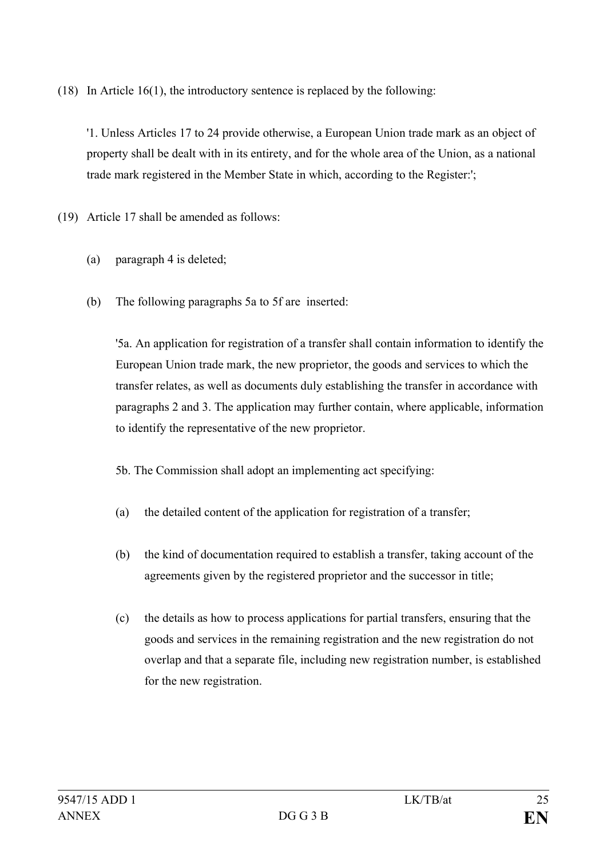(18) In Article 16(1), the introductory sentence is replaced by the following:

'1. Unless Articles 17 to 24 provide otherwise, a European Union trade mark as an object of property shall be dealt with in its entirety, and for the whole area of the Union, as a national trade mark registered in the Member State in which, according to the Register:';

(19) Article 17 shall be amended as follows:

- (a) paragraph 4 is deleted;
- (b) The following paragraphs 5a to 5f are inserted:

'5a. An application for registration of a transfer shall contain information to identify the European Union trade mark, the new proprietor, the goods and services to which the transfer relates, as well as documents duly establishing the transfer in accordance with paragraphs 2 and 3. The application may further contain, where applicable, information to identify the representative of the new proprietor.

5b. The Commission shall adopt an implementing act specifying:

- (a) the detailed content of the application for registration of a transfer;
- (b) the kind of documentation required to establish a transfer, taking account of the agreements given by the registered proprietor and the successor in title;
- (c) the details as how to process applications for partial transfers, ensuring that the goods and services in the remaining registration and the new registration do not overlap and that a separate file, including new registration number, is established for the new registration.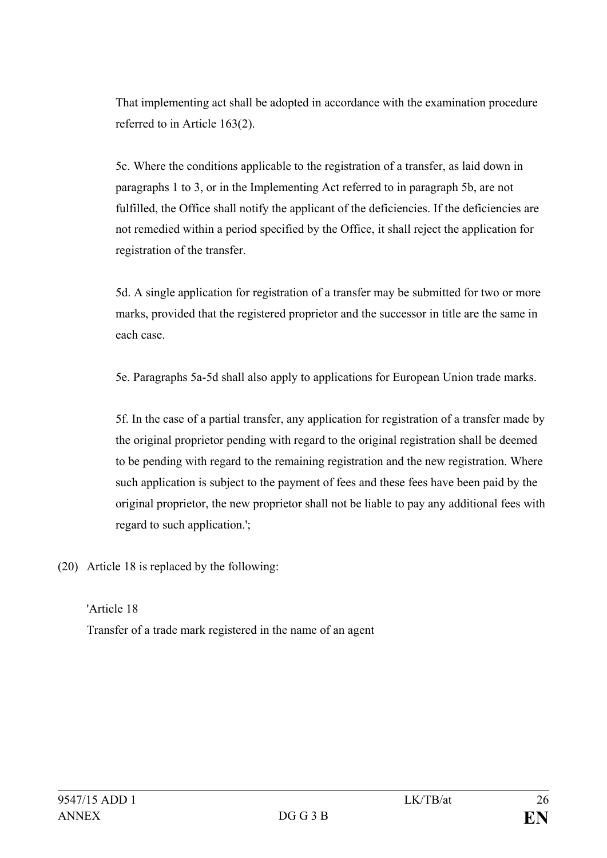That implementing act shall be adopted in accordance with the examination procedure referred to in Article 163(2).

5c. Where the conditions applicable to the registration of a transfer, as laid down in paragraphs 1 to 3, or in the Implementing Act referred to in paragraph 5b, are not fulfilled, the Office shall notify the applicant of the deficiencies. If the deficiencies are not remedied within a period specified by the Office, it shall reject the application for registration of the transfer.

5d. A single application for registration of a transfer may be submitted for two or more marks, provided that the registered proprietor and the successor in title are the same in each case.

5e. Paragraphs 5a-5d shall also apply to applications for European Union trade marks.

5f. In the case of a partial transfer, any application for registration of a transfer made by the original proprietor pending with regard to the original registration shall be deemed to be pending with regard to the remaining registration and the new registration. Where such application is subject to the payment of fees and these fees have been paid by the original proprietor, the new proprietor shall not be liable to pay any additional fees with regard to such application.';

(20) Article 18 is replaced by the following:

'Article 18 Transfer of a trade mark registered in the name of an agent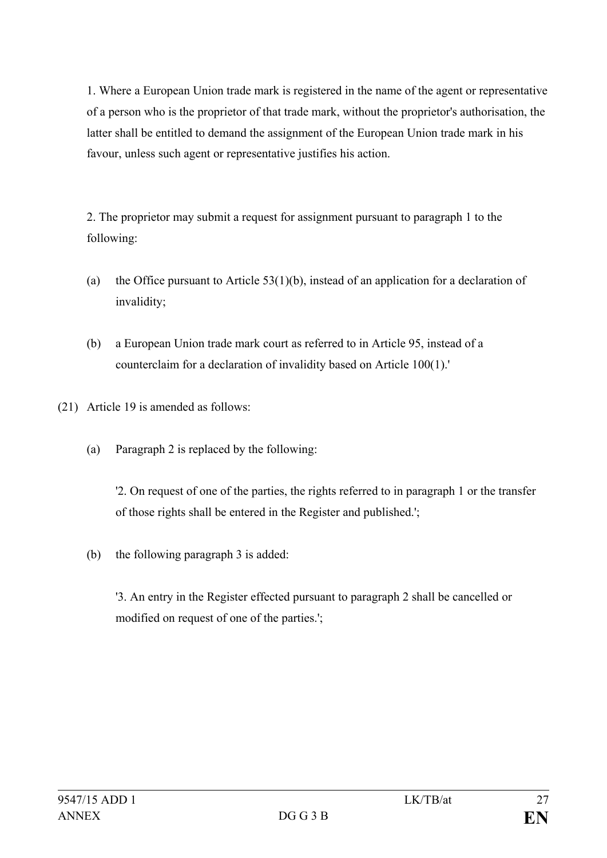1. Where a European Union trade mark is registered in the name of the agent or representative of a person who is the proprietor of that trade mark, without the proprietor's authorisation, the latter shall be entitled to demand the assignment of the European Union trade mark in his favour, unless such agent or representative justifies his action.

2. The proprietor may submit a request for assignment pursuant to paragraph 1 to the following:

- (a) the Office pursuant to Article  $53(1)(b)$ , instead of an application for a declaration of invalidity;
- (b) a European Union trade mark court as referred to in Article 95, instead of a counterclaim for a declaration of invalidity based on Article 100(1).'
- (21) Article 19 is amended as follows:
	- (a) Paragraph 2 is replaced by the following:

'2. On request of one of the parties, the rights referred to in paragraph 1 or the transfer of those rights shall be entered in the Register and published.';

(b) the following paragraph 3 is added:

'3. An entry in the Register effected pursuant to paragraph 2 shall be cancelled or modified on request of one of the parties.';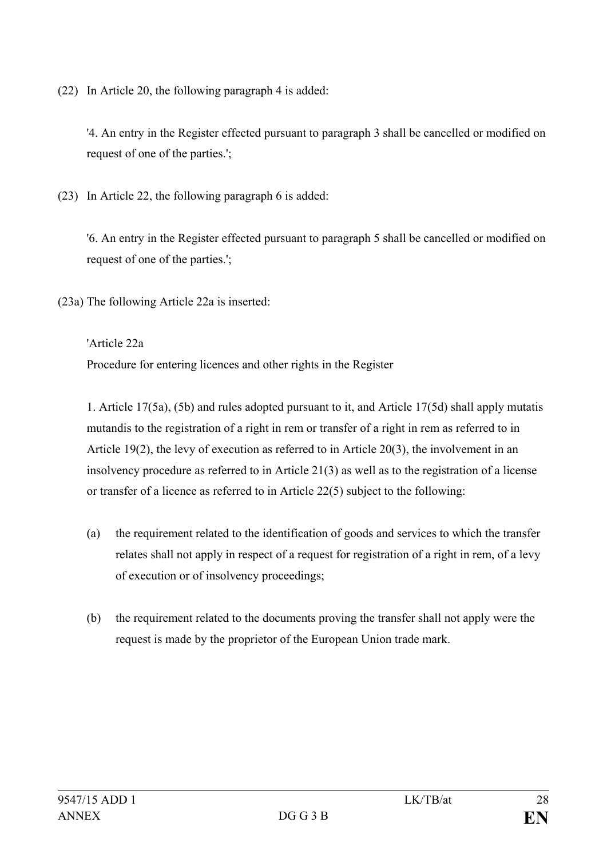(22) In Article 20, the following paragraph 4 is added:

'4. An entry in the Register effected pursuant to paragraph 3 shall be cancelled or modified on request of one of the parties.';

(23) In Article 22, the following paragraph 6 is added:

'6. An entry in the Register effected pursuant to paragraph 5 shall be cancelled or modified on request of one of the parties.';

(23a) The following Article 22a is inserted:

'Article 22a

Procedure for entering licences and other rights in the Register

1. Article 17(5a), (5b) and rules adopted pursuant to it, and Article 17(5d) shall apply mutatis mutandis to the registration of a right in rem or transfer of a right in rem as referred to in Article 19(2), the levy of execution as referred to in Article 20(3), the involvement in an insolvency procedure as referred to in Article 21(3) as well as to the registration of a license or transfer of a licence as referred to in Article 22(5) subject to the following:

- (a) the requirement related to the identification of goods and services to which the transfer relates shall not apply in respect of a request for registration of a right in rem, of a levy of execution or of insolvency proceedings;
- (b) the requirement related to the documents proving the transfer shall not apply were the request is made by the proprietor of the European Union trade mark.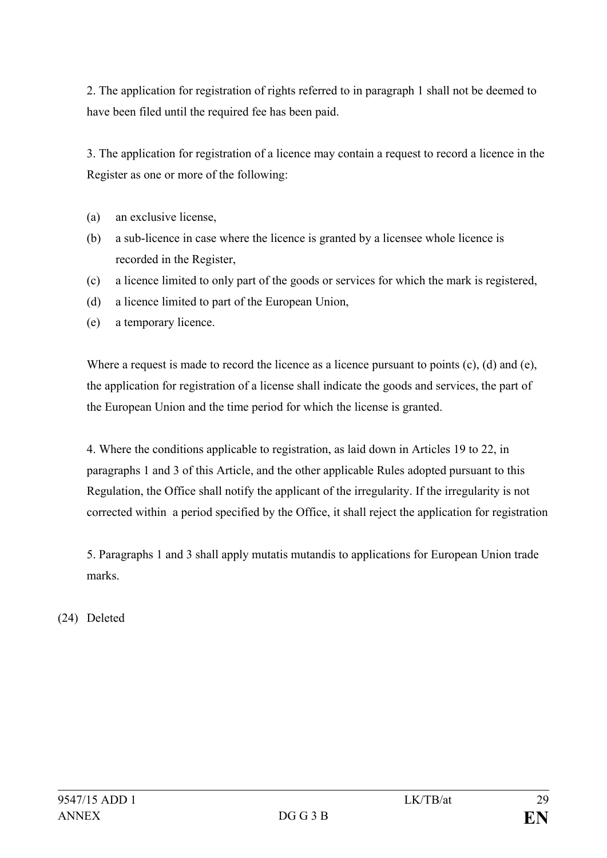2. The application for registration of rights referred to in paragraph 1 shall not be deemed to have been filed until the required fee has been paid.

3. The application for registration of a licence may contain a request to record a licence in the Register as one or more of the following:

- (a) an exclusive license,
- (b) a sub-licence in case where the licence is granted by a licensee whole licence is recorded in the Register,
- (c) a licence limited to only part of the goods or services for which the mark is registered,
- (d) a licence limited to part of the European Union,
- (e) a temporary licence.

Where a request is made to record the licence as a licence pursuant to points (c), (d) and (e), the application for registration of a license shall indicate the goods and services, the part of the European Union and the time period for which the license is granted.

4. Where the conditions applicable to registration, as laid down in Articles 19 to 22, in paragraphs 1 and 3 of this Article, and the other applicable Rules adopted pursuant to this Regulation, the Office shall notify the applicant of the irregularity. If the irregularity is not corrected within a period specified by the Office, it shall reject the application for registration

5. Paragraphs 1 and 3 shall apply mutatis mutandis to applications for European Union trade marks.

(24) Deleted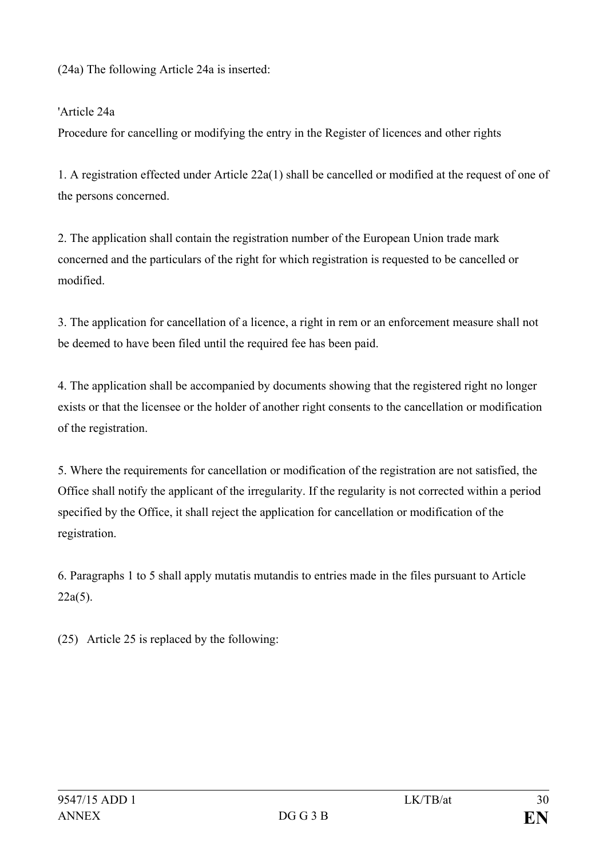(24a) The following Article 24a is inserted:

### 'Article 24a

Procedure for cancelling or modifying the entry in the Register of licences and other rights

1. A registration effected under Article 22a(1) shall be cancelled or modified at the request of one of the persons concerned.

2. The application shall contain the registration number of the European Union trade mark concerned and the particulars of the right for which registration is requested to be cancelled or modified.

3. The application for cancellation of a licence, a right in rem or an enforcement measure shall not be deemed to have been filed until the required fee has been paid.

4. The application shall be accompanied by documents showing that the registered right no longer exists or that the licensee or the holder of another right consents to the cancellation or modification of the registration.

5. Where the requirements for cancellation or modification of the registration are not satisfied, the Office shall notify the applicant of the irregularity. If the regularity is not corrected within a period specified by the Office, it shall reject the application for cancellation or modification of the registration.

6. Paragraphs 1 to 5 shall apply mutatis mutandis to entries made in the files pursuant to Article 22a(5).

(25) Article 25 is replaced by the following: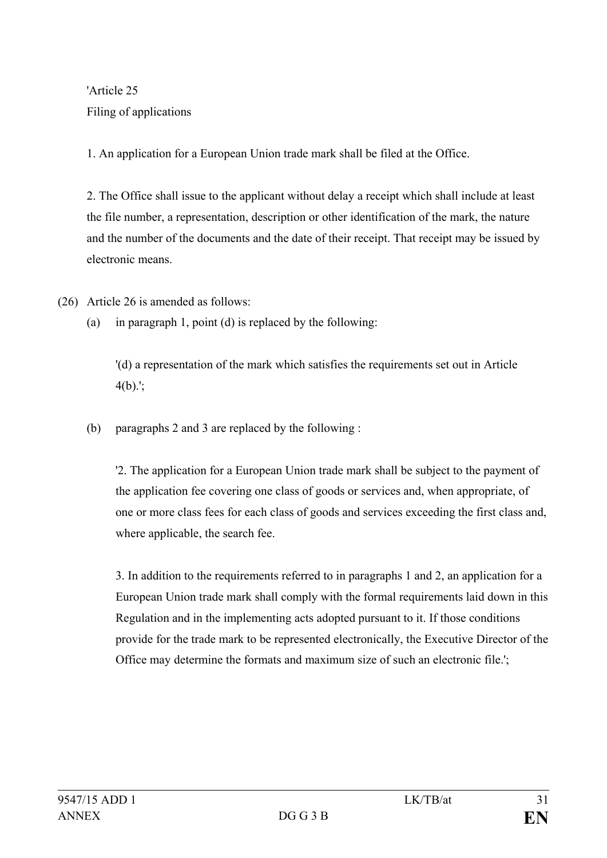'Article 25 Filing of applications

1. An application for a European Union trade mark shall be filed at the Office.

2. The Office shall issue to the applicant without delay a receipt which shall include at least the file number, a representation, description or other identification of the mark, the nature and the number of the documents and the date of their receipt. That receipt may be issued by electronic means.

(26) Article 26 is amended as follows:

(a) in paragraph 1, point (d) is replaced by the following:

'(d) a representation of the mark which satisfies the requirements set out in Article  $4(b)$ .';

(b) paragraphs 2 and 3 are replaced by the following :

'2. The application for a European Union trade mark shall be subject to the payment of the application fee covering one class of goods or services and, when appropriate, of one or more class fees for each class of goods and services exceeding the first class and, where applicable, the search fee.

3. In addition to the requirements referred to in paragraphs 1 and 2, an application for a European Union trade mark shall comply with the formal requirements laid down in this Regulation and in the implementing acts adopted pursuant to it. If those conditions provide for the trade mark to be represented electronically, the Executive Director of the Office may determine the formats and maximum size of such an electronic file.';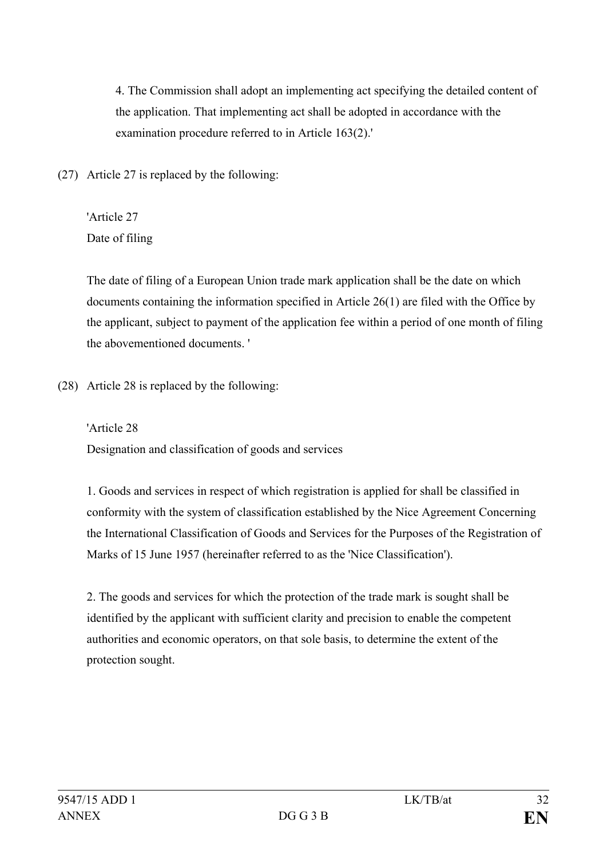4. The Commission shall adopt an implementing act specifying the detailed content of the application. That implementing act shall be adopted in accordance with the examination procedure referred to in Article 163(2).'

(27) Article 27 is replaced by the following:

'Article 27 Date of filing

The date of filing of a European Union trade mark application shall be the date on which documents containing the information specified in Article 26(1) are filed with the Office by the applicant, subject to payment of the application fee within a period of one month of filing the abovementioned documents. '

(28) Article 28 is replaced by the following:

'Article 28 Designation and classification of goods and services

1. Goods and services in respect of which registration is applied for shall be classified in conformity with the system of classification established by the Nice Agreement Concerning the International Classification of Goods and Services for the Purposes of the Registration of Marks of 15 June 1957 (hereinafter referred to as the 'Nice Classification').

2. The goods and services for which the protection of the trade mark is sought shall be identified by the applicant with sufficient clarity and precision to enable the competent authorities and economic operators, on that sole basis, to determine the extent of the protection sought.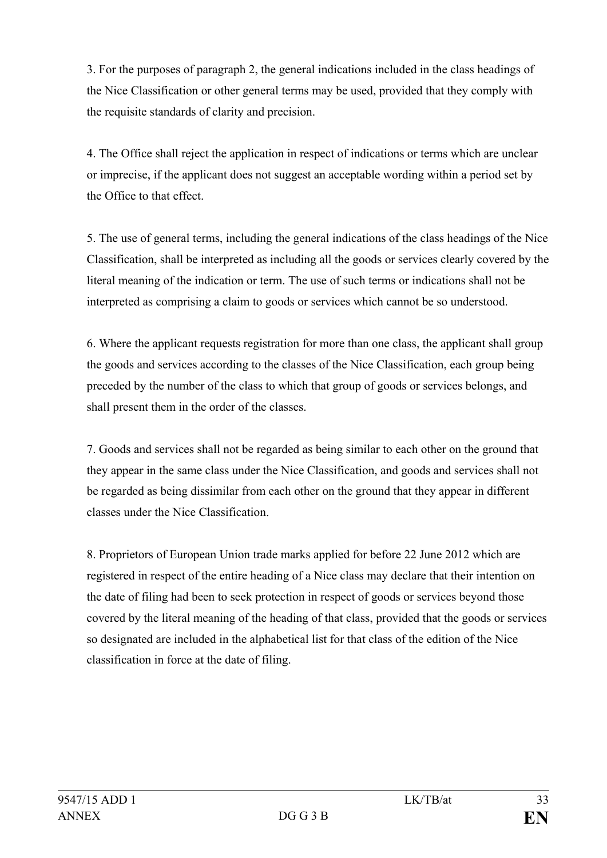3. For the purposes of paragraph 2, the general indications included in the class headings of the Nice Classification or other general terms may be used, provided that they comply with the requisite standards of clarity and precision.

4. The Office shall reject the application in respect of indications or terms which are unclear or imprecise, if the applicant does not suggest an acceptable wording within a period set by the Office to that effect.

5. The use of general terms, including the general indications of the class headings of the Nice Classification, shall be interpreted as including all the goods or services clearly covered by the literal meaning of the indication or term. The use of such terms or indications shall not be interpreted as comprising a claim to goods or services which cannot be so understood.

6. Where the applicant requests registration for more than one class, the applicant shall group the goods and services according to the classes of the Nice Classification, each group being preceded by the number of the class to which that group of goods or services belongs, and shall present them in the order of the classes.

7. Goods and services shall not be regarded as being similar to each other on the ground that they appear in the same class under the Nice Classification, and goods and services shall not be regarded as being dissimilar from each other on the ground that they appear in different classes under the Nice Classification.

8. Proprietors of European Union trade marks applied for before 22 June 2012 which are registered in respect of the entire heading of a Nice class may declare that their intention on the date of filing had been to seek protection in respect of goods or services beyond those covered by the literal meaning of the heading of that class, provided that the goods or services so designated are included in the alphabetical list for that class of the edition of the Nice classification in force at the date of filing.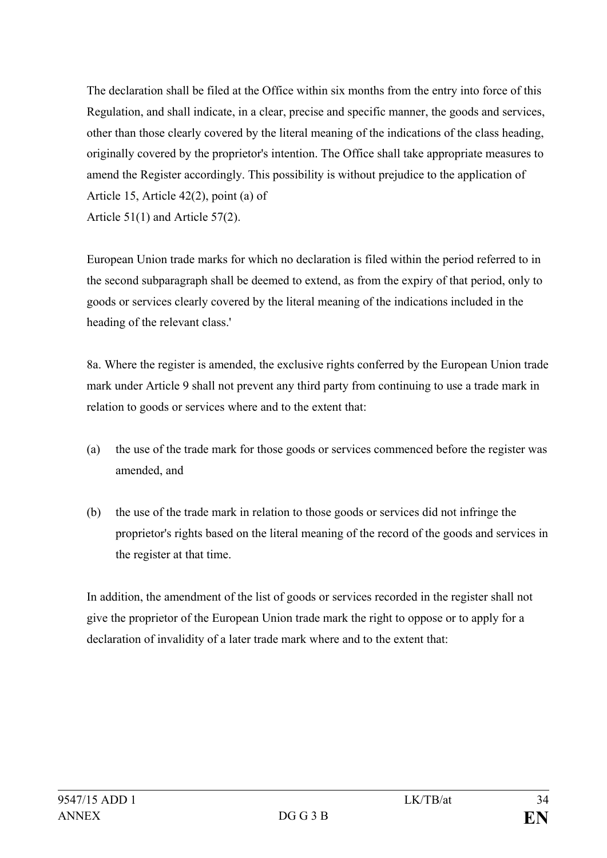The declaration shall be filed at the Office within six months from the entry into force of this Regulation, and shall indicate, in a clear, precise and specific manner, the goods and services, other than those clearly covered by the literal meaning of the indications of the class heading, originally covered by the proprietor's intention. The Office shall take appropriate measures to amend the Register accordingly. This possibility is without prejudice to the application of Article 15, Article 42(2), point (a) of Article 51(1) and Article 57(2).

European Union trade marks for which no declaration is filed within the period referred to in the second subparagraph shall be deemed to extend, as from the expiry of that period, only to goods or services clearly covered by the literal meaning of the indications included in the heading of the relevant class.'

8a. Where the register is amended, the exclusive rights conferred by the European Union trade mark under Article 9 shall not prevent any third party from continuing to use a trade mark in relation to goods or services where and to the extent that:

- (a) the use of the trade mark for those goods or services commenced before the register was amended, and
- (b) the use of the trade mark in relation to those goods or services did not infringe the proprietor's rights based on the literal meaning of the record of the goods and services in the register at that time.

In addition, the amendment of the list of goods or services recorded in the register shall not give the proprietor of the European Union trade mark the right to oppose or to apply for a declaration of invalidity of a later trade mark where and to the extent that: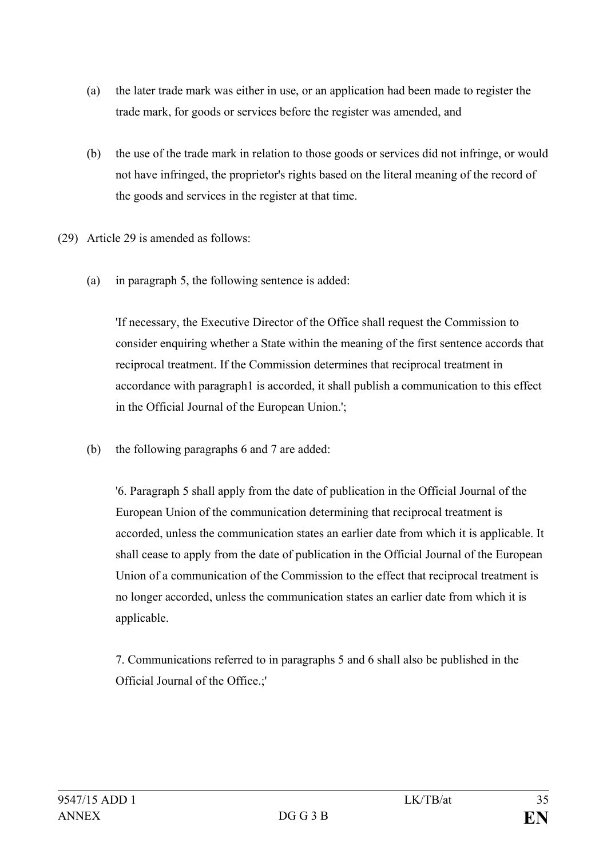- (a) the later trade mark was either in use, or an application had been made to register the trade mark, for goods or services before the register was amended, and
- (b) the use of the trade mark in relation to those goods or services did not infringe, or would not have infringed, the proprietor's rights based on the literal meaning of the record of the goods and services in the register at that time.
- (29) Article 29 is amended as follows:
	- (a) in paragraph 5, the following sentence is added:

'If necessary, the Executive Director of the Office shall request the Commission to consider enquiring whether a State within the meaning of the first sentence accords that reciprocal treatment. If the Commission determines that reciprocal treatment in accordance with paragraph1 is accorded, it shall publish a communication to this effect in the Official Journal of the European Union.';

(b) the following paragraphs 6 and 7 are added:

'6. Paragraph 5 shall apply from the date of publication in the Official Journal of the European Union of the communication determining that reciprocal treatment is accorded, unless the communication states an earlier date from which it is applicable. It shall cease to apply from the date of publication in the Official Journal of the European Union of a communication of the Commission to the effect that reciprocal treatment is no longer accorded, unless the communication states an earlier date from which it is applicable.

7. Communications referred to in paragraphs 5 and 6 shall also be published in the Official Journal of the Office.;'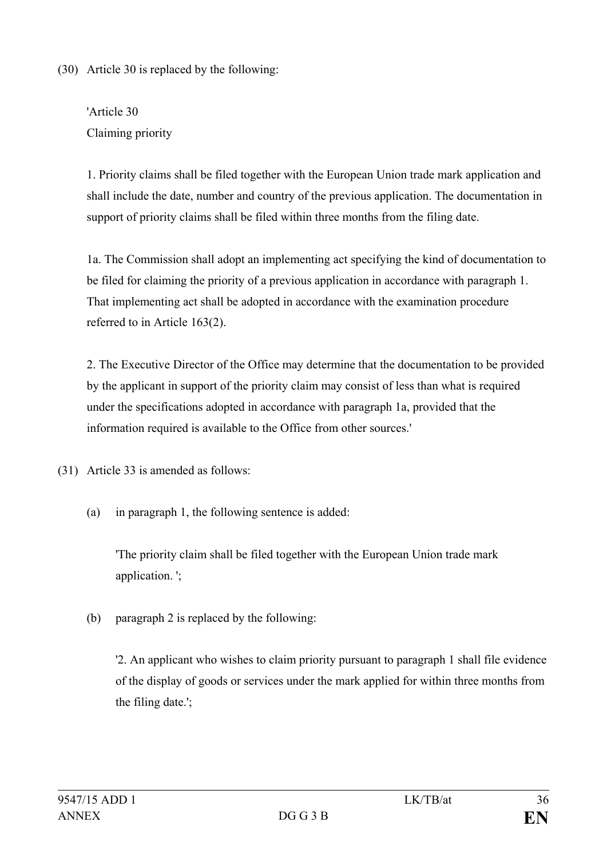(30) Article 30 is replaced by the following:

'Article 30 Claiming priority

1. Priority claims shall be filed together with the European Union trade mark application and shall include the date, number and country of the previous application. The documentation in support of priority claims shall be filed within three months from the filing date.

1a. The Commission shall adopt an implementing act specifying the kind of documentation to be filed for claiming the priority of a previous application in accordance with paragraph 1. That implementing act shall be adopted in accordance with the examination procedure referred to in Article 163(2).

2. The Executive Director of the Office may determine that the documentation to be provided by the applicant in support of the priority claim may consist of less than what is required under the specifications adopted in accordance with paragraph 1a, provided that the information required is available to the Office from other sources.'

(31) Article 33 is amended as follows:

(a) in paragraph 1, the following sentence is added:

'The priority claim shall be filed together with the European Union trade mark application. ';

(b) paragraph 2 is replaced by the following:

'2. An applicant who wishes to claim priority pursuant to paragraph 1 shall file evidence of the display of goods or services under the mark applied for within three months from the filing date.';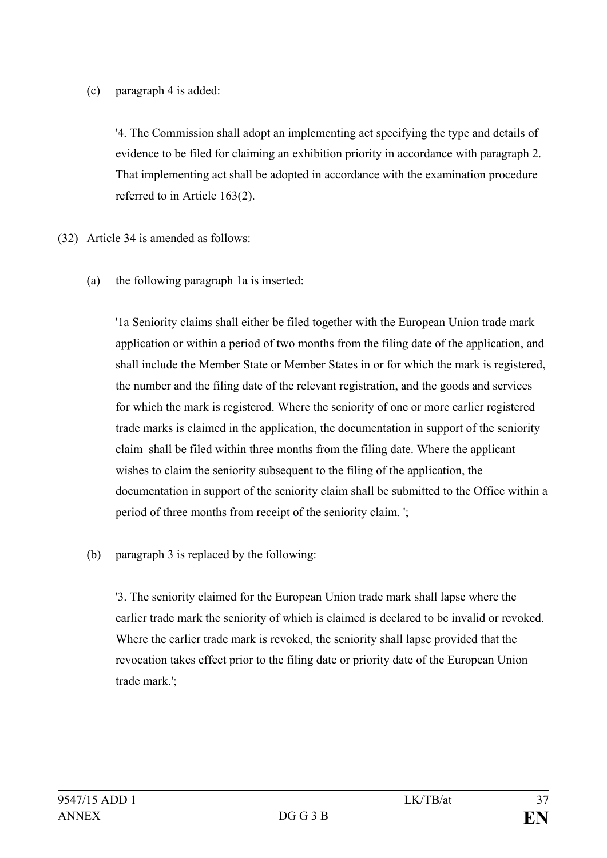## (c) paragraph 4 is added:

'4. The Commission shall adopt an implementing act specifying the type and details of evidence to be filed for claiming an exhibition priority in accordance with paragraph 2. That implementing act shall be adopted in accordance with the examination procedure referred to in Article 163(2).

- (32) Article 34 is amended as follows:
	- (a) the following paragraph 1a is inserted:

'1a Seniority claims shall either be filed together with the European Union trade mark application or within a period of two months from the filing date of the application, and shall include the Member State or Member States in or for which the mark is registered, the number and the filing date of the relevant registration, and the goods and services for which the mark is registered. Where the seniority of one or more earlier registered trade marks is claimed in the application, the documentation in support of the seniority claim shall be filed within three months from the filing date. Where the applicant wishes to claim the seniority subsequent to the filing of the application, the documentation in support of the seniority claim shall be submitted to the Office within a period of three months from receipt of the seniority claim. ';

(b) paragraph 3 is replaced by the following:

'3. The seniority claimed for the European Union trade mark shall lapse where the earlier trade mark the seniority of which is claimed is declared to be invalid or revoked. Where the earlier trade mark is revoked, the seniority shall lapse provided that the revocation takes effect prior to the filing date or priority date of the European Union trade mark.';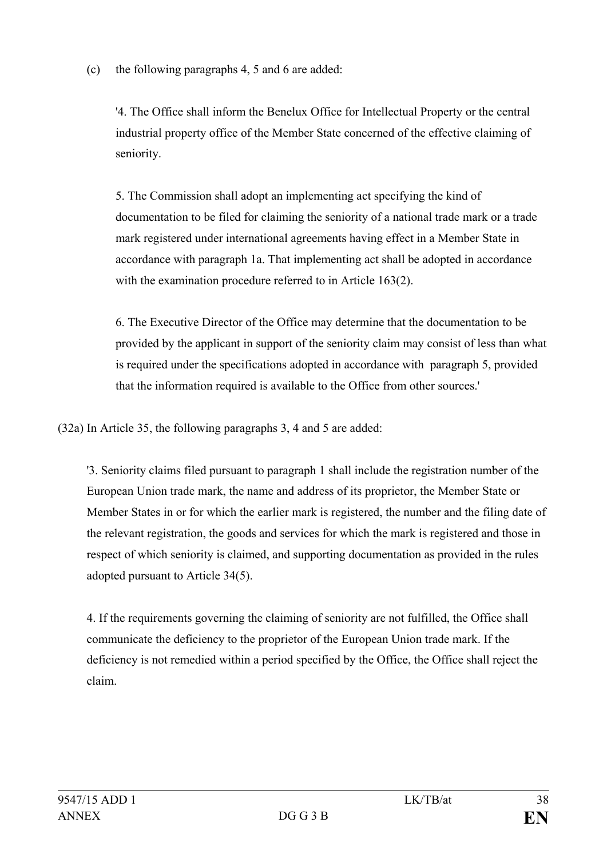(c) the following paragraphs 4, 5 and 6 are added:

'4. The Office shall inform the Benelux Office for Intellectual Property or the central industrial property office of the Member State concerned of the effective claiming of seniority.

5. The Commission shall adopt an implementing act specifying the kind of documentation to be filed for claiming the seniority of a national trade mark or a trade mark registered under international agreements having effect in a Member State in accordance with paragraph 1a. That implementing act shall be adopted in accordance with the examination procedure referred to in Article 163(2).

6. The Executive Director of the Office may determine that the documentation to be provided by the applicant in support of the seniority claim may consist of less than what is required under the specifications adopted in accordance with paragraph 5, provided that the information required is available to the Office from other sources.'

(32a) In Article 35, the following paragraphs 3, 4 and 5 are added:

'3. Seniority claims filed pursuant to paragraph 1 shall include the registration number of the European Union trade mark, the name and address of its proprietor, the Member State or Member States in or for which the earlier mark is registered, the number and the filing date of the relevant registration, the goods and services for which the mark is registered and those in respect of which seniority is claimed, and supporting documentation as provided in the rules adopted pursuant to Article 34(5).

4. If the requirements governing the claiming of seniority are not fulfilled, the Office shall communicate the deficiency to the proprietor of the European Union trade mark. If the deficiency is not remedied within a period specified by the Office, the Office shall reject the claim.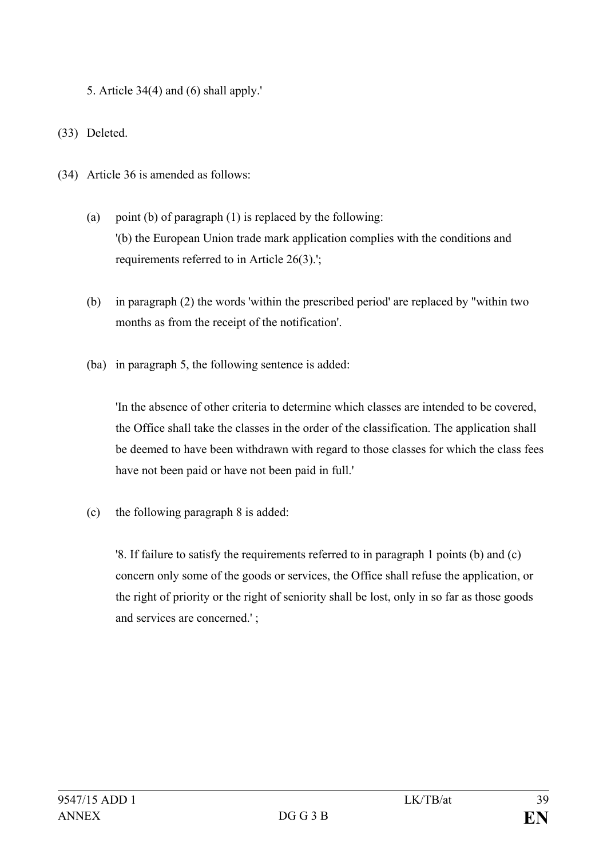5. Article 34(4) and (6) shall apply.'

(33) Deleted.

- (34) Article 36 is amended as follows:
	- (a) point (b) of paragraph (1) is replaced by the following: '(b) the European Union trade mark application complies with the conditions and requirements referred to in Article 26(3).';
	- (b) in paragraph (2) the words 'within the prescribed period' are replaced by "within two months as from the receipt of the notification'.
	- (ba) in paragraph 5, the following sentence is added:

'In the absence of other criteria to determine which classes are intended to be covered, the Office shall take the classes in the order of the classification. The application shall be deemed to have been withdrawn with regard to those classes for which the class fees have not been paid or have not been paid in full.'

(c) the following paragraph 8 is added:

'8. If failure to satisfy the requirements referred to in paragraph 1 points (b) and (c) concern only some of the goods or services, the Office shall refuse the application, or the right of priority or the right of seniority shall be lost, only in so far as those goods and services are concerned.' ;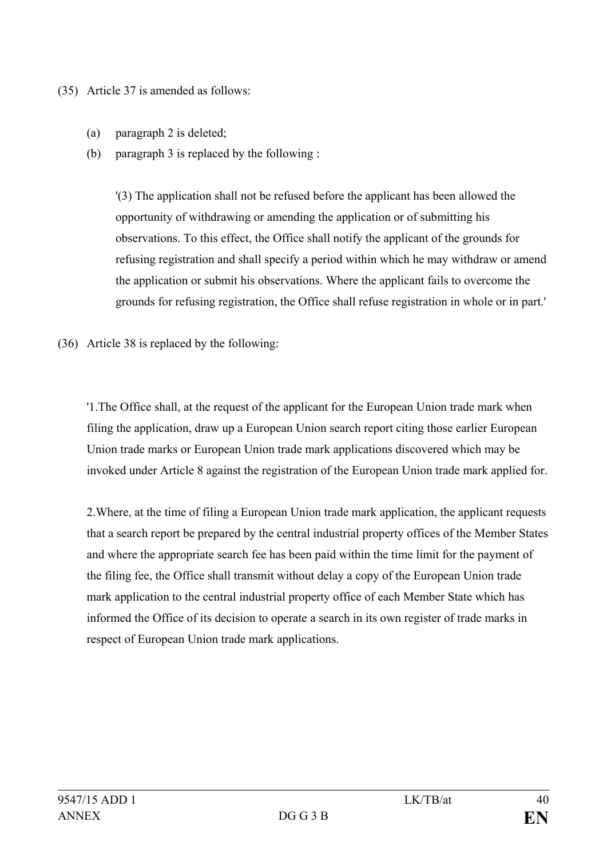(35) Article 37 is amended as follows:

- (a) paragraph 2 is deleted;
- (b) paragraph 3 is replaced by the following :

'(3) The application shall not be refused before the applicant has been allowed the opportunity of withdrawing or amending the application or of submitting his observations. To this effect, the Office shall notify the applicant of the grounds for refusing registration and shall specify a period within which he may withdraw or amend the application or submit his observations. Where the applicant fails to overcome the grounds for refusing registration, the Office shall refuse registration in whole or in part.'

(36) Article 38 is replaced by the following:

'1.The Office shall, at the request of the applicant for the European Union trade mark when filing the application, draw up a European Union search report citing those earlier European Union trade marks or European Union trade mark applications discovered which may be invoked under Article 8 against the registration of the European Union trade mark applied for.

2.Where, at the time of filing a European Union trade mark application, the applicant requests that a search report be prepared by the central industrial property offices of the Member States and where the appropriate search fee has been paid within the time limit for the payment of the filing fee, the Office shall transmit without delay a copy of the European Union trade mark application to the central industrial property office of each Member State which has informed the Office of its decision to operate a search in its own register of trade marks in respect of European Union trade mark applications.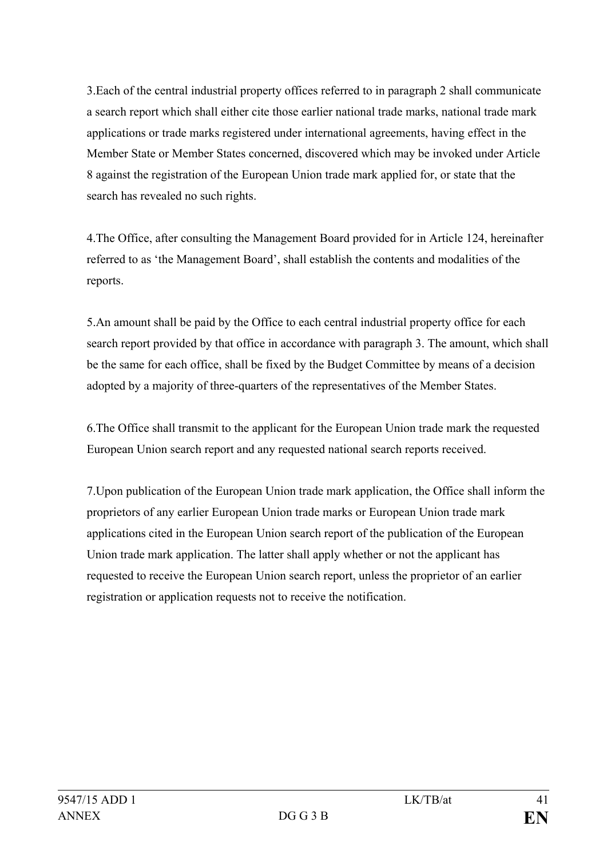3.Each of the central industrial property offices referred to in paragraph 2 shall communicate a search report which shall either cite those earlier national trade marks, national trade mark applications or trade marks registered under international agreements, having effect in the Member State or Member States concerned, discovered which may be invoked under Article 8 against the registration of the European Union trade mark applied for, or state that the search has revealed no such rights.

4.The Office, after consulting the Management Board provided for in Article 124, hereinafter referred to as 'the Management Board', shall establish the contents and modalities of the reports.

5.An amount shall be paid by the Office to each central industrial property office for each search report provided by that office in accordance with paragraph 3. The amount, which shall be the same for each office, shall be fixed by the Budget Committee by means of a decision adopted by a majority of three-quarters of the representatives of the Member States.

6.The Office shall transmit to the applicant for the European Union trade mark the requested European Union search report and any requested national search reports received.

7.Upon publication of the European Union trade mark application, the Office shall inform the proprietors of any earlier European Union trade marks or European Union trade mark applications cited in the European Union search report of the publication of the European Union trade mark application. The latter shall apply whether or not the applicant has requested to receive the European Union search report, unless the proprietor of an earlier registration or application requests not to receive the notification.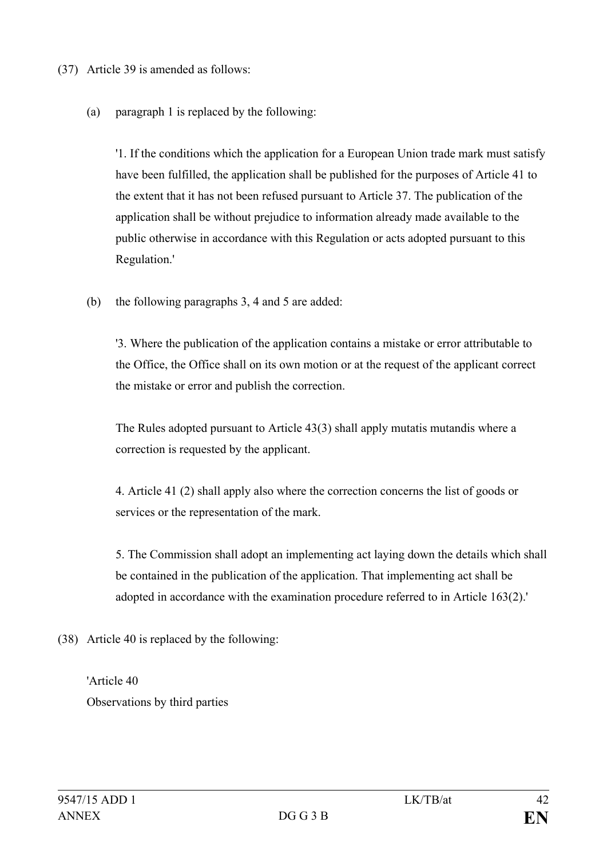(37) Article 39 is amended as follows:

(a) paragraph 1 is replaced by the following:

'1. If the conditions which the application for a European Union trade mark must satisfy have been fulfilled, the application shall be published for the purposes of Article 41 to the extent that it has not been refused pursuant to Article 37. The publication of the application shall be without prejudice to information already made available to the public otherwise in accordance with this Regulation or acts adopted pursuant to this Regulation.'

(b) the following paragraphs 3, 4 and 5 are added:

'3. Where the publication of the application contains a mistake or error attributable to the Office, the Office shall on its own motion or at the request of the applicant correct the mistake or error and publish the correction.

The Rules adopted pursuant to Article 43(3) shall apply mutatis mutandis where a correction is requested by the applicant.

4. Article 41 (2) shall apply also where the correction concerns the list of goods or services or the representation of the mark.

5. The Commission shall adopt an implementing act laying down the details which shall be contained in the publication of the application. That implementing act shall be adopted in accordance with the examination procedure referred to in Article 163(2).'

- (38) Article 40 is replaced by the following:
	- 'Article 40 Observations by third parties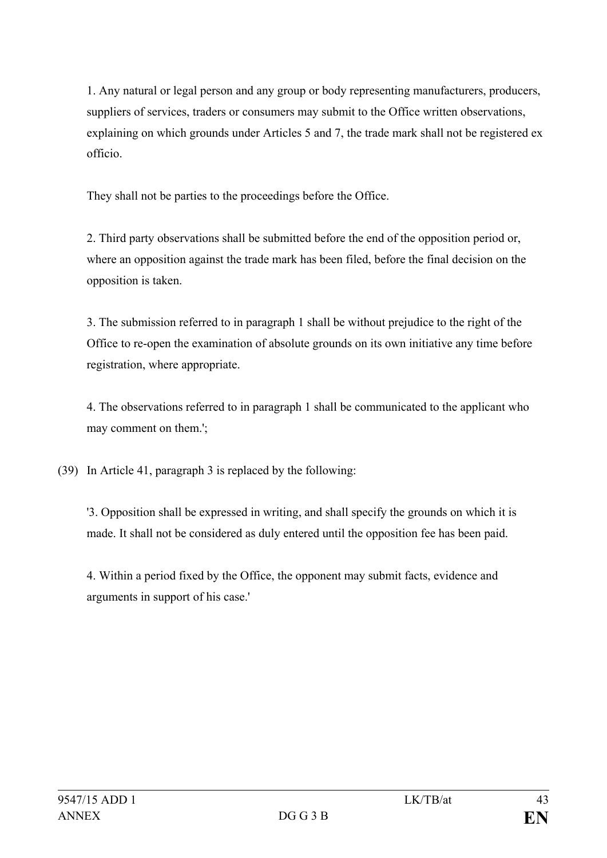1. Any natural or legal person and any group or body representing manufacturers, producers, suppliers of services, traders or consumers may submit to the Office written observations, explaining on which grounds under Articles 5 and 7, the trade mark shall not be registered ex officio.

They shall not be parties to the proceedings before the Office.

2. Third party observations shall be submitted before the end of the opposition period or, where an opposition against the trade mark has been filed, before the final decision on the opposition is taken.

3. The submission referred to in paragraph 1 shall be without prejudice to the right of the Office to re-open the examination of absolute grounds on its own initiative any time before registration, where appropriate.

4. The observations referred to in paragraph 1 shall be communicated to the applicant who may comment on them.';

(39) In Article 41, paragraph 3 is replaced by the following:

'3. Opposition shall be expressed in writing, and shall specify the grounds on which it is made. It shall not be considered as duly entered until the opposition fee has been paid.

4. Within a period fixed by the Office, the opponent may submit facts, evidence and arguments in support of his case.'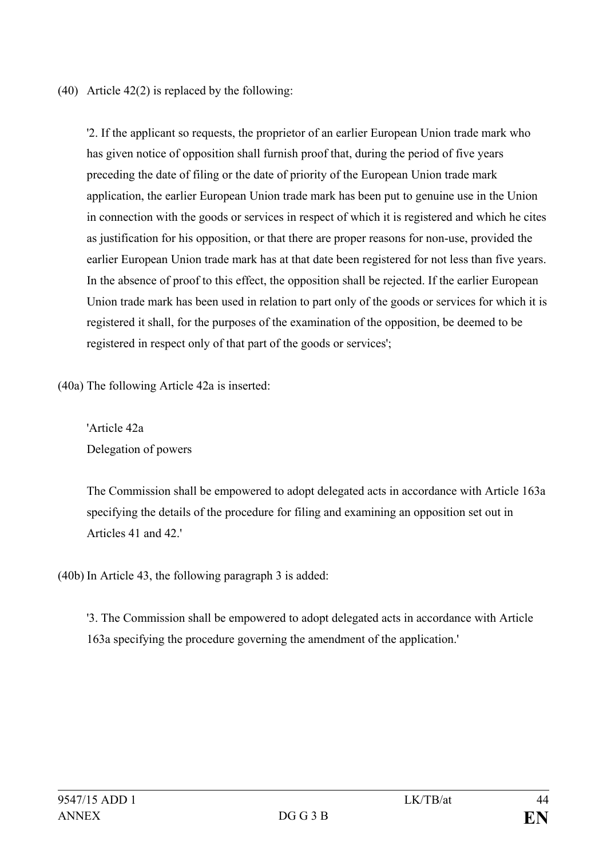(40) Article 42(2) is replaced by the following:

'2. If the applicant so requests, the proprietor of an earlier European Union trade mark who has given notice of opposition shall furnish proof that, during the period of five years preceding the date of filing or the date of priority of the European Union trade mark application, the earlier European Union trade mark has been put to genuine use in the Union in connection with the goods or services in respect of which it is registered and which he cites as justification for his opposition, or that there are proper reasons for non-use, provided the earlier European Union trade mark has at that date been registered for not less than five years. In the absence of proof to this effect, the opposition shall be rejected. If the earlier European Union trade mark has been used in relation to part only of the goods or services for which it is registered it shall, for the purposes of the examination of the opposition, be deemed to be registered in respect only of that part of the goods or services';

(40a) The following Article 42a is inserted:

'Article 42a Delegation of powers

The Commission shall be empowered to adopt delegated acts in accordance with Article 163a specifying the details of the procedure for filing and examining an opposition set out in Articles 41 and 42.'

(40b) In Article 43, the following paragraph 3 is added:

'3. The Commission shall be empowered to adopt delegated acts in accordance with Article 163a specifying the procedure governing the amendment of the application.'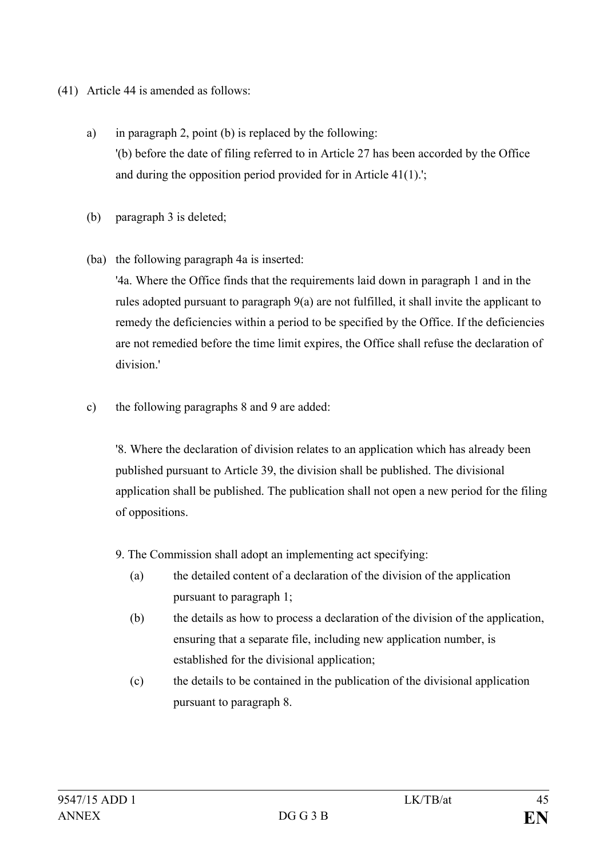## (41) Article 44 is amended as follows:

- a) in paragraph 2, point (b) is replaced by the following: '(b) before the date of filing referred to in Article 27 has been accorded by the Office and during the opposition period provided for in Article 41(1).';
- (b) paragraph 3 is deleted;
- (ba) the following paragraph 4a is inserted:

'4a. Where the Office finds that the requirements laid down in paragraph 1 and in the rules adopted pursuant to paragraph 9(a) are not fulfilled, it shall invite the applicant to remedy the deficiencies within a period to be specified by the Office. If the deficiencies are not remedied before the time limit expires, the Office shall refuse the declaration of division.'

c) the following paragraphs 8 and 9 are added:

'8. Where the declaration of division relates to an application which has already been published pursuant to Article 39, the division shall be published. The divisional application shall be published. The publication shall not open a new period for the filing of oppositions.

- 9. The Commission shall adopt an implementing act specifying:
	- (a) the detailed content of a declaration of the division of the application pursuant to paragraph 1;
	- (b) the details as how to process a declaration of the division of the application, ensuring that a separate file, including new application number, is established for the divisional application;
	- (c) the details to be contained in the publication of the divisional application pursuant to paragraph 8.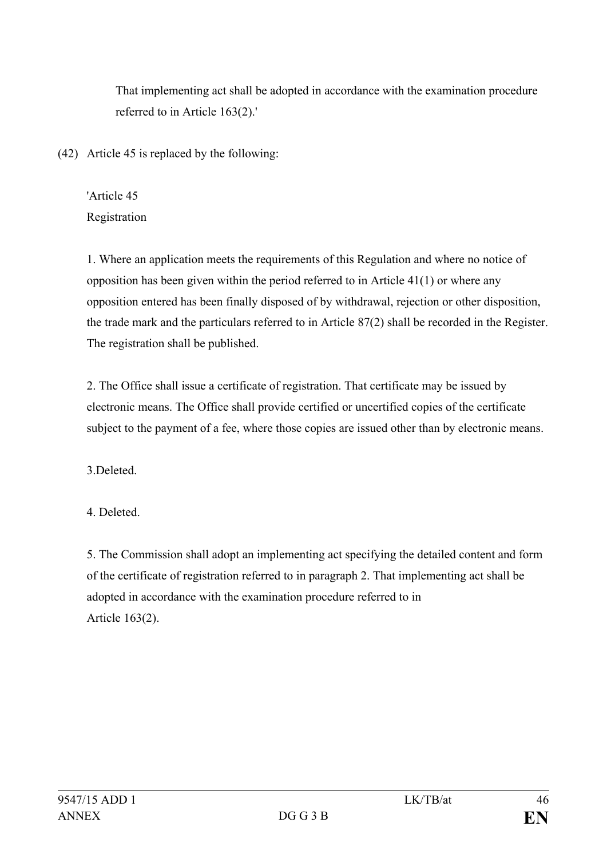That implementing act shall be adopted in accordance with the examination procedure referred to in Article 163(2).'

(42) Article 45 is replaced by the following:

'Article 45 Registration

1. Where an application meets the requirements of this Regulation and where no notice of opposition has been given within the period referred to in Article 41(1) or where any opposition entered has been finally disposed of by withdrawal, rejection or other disposition, the trade mark and the particulars referred to in Article 87(2) shall be recorded in the Register. The registration shall be published.

2. The Office shall issue a certificate of registration. That certificate may be issued by electronic means. The Office shall provide certified or uncertified copies of the certificate subject to the payment of a fee, where those copies are issued other than by electronic means.

3.Deleted.

4. Deleted.

5. The Commission shall adopt an implementing act specifying the detailed content and form of the certificate of registration referred to in paragraph 2. That implementing act shall be adopted in accordance with the examination procedure referred to in Article 163(2).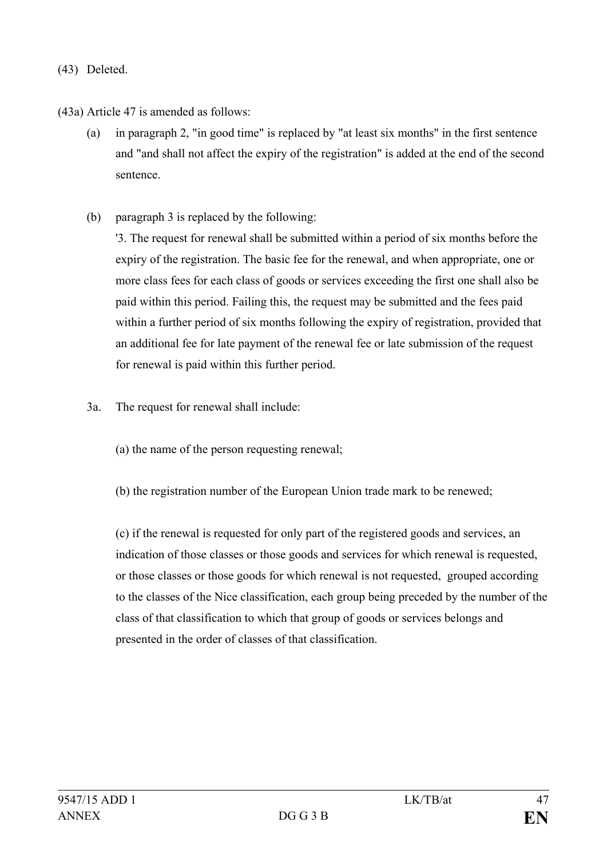(43) Deleted.

(43a) Article 47 is amended as follows:

- (a) in paragraph 2, "in good time" is replaced by "at least six months" in the first sentence and "and shall not affect the expiry of the registration" is added at the end of the second sentence.
- (b) paragraph 3 is replaced by the following:

'3. The request for renewal shall be submitted within a period of six months before the expiry of the registration. The basic fee for the renewal, and when appropriate, one or more class fees for each class of goods or services exceeding the first one shall also be paid within this period. Failing this, the request may be submitted and the fees paid within a further period of six months following the expiry of registration, provided that an additional fee for late payment of the renewal fee or late submission of the request for renewal is paid within this further period.

- 3a. The request for renewal shall include:
	- (a) the name of the person requesting renewal;
	- (b) the registration number of the European Union trade mark to be renewed;

(c) if the renewal is requested for only part of the registered goods and services, an indication of those classes or those goods and services for which renewal is requested, or those classes or those goods for which renewal is not requested, grouped according to the classes of the Nice classification, each group being preceded by the number of the class of that classification to which that group of goods or services belongs and presented in the order of classes of that classification.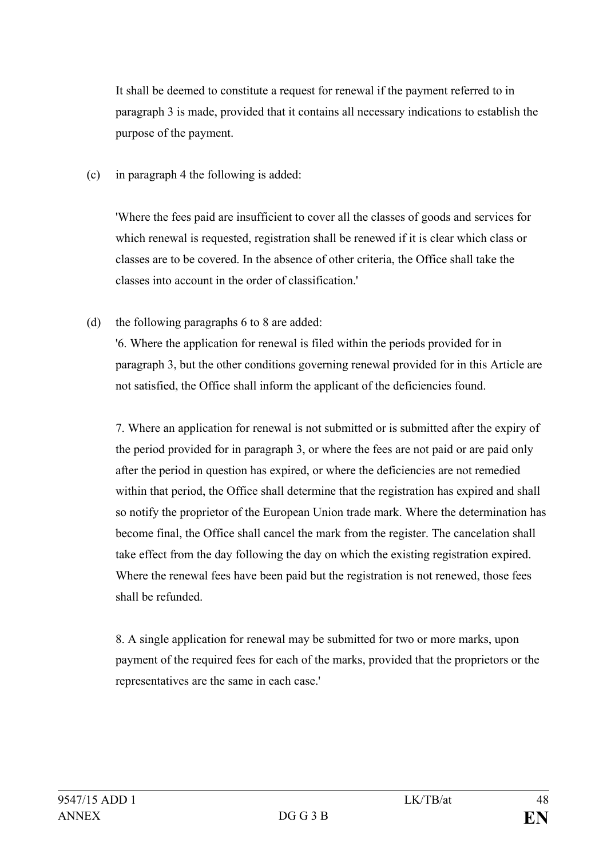It shall be deemed to constitute a request for renewal if the payment referred to in paragraph 3 is made, provided that it contains all necessary indications to establish the purpose of the payment.

(c) in paragraph 4 the following is added:

'Where the fees paid are insufficient to cover all the classes of goods and services for which renewal is requested, registration shall be renewed if it is clear which class or classes are to be covered. In the absence of other criteria, the Office shall take the classes into account in the order of classification.'

(d) the following paragraphs 6 to 8 are added:

'6. Where the application for renewal is filed within the periods provided for in paragraph 3, but the other conditions governing renewal provided for in this Article are not satisfied, the Office shall inform the applicant of the deficiencies found.

7. Where an application for renewal is not submitted or is submitted after the expiry of the period provided for in paragraph 3, or where the fees are not paid or are paid only after the period in question has expired, or where the deficiencies are not remedied within that period, the Office shall determine that the registration has expired and shall so notify the proprietor of the European Union trade mark. Where the determination has become final, the Office shall cancel the mark from the register. The cancelation shall take effect from the day following the day on which the existing registration expired. Where the renewal fees have been paid but the registration is not renewed, those fees shall be refunded.

8. A single application for renewal may be submitted for two or more marks, upon payment of the required fees for each of the marks, provided that the proprietors or the representatives are the same in each case.'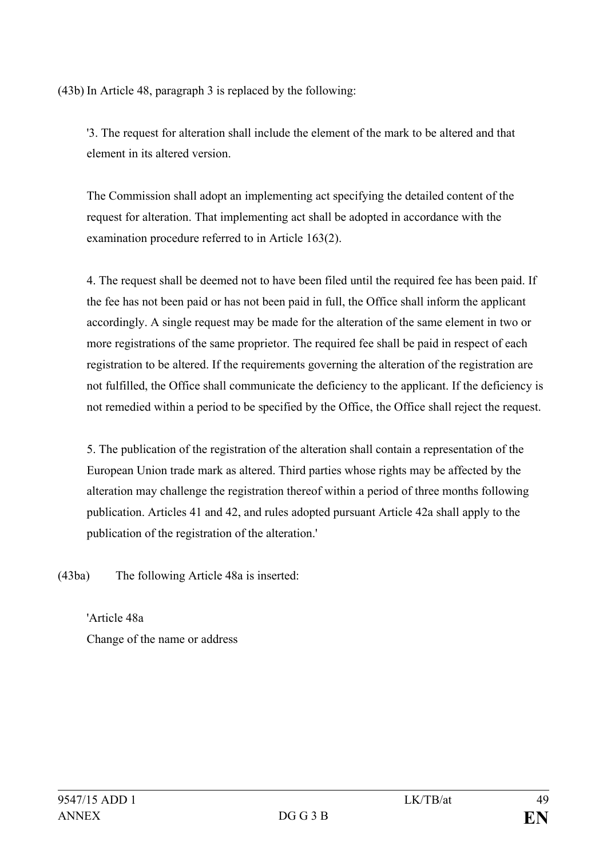(43b) In Article 48, paragraph 3 is replaced by the following:

'3. The request for alteration shall include the element of the mark to be altered and that element in its altered version.

The Commission shall adopt an implementing act specifying the detailed content of the request for alteration. That implementing act shall be adopted in accordance with the examination procedure referred to in Article 163(2).

4. The request shall be deemed not to have been filed until the required fee has been paid. If the fee has not been paid or has not been paid in full, the Office shall inform the applicant accordingly. A single request may be made for the alteration of the same element in two or more registrations of the same proprietor. The required fee shall be paid in respect of each registration to be altered. If the requirements governing the alteration of the registration are not fulfilled, the Office shall communicate the deficiency to the applicant. If the deficiency is not remedied within a period to be specified by the Office, the Office shall reject the request.

5. The publication of the registration of the alteration shall contain a representation of the European Union trade mark as altered. Third parties whose rights may be affected by the alteration may challenge the registration thereof within a period of three months following publication. Articles 41 and 42, and rules adopted pursuant Article 42a shall apply to the publication of the registration of the alteration.'

(43ba) The following Article 48a is inserted:

'Article 48a Change of the name or address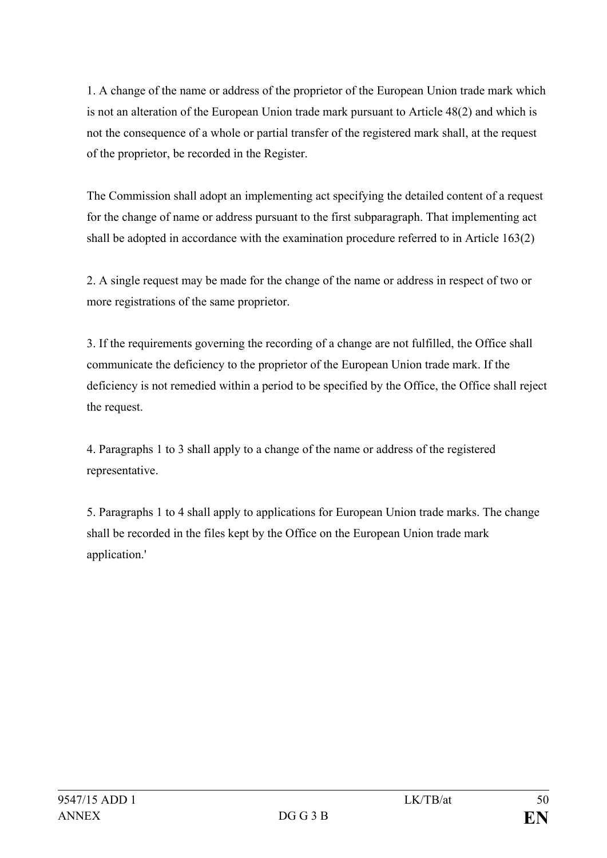1. A change of the name or address of the proprietor of the European Union trade mark which is not an alteration of the European Union trade mark pursuant to Article 48(2) and which is not the consequence of a whole or partial transfer of the registered mark shall, at the request of the proprietor, be recorded in the Register.

The Commission shall adopt an implementing act specifying the detailed content of a request for the change of name or address pursuant to the first subparagraph. That implementing act shall be adopted in accordance with the examination procedure referred to in Article 163(2)

2. A single request may be made for the change of the name or address in respect of two or more registrations of the same proprietor.

3. If the requirements governing the recording of a change are not fulfilled, the Office shall communicate the deficiency to the proprietor of the European Union trade mark. If the deficiency is not remedied within a period to be specified by the Office, the Office shall reject the request.

4. Paragraphs 1 to 3 shall apply to a change of the name or address of the registered representative.

5. Paragraphs 1 to 4 shall apply to applications for European Union trade marks. The change shall be recorded in the files kept by the Office on the European Union trade mark application.'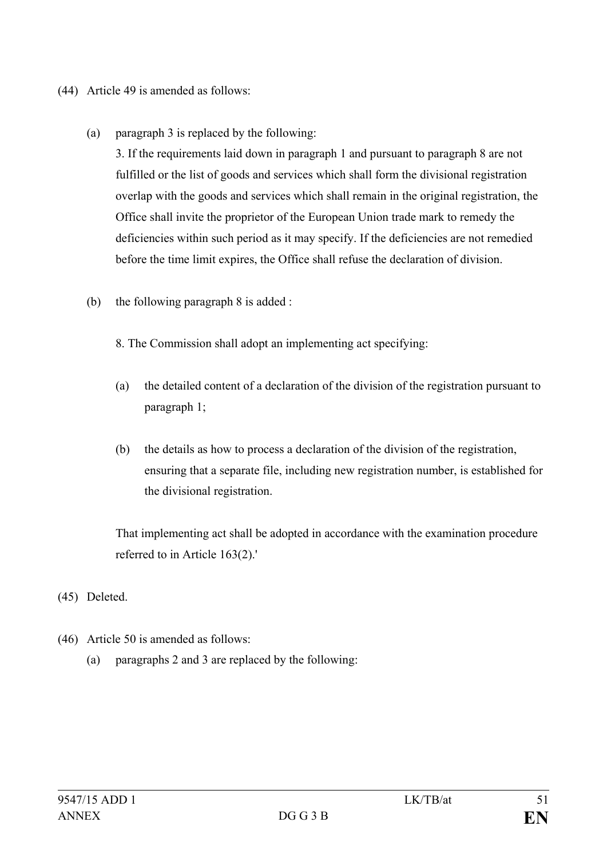- (44) Article 49 is amended as follows:
	- (a) paragraph 3 is replaced by the following:

3. If the requirements laid down in paragraph 1 and pursuant to paragraph 8 are not fulfilled or the list of goods and services which shall form the divisional registration overlap with the goods and services which shall remain in the original registration, the Office shall invite the proprietor of the European Union trade mark to remedy the deficiencies within such period as it may specify. If the deficiencies are not remedied before the time limit expires, the Office shall refuse the declaration of division.

(b) the following paragraph 8 is added :

8. The Commission shall adopt an implementing act specifying:

- (a) the detailed content of a declaration of the division of the registration pursuant to paragraph 1;
- (b) the details as how to process a declaration of the division of the registration, ensuring that a separate file, including new registration number, is established for the divisional registration.

That implementing act shall be adopted in accordance with the examination procedure referred to in Article 163(2).'

- (45) Deleted.
- (46) Article 50 is amended as follows:
	- (a) paragraphs 2 and 3 are replaced by the following: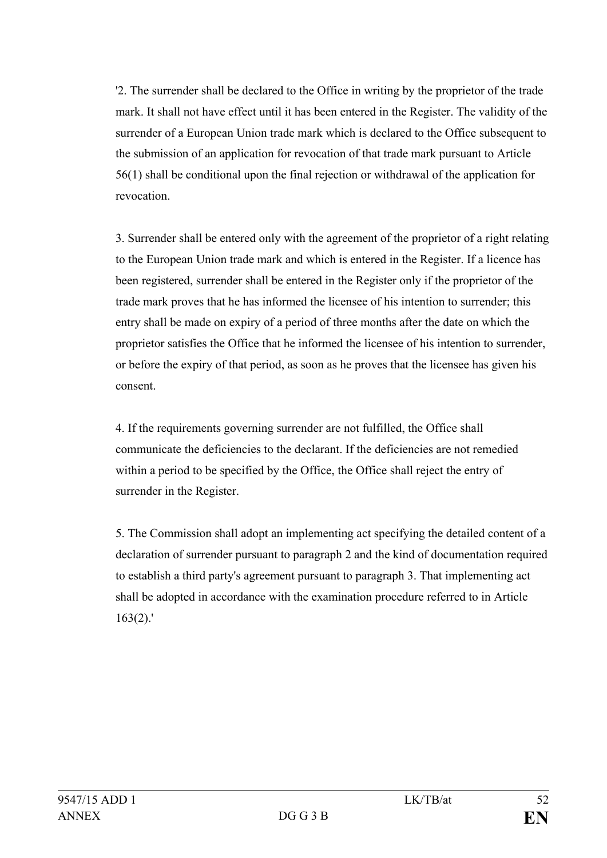'2. The surrender shall be declared to the Office in writing by the proprietor of the trade mark. It shall not have effect until it has been entered in the Register. The validity of the surrender of a European Union trade mark which is declared to the Office subsequent to the submission of an application for revocation of that trade mark pursuant to Article 56(1) shall be conditional upon the final rejection or withdrawal of the application for revocation.

3. Surrender shall be entered only with the agreement of the proprietor of a right relating to the European Union trade mark and which is entered in the Register. If a licence has been registered, surrender shall be entered in the Register only if the proprietor of the trade mark proves that he has informed the licensee of his intention to surrender; this entry shall be made on expiry of a period of three months after the date on which the proprietor satisfies the Office that he informed the licensee of his intention to surrender, or before the expiry of that period, as soon as he proves that the licensee has given his consent.

4. If the requirements governing surrender are not fulfilled, the Office shall communicate the deficiencies to the declarant. If the deficiencies are not remedied within a period to be specified by the Office, the Office shall reject the entry of surrender in the Register.

5. The Commission shall adopt an implementing act specifying the detailed content of a declaration of surrender pursuant to paragraph 2 and the kind of documentation required to establish a third party's agreement pursuant to paragraph 3. That implementing act shall be adopted in accordance with the examination procedure referred to in Article 163(2).'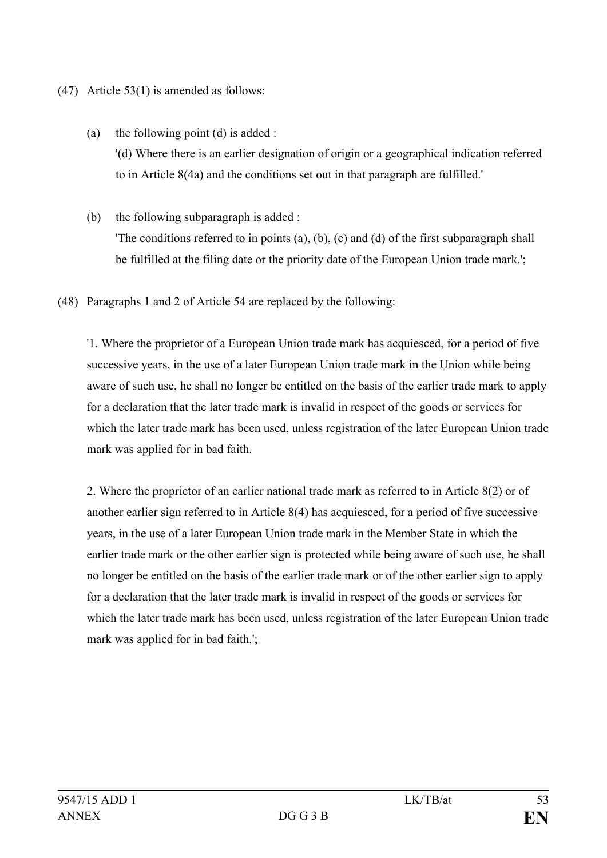- (47) Article 53(1) is amended as follows:
	- (a) the following point (d) is added : '(d) Where there is an earlier designation of origin or a geographical indication referred to in Article 8(4a) and the conditions set out in that paragraph are fulfilled.'
	- (b) the following subparagraph is added : 'The conditions referred to in points (a), (b), (c) and (d) of the first subparagraph shall be fulfilled at the filing date or the priority date of the European Union trade mark.';
- (48) Paragraphs 1 and 2 of Article 54 are replaced by the following:

'1. Where the proprietor of a European Union trade mark has acquiesced, for a period of five successive years, in the use of a later European Union trade mark in the Union while being aware of such use, he shall no longer be entitled on the basis of the earlier trade mark to apply for a declaration that the later trade mark is invalid in respect of the goods or services for which the later trade mark has been used, unless registration of the later European Union trade mark was applied for in bad faith.

2. Where the proprietor of an earlier national trade mark as referred to in Article 8(2) or of another earlier sign referred to in Article 8(4) has acquiesced, for a period of five successive years, in the use of a later European Union trade mark in the Member State in which the earlier trade mark or the other earlier sign is protected while being aware of such use, he shall no longer be entitled on the basis of the earlier trade mark or of the other earlier sign to apply for a declaration that the later trade mark is invalid in respect of the goods or services for which the later trade mark has been used, unless registration of the later European Union trade mark was applied for in bad faith.';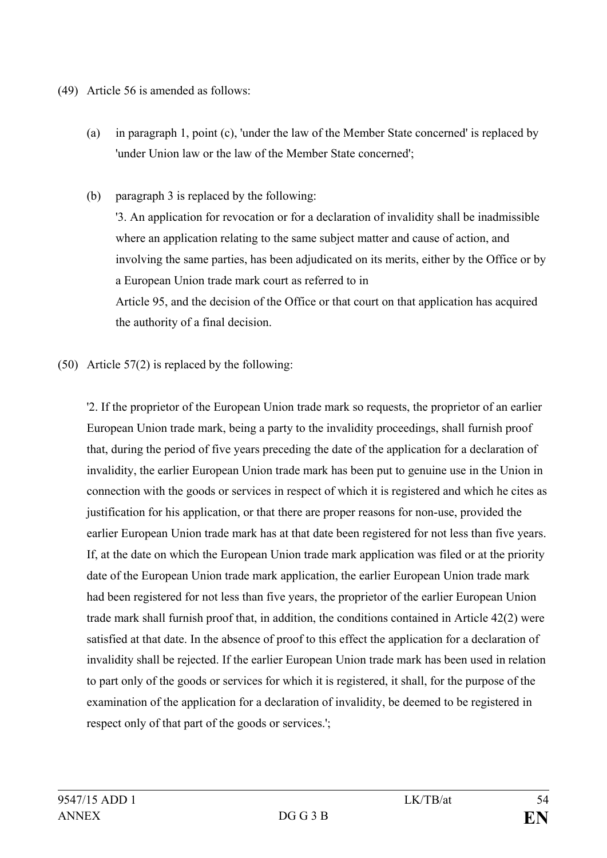- (49) Article 56 is amended as follows:
	- (a) in paragraph 1, point (c), 'under the law of the Member State concerned' is replaced by 'under Union law or the law of the Member State concerned';
	- (b) paragraph 3 is replaced by the following:

'3. An application for revocation or for a declaration of invalidity shall be inadmissible where an application relating to the same subject matter and cause of action, and involving the same parties, has been adjudicated on its merits, either by the Office or by a European Union trade mark court as referred to in Article 95, and the decision of the Office or that court on that application has acquired the authority of a final decision.

(50) Article 57(2) is replaced by the following:

'2. If the proprietor of the European Union trade mark so requests, the proprietor of an earlier European Union trade mark, being a party to the invalidity proceedings, shall furnish proof that, during the period of five years preceding the date of the application for a declaration of invalidity, the earlier European Union trade mark has been put to genuine use in the Union in connection with the goods or services in respect of which it is registered and which he cites as justification for his application, or that there are proper reasons for non-use, provided the earlier European Union trade mark has at that date been registered for not less than five years. If, at the date on which the European Union trade mark application was filed or at the priority date of the European Union trade mark application, the earlier European Union trade mark had been registered for not less than five years, the proprietor of the earlier European Union trade mark shall furnish proof that, in addition, the conditions contained in Article 42(2) were satisfied at that date. In the absence of proof to this effect the application for a declaration of invalidity shall be rejected. If the earlier European Union trade mark has been used in relation to part only of the goods or services for which it is registered, it shall, for the purpose of the examination of the application for a declaration of invalidity, be deemed to be registered in respect only of that part of the goods or services.';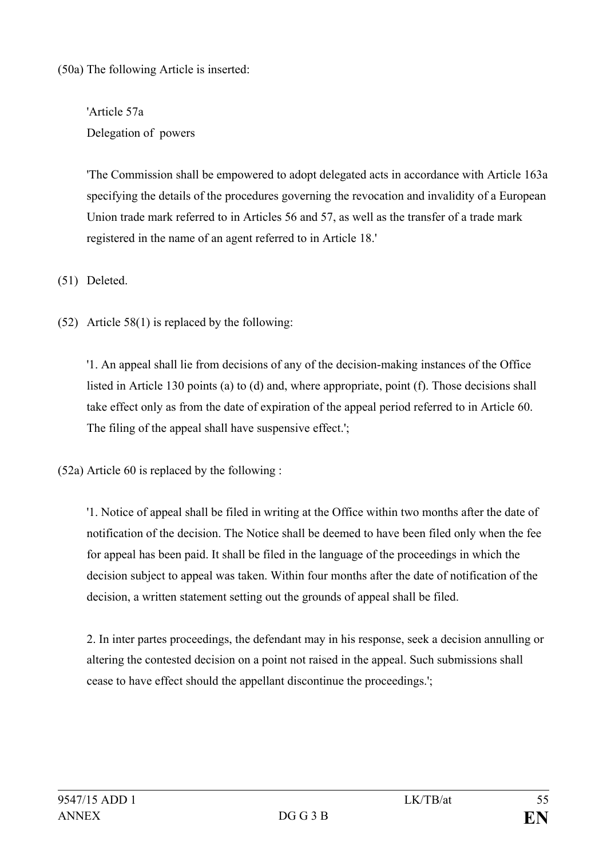(50a) The following Article is inserted:

'Article 57a Delegation of powers

'The Commission shall be empowered to adopt delegated acts in accordance with Article 163a specifying the details of the procedures governing the revocation and invalidity of a European Union trade mark referred to in Articles 56 and 57, as well as the transfer of a trade mark registered in the name of an agent referred to in Article 18.'

(51) Deleted.

(52) Article 58(1) is replaced by the following:

'1. An appeal shall lie from decisions of any of the decision-making instances of the Office listed in Article 130 points (a) to (d) and, where appropriate, point (f). Those decisions shall take effect only as from the date of expiration of the appeal period referred to in Article 60. The filing of the appeal shall have suspensive effect.';

(52a) Article 60 is replaced by the following :

'1. Notice of appeal shall be filed in writing at the Office within two months after the date of notification of the decision. The Notice shall be deemed to have been filed only when the fee for appeal has been paid. It shall be filed in the language of the proceedings in which the decision subject to appeal was taken. Within four months after the date of notification of the decision, a written statement setting out the grounds of appeal shall be filed.

2. In inter partes proceedings, the defendant may in his response, seek a decision annulling or altering the contested decision on a point not raised in the appeal. Such submissions shall cease to have effect should the appellant discontinue the proceedings.';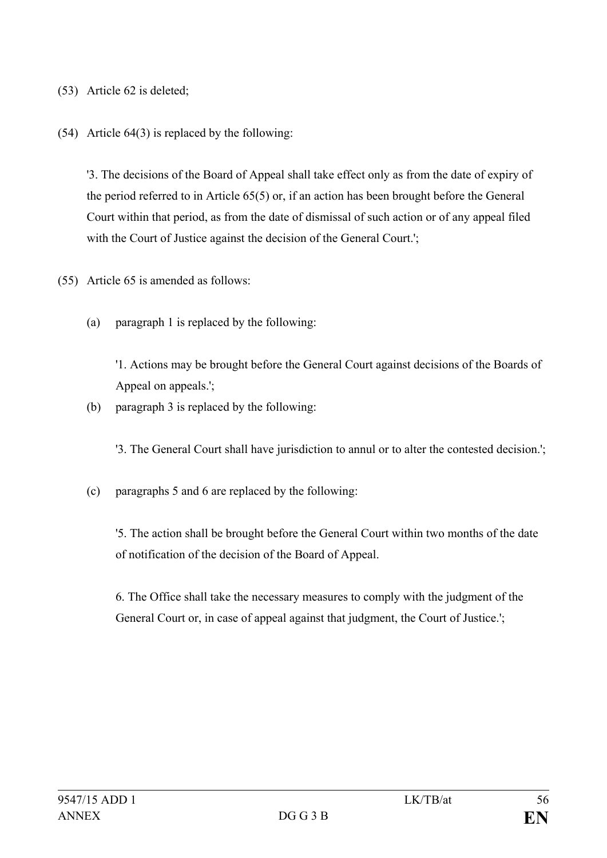- (53) Article 62 is deleted;
- (54) Article 64(3) is replaced by the following:

'3. The decisions of the Board of Appeal shall take effect only as from the date of expiry of the period referred to in Article 65(5) or, if an action has been brought before the General Court within that period, as from the date of dismissal of such action or of any appeal filed with the Court of Justice against the decision of the General Court.';

- (55) Article 65 is amended as follows:
	- (a) paragraph 1 is replaced by the following:

'1. Actions may be brought before the General Court against decisions of the Boards of Appeal on appeals.';

(b) paragraph 3 is replaced by the following:

'3. The General Court shall have jurisdiction to annul or to alter the contested decision.';

(c) paragraphs 5 and 6 are replaced by the following:

'5. The action shall be brought before the General Court within two months of the date of notification of the decision of the Board of Appeal.

6. The Office shall take the necessary measures to comply with the judgment of the General Court or, in case of appeal against that judgment, the Court of Justice.';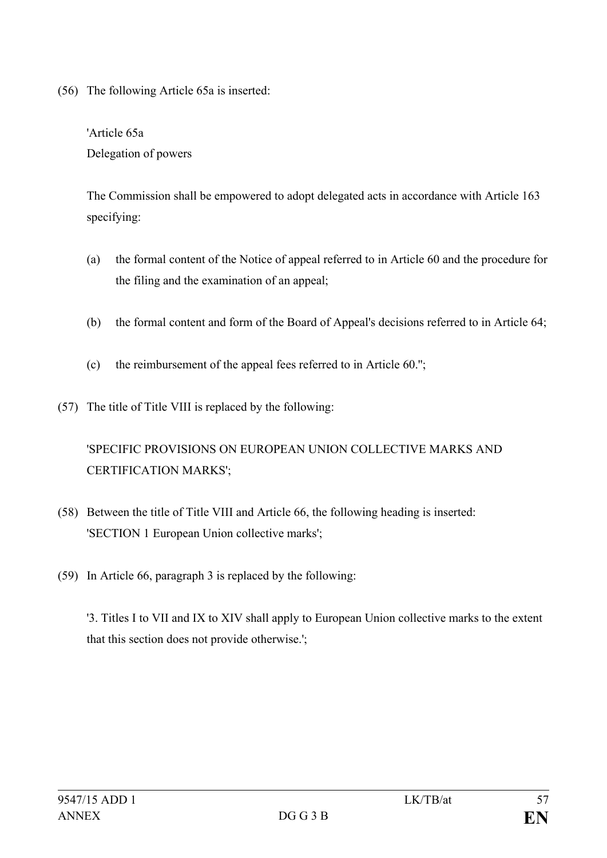(56) The following Article 65a is inserted:

'Article 65a Delegation of powers

The Commission shall be empowered to adopt delegated acts in accordance with Article 163 specifying:

- (a) the formal content of the Notice of appeal referred to in Article 60 and the procedure for the filing and the examination of an appeal;
- (b) the formal content and form of the Board of Appeal's decisions referred to in Article 64;
- (c) the reimbursement of the appeal fees referred to in Article 60.'';
- (57) The title of Title VIII is replaced by the following:

## 'SPECIFIC PROVISIONS ON EUROPEAN UNION COLLECTIVE MARKS AND CERTIFICATION MARKS';

- (58) Between the title of Title VIII and Article 66, the following heading is inserted: 'SECTION 1 European Union collective marks';
- (59) In Article 66, paragraph 3 is replaced by the following:

'3. Titles I to VII and IX to XIV shall apply to European Union collective marks to the extent that this section does not provide otherwise.';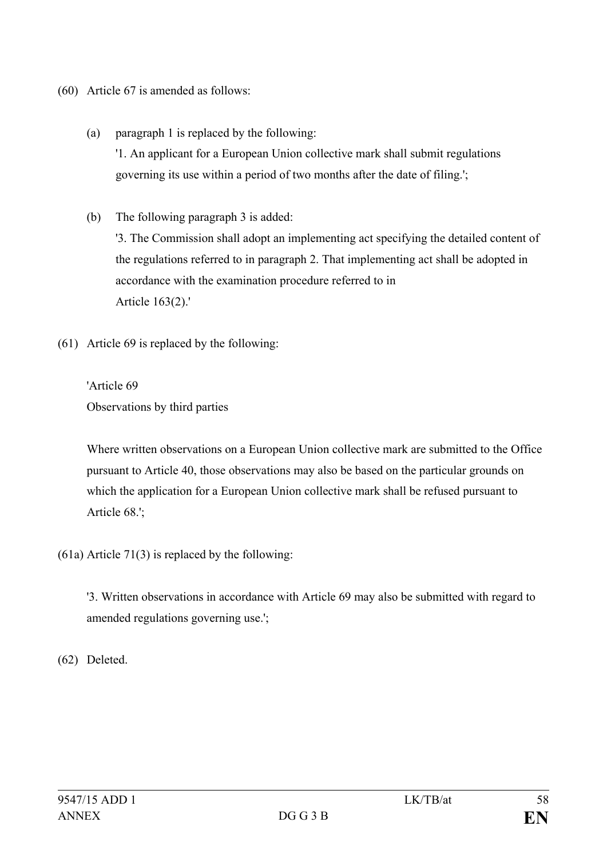- (60) Article 67 is amended as follows:
	- (a) paragraph 1 is replaced by the following: '1. An applicant for a European Union collective mark shall submit regulations governing its use within a period of two months after the date of filing.';
	- (b) The following paragraph 3 is added: '3. The Commission shall adopt an implementing act specifying the detailed content of the regulations referred to in paragraph 2. That implementing act shall be adopted in accordance with the examination procedure referred to in Article 163(2).'
- (61) Article 69 is replaced by the following:

'Article 69 Observations by third parties

Where written observations on a European Union collective mark are submitted to the Office pursuant to Article 40, those observations may also be based on the particular grounds on which the application for a European Union collective mark shall be refused pursuant to Article 68.';

(61a) Article 71(3) is replaced by the following:

'3. Written observations in accordance with Article 69 may also be submitted with regard to amended regulations governing use.';

(62) Deleted.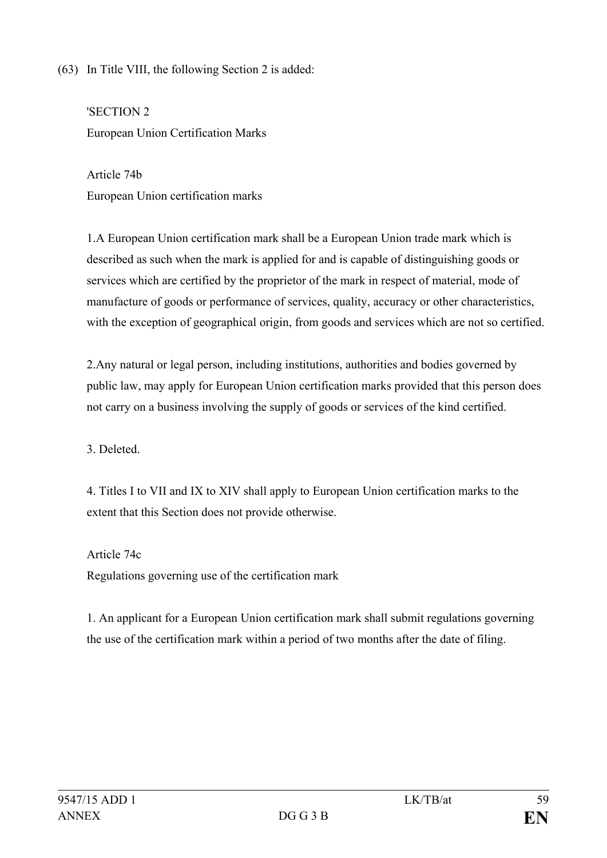(63) In Title VIII, the following Section 2 is added:

'SECTION 2 European Union Certification Marks

Article 74b European Union certification marks

1.A European Union certification mark shall be a European Union trade mark which is described as such when the mark is applied for and is capable of distinguishing goods or services which are certified by the proprietor of the mark in respect of material, mode of manufacture of goods or performance of services, quality, accuracy or other characteristics, with the exception of geographical origin, from goods and services which are not so certified.

2.Any natural or legal person, including institutions, authorities and bodies governed by public law, may apply for European Union certification marks provided that this person does not carry on a business involving the supply of goods or services of the kind certified.

3. Deleted.

4. Titles I to VII and IX to XIV shall apply to European Union certification marks to the extent that this Section does not provide otherwise.

Article 74c Regulations governing use of the certification mark

1. An applicant for a European Union certification mark shall submit regulations governing the use of the certification mark within a period of two months after the date of filing.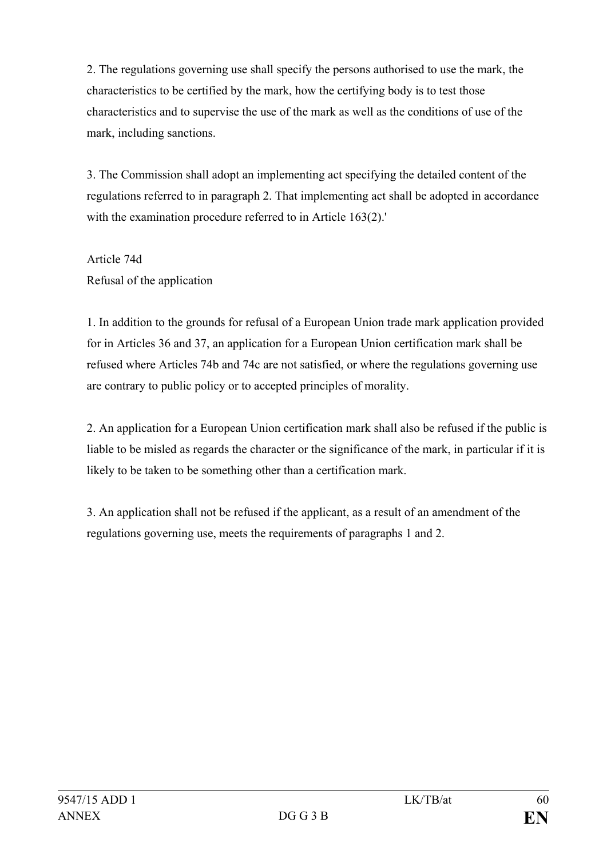2. The regulations governing use shall specify the persons authorised to use the mark, the characteristics to be certified by the mark, how the certifying body is to test those characteristics and to supervise the use of the mark as well as the conditions of use of the mark, including sanctions.

3. The Commission shall adopt an implementing act specifying the detailed content of the regulations referred to in paragraph 2. That implementing act shall be adopted in accordance with the examination procedure referred to in Article 163(2).'

Article 74d Refusal of the application

1. In addition to the grounds for refusal of a European Union trade mark application provided for in Articles 36 and 37, an application for a European Union certification mark shall be refused where Articles 74b and 74c are not satisfied, or where the regulations governing use are contrary to public policy or to accepted principles of morality.

2. An application for a European Union certification mark shall also be refused if the public is liable to be misled as regards the character or the significance of the mark, in particular if it is likely to be taken to be something other than a certification mark.

3. An application shall not be refused if the applicant, as a result of an amendment of the regulations governing use, meets the requirements of paragraphs 1 and 2.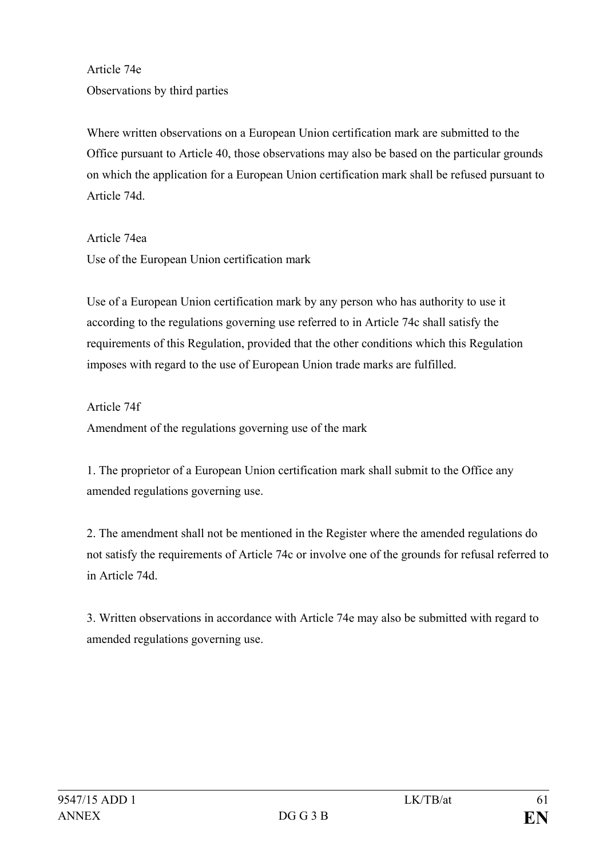Article 74e Observations by third parties

Where written observations on a European Union certification mark are submitted to the Office pursuant to Article 40, those observations may also be based on the particular grounds on which the application for a European Union certification mark shall be refused pursuant to Article 74d.

Article 74ea Use of the European Union certification mark

Use of a European Union certification mark by any person who has authority to use it according to the regulations governing use referred to in Article 74c shall satisfy the requirements of this Regulation, provided that the other conditions which this Regulation imposes with regard to the use of European Union trade marks are fulfilled.

Article 74f Amendment of the regulations governing use of the mark

1. The proprietor of a European Union certification mark shall submit to the Office any amended regulations governing use.

2. The amendment shall not be mentioned in the Register where the amended regulations do not satisfy the requirements of Article 74c or involve one of the grounds for refusal referred to in Article 74d.

3. Written observations in accordance with Article 74e may also be submitted with regard to amended regulations governing use.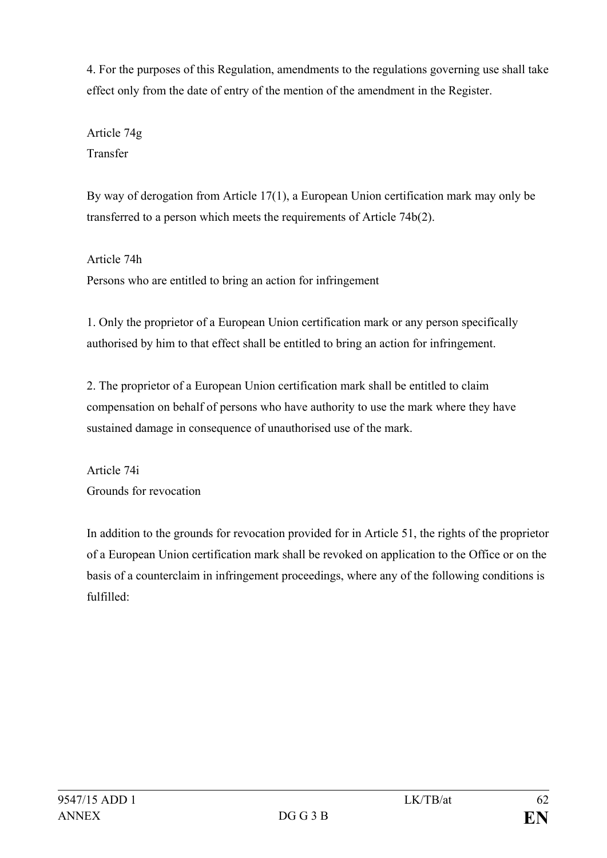4. For the purposes of this Regulation, amendments to the regulations governing use shall take effect only from the date of entry of the mention of the amendment in the Register.

Article 74g Transfer

By way of derogation from Article 17(1), a European Union certification mark may only be transferred to a person which meets the requirements of Article 74b(2).

Article 74h Persons who are entitled to bring an action for infringement

1. Only the proprietor of a European Union certification mark or any person specifically authorised by him to that effect shall be entitled to bring an action for infringement.

2. The proprietor of a European Union certification mark shall be entitled to claim compensation on behalf of persons who have authority to use the mark where they have sustained damage in consequence of unauthorised use of the mark.

Article 74i Grounds for revocation

In addition to the grounds for revocation provided for in Article 51, the rights of the proprietor of a European Union certification mark shall be revoked on application to the Office or on the basis of a counterclaim in infringement proceedings, where any of the following conditions is fulfilled: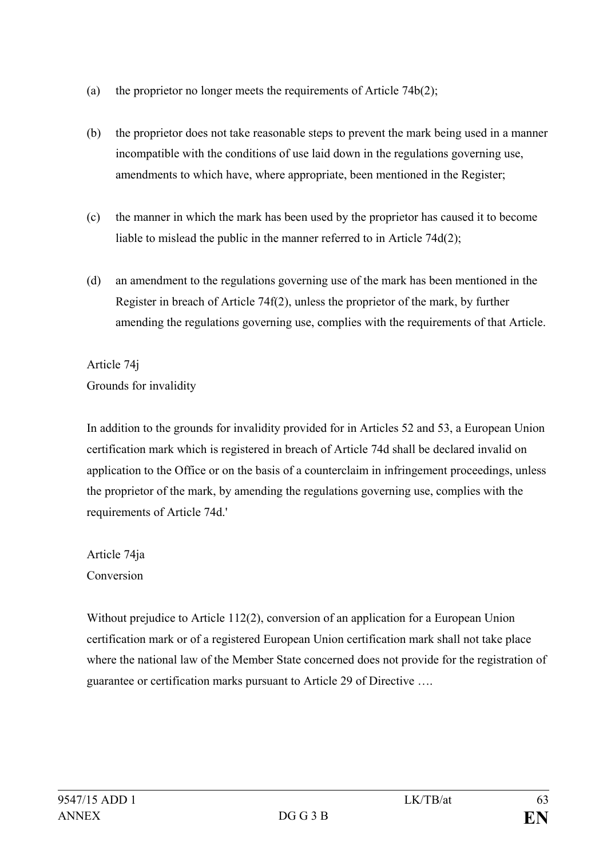- (a) the proprietor no longer meets the requirements of Article  $74b(2)$ ;
- (b) the proprietor does not take reasonable steps to prevent the mark being used in a manner incompatible with the conditions of use laid down in the regulations governing use, amendments to which have, where appropriate, been mentioned in the Register;
- (c) the manner in which the mark has been used by the proprietor has caused it to become liable to mislead the public in the manner referred to in Article 74d(2);
- (d) an amendment to the regulations governing use of the mark has been mentioned in the Register in breach of Article 74f(2), unless the proprietor of the mark, by further amending the regulations governing use, complies with the requirements of that Article.

Article 74j Grounds for invalidity

In addition to the grounds for invalidity provided for in Articles 52 and 53, a European Union certification mark which is registered in breach of Article 74d shall be declared invalid on application to the Office or on the basis of a counterclaim in infringement proceedings, unless the proprietor of the mark, by amending the regulations governing use, complies with the requirements of Article 74d.'

Article 74ja Conversion

Without prejudice to Article 112(2), conversion of an application for a European Union certification mark or of a registered European Union certification mark shall not take place where the national law of the Member State concerned does not provide for the registration of guarantee or certification marks pursuant to Article 29 of Directive ….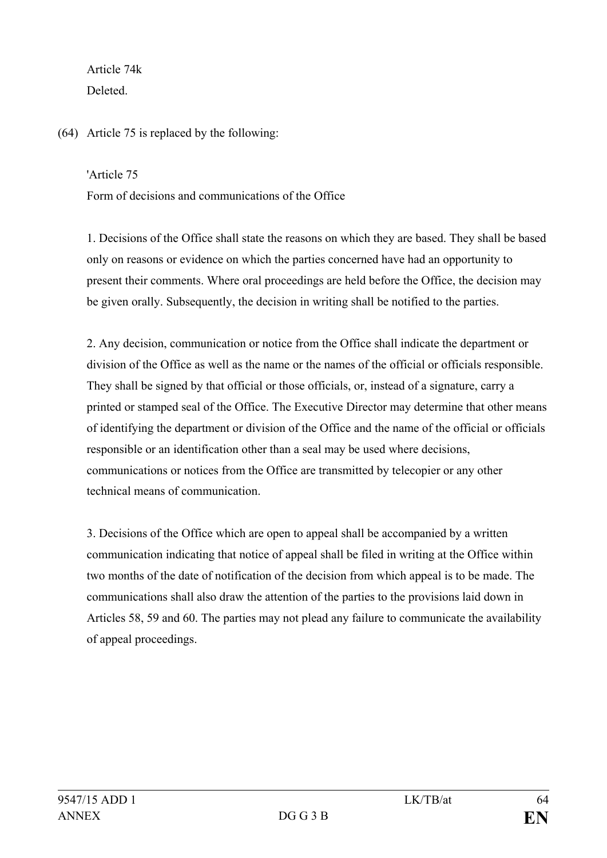Article 74k **Deleted** 

(64) Article 75 is replaced by the following:

'Article 75

Form of decisions and communications of the Office

1. Decisions of the Office shall state the reasons on which they are based. They shall be based only on reasons or evidence on which the parties concerned have had an opportunity to present their comments. Where oral proceedings are held before the Office, the decision may be given orally. Subsequently, the decision in writing shall be notified to the parties.

2. Any decision, communication or notice from the Office shall indicate the department or division of the Office as well as the name or the names of the official or officials responsible. They shall be signed by that official or those officials, or, instead of a signature, carry a printed or stamped seal of the Office. The Executive Director may determine that other means of identifying the department or division of the Office and the name of the official or officials responsible or an identification other than a seal may be used where decisions, communications or notices from the Office are transmitted by telecopier or any other technical means of communication.

3. Decisions of the Office which are open to appeal shall be accompanied by a written communication indicating that notice of appeal shall be filed in writing at the Office within two months of the date of notification of the decision from which appeal is to be made. The communications shall also draw the attention of the parties to the provisions laid down in Articles 58, 59 and 60. The parties may not plead any failure to communicate the availability of appeal proceedings.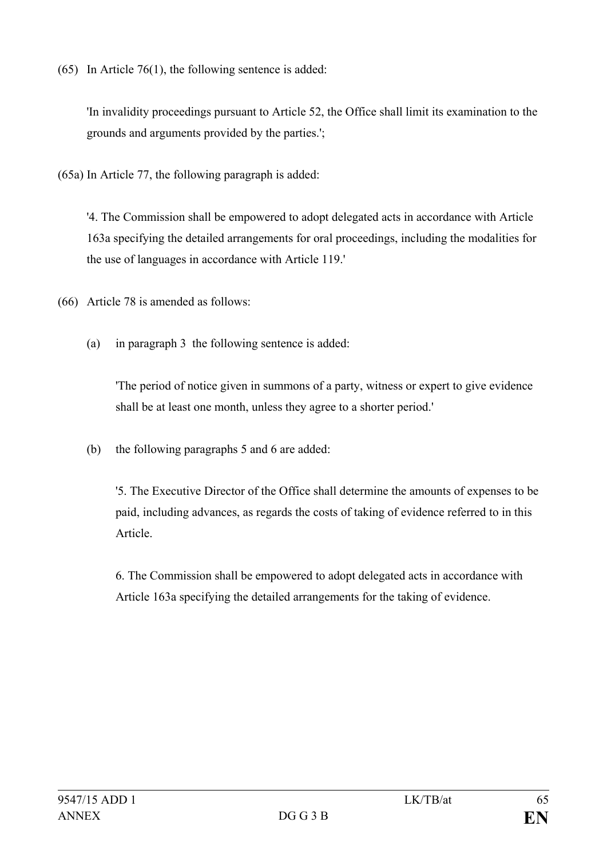(65) In Article 76(1), the following sentence is added:

'In invalidity proceedings pursuant to Article 52, the Office shall limit its examination to the grounds and arguments provided by the parties.';

(65a) In Article 77, the following paragraph is added:

'4. The Commission shall be empowered to adopt delegated acts in accordance with Article 163a specifying the detailed arrangements for oral proceedings, including the modalities for the use of languages in accordance with Article 119.'

(66) Article 78 is amended as follows:

(a) in paragraph 3 the following sentence is added:

'The period of notice given in summons of a party, witness or expert to give evidence shall be at least one month, unless they agree to a shorter period.'

(b) the following paragraphs 5 and 6 are added:

'5. The Executive Director of the Office shall determine the amounts of expenses to be paid, including advances, as regards the costs of taking of evidence referred to in this Article.

6. The Commission shall be empowered to adopt delegated acts in accordance with Article 163a specifying the detailed arrangements for the taking of evidence.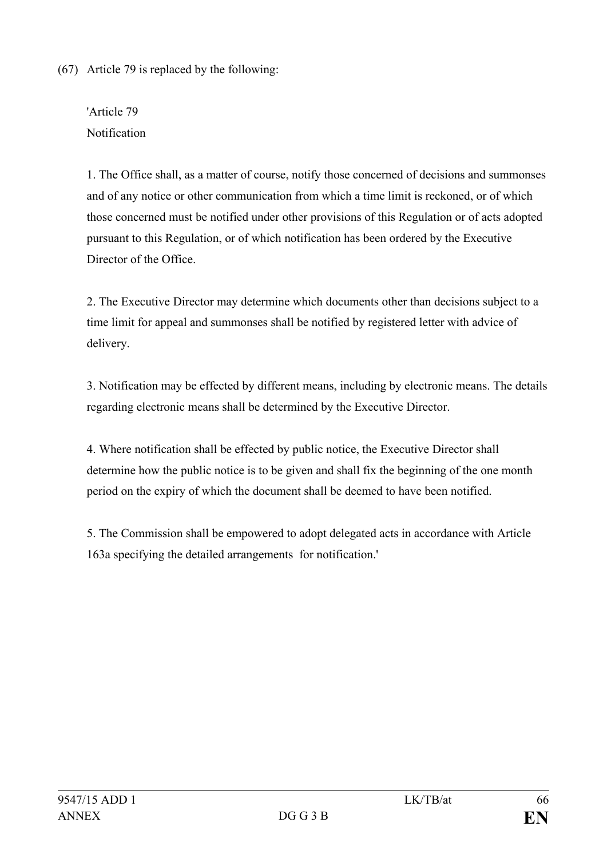(67) Article 79 is replaced by the following:

'Article 79 Notification

1. The Office shall, as a matter of course, notify those concerned of decisions and summonses and of any notice or other communication from which a time limit is reckoned, or of which those concerned must be notified under other provisions of this Regulation or of acts adopted pursuant to this Regulation, or of which notification has been ordered by the Executive Director of the Office.

2. The Executive Director may determine which documents other than decisions subject to a time limit for appeal and summonses shall be notified by registered letter with advice of delivery.

3. Notification may be effected by different means, including by electronic means. The details regarding electronic means shall be determined by the Executive Director.

4. Where notification shall be effected by public notice, the Executive Director shall determine how the public notice is to be given and shall fix the beginning of the one month period on the expiry of which the document shall be deemed to have been notified.

5. The Commission shall be empowered to adopt delegated acts in accordance with Article 163a specifying the detailed arrangements for notification.'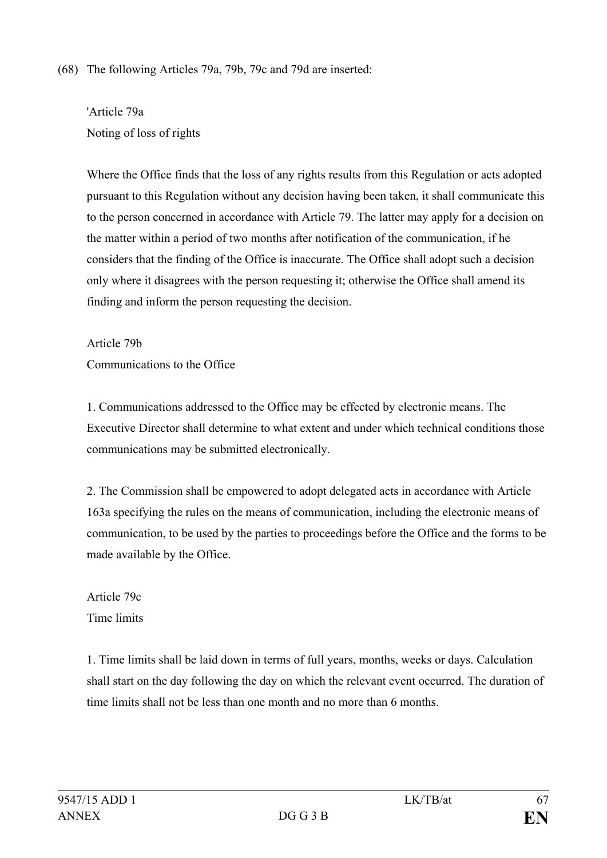## (68) The following Articles 79a, 79b, 79c and 79d are inserted:

'Article 79a Noting of loss of rights

Where the Office finds that the loss of any rights results from this Regulation or acts adopted pursuant to this Regulation without any decision having been taken, it shall communicate this to the person concerned in accordance with Article 79. The latter may apply for a decision on the matter within a period of two months after notification of the communication, if he considers that the finding of the Office is inaccurate. The Office shall adopt such a decision only where it disagrees with the person requesting it; otherwise the Office shall amend its finding and inform the person requesting the decision.

Article 79b

Communications to the Office

1. Communications addressed to the Office may be effected by electronic means. The Executive Director shall determine to what extent and under which technical conditions those communications may be submitted electronically.

2. The Commission shall be empowered to adopt delegated acts in accordance with Article 163a specifying the rules on the means of communication, including the electronic means of communication, to be used by the parties to proceedings before the Office and the forms to be made available by the Office.

Article 79c Time limits

1. Time limits shall be laid down in terms of full years, months, weeks or days. Calculation shall start on the day following the day on which the relevant event occurred. The duration of time limits shall not be less than one month and no more than 6 months.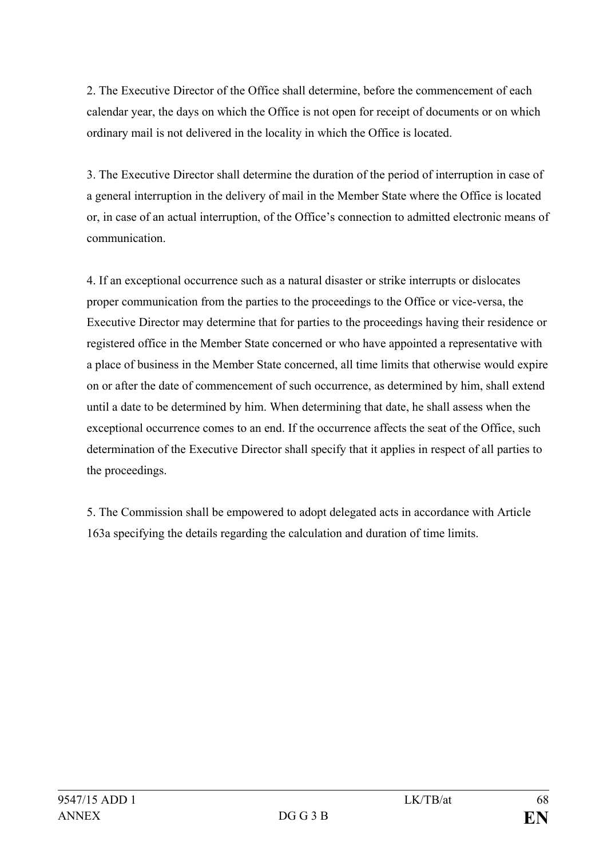2. The Executive Director of the Office shall determine, before the commencement of each calendar year, the days on which the Office is not open for receipt of documents or on which ordinary mail is not delivered in the locality in which the Office is located.

3. The Executive Director shall determine the duration of the period of interruption in case of a general interruption in the delivery of mail in the Member State where the Office is located or, in case of an actual interruption, of the Office's connection to admitted electronic means of communication.

4. If an exceptional occurrence such as a natural disaster or strike interrupts or dislocates proper communication from the parties to the proceedings to the Office or vice-versa, the Executive Director may determine that for parties to the proceedings having their residence or registered office in the Member State concerned or who have appointed a representative with a place of business in the Member State concerned, all time limits that otherwise would expire on or after the date of commencement of such occurrence, as determined by him, shall extend until a date to be determined by him. When determining that date, he shall assess when the exceptional occurrence comes to an end. If the occurrence affects the seat of the Office, such determination of the Executive Director shall specify that it applies in respect of all parties to the proceedings.

5. The Commission shall be empowered to adopt delegated acts in accordance with Article 163a specifying the details regarding the calculation and duration of time limits.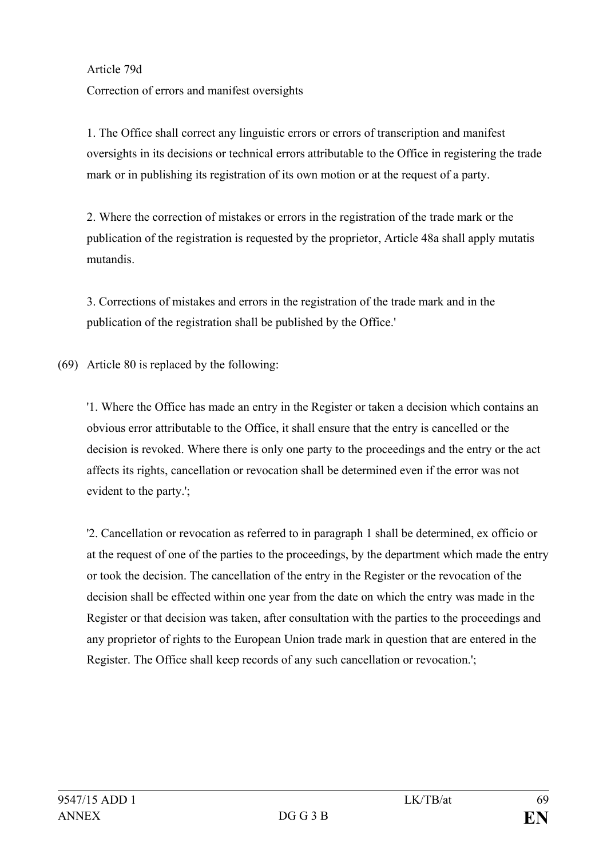Article 79d

Correction of errors and manifest oversights

1. The Office shall correct any linguistic errors or errors of transcription and manifest oversights in its decisions or technical errors attributable to the Office in registering the trade mark or in publishing its registration of its own motion or at the request of a party.

2. Where the correction of mistakes or errors in the registration of the trade mark or the publication of the registration is requested by the proprietor, Article 48a shall apply mutatis mutandis.

3. Corrections of mistakes and errors in the registration of the trade mark and in the publication of the registration shall be published by the Office.'

(69) Article 80 is replaced by the following:

'1. Where the Office has made an entry in the Register or taken a decision which contains an obvious error attributable to the Office, it shall ensure that the entry is cancelled or the decision is revoked. Where there is only one party to the proceedings and the entry or the act affects its rights, cancellation or revocation shall be determined even if the error was not evident to the party.';

'2. Cancellation or revocation as referred to in paragraph 1 shall be determined, ex officio or at the request of one of the parties to the proceedings, by the department which made the entry or took the decision. The cancellation of the entry in the Register or the revocation of the decision shall be effected within one year from the date on which the entry was made in the Register or that decision was taken, after consultation with the parties to the proceedings and any proprietor of rights to the European Union trade mark in question that are entered in the Register. The Office shall keep records of any such cancellation or revocation.';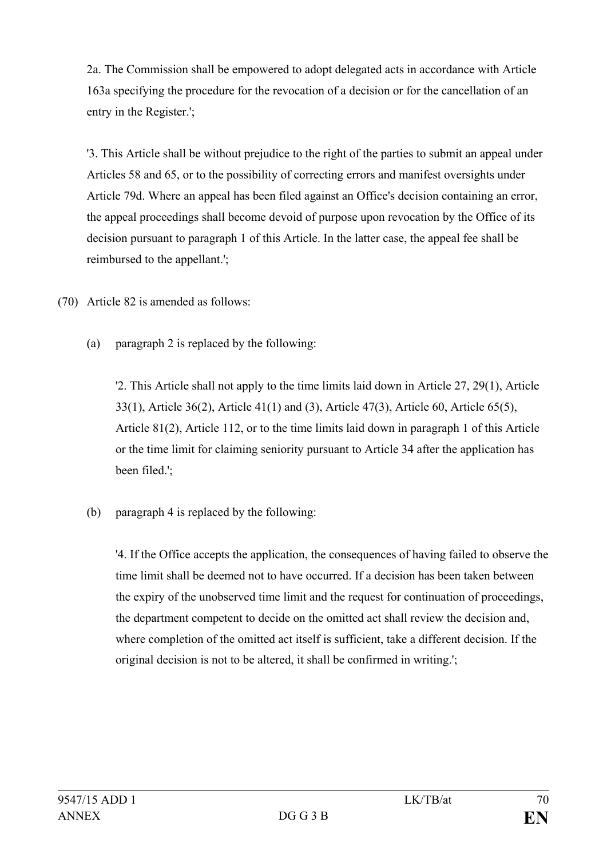2a. The Commission shall be empowered to adopt delegated acts in accordance with Article 163a specifying the procedure for the revocation of a decision or for the cancellation of an entry in the Register.';

'3. This Article shall be without prejudice to the right of the parties to submit an appeal under Articles 58 and 65, or to the possibility of correcting errors and manifest oversights under Article 79d. Where an appeal has been filed against an Office's decision containing an error, the appeal proceedings shall become devoid of purpose upon revocation by the Office of its decision pursuant to paragraph 1 of this Article. In the latter case, the appeal fee shall be reimbursed to the appellant.';

(70) Article 82 is amended as follows:

(a) paragraph 2 is replaced by the following:

'2. This Article shall not apply to the time limits laid down in Article 27, 29(1), Article 33(1), Article 36(2), Article 41(1) and (3), Article 47(3), Article 60, Article 65(5), Article 81(2), Article 112, or to the time limits laid down in paragraph 1 of this Article or the time limit for claiming seniority pursuant to Article 34 after the application has been filed.';

(b) paragraph 4 is replaced by the following:

'4. If the Office accepts the application, the consequences of having failed to observe the time limit shall be deemed not to have occurred. If a decision has been taken between the expiry of the unobserved time limit and the request for continuation of proceedings, the department competent to decide on the omitted act shall review the decision and, where completion of the omitted act itself is sufficient, take a different decision. If the original decision is not to be altered, it shall be confirmed in writing.';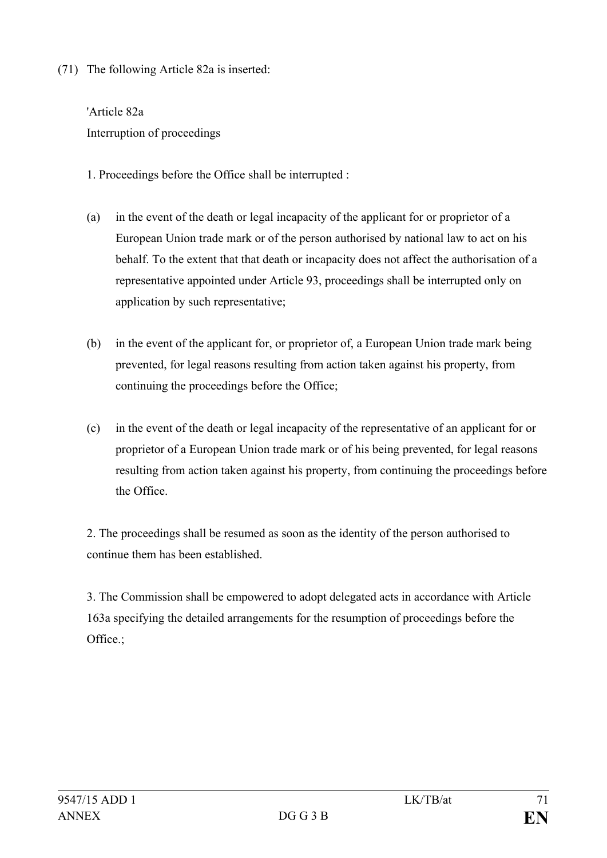(71) The following Article 82a is inserted:

'Article 82a Interruption of proceedings

- 1. Proceedings before the Office shall be interrupted :
- (a) in the event of the death or legal incapacity of the applicant for or proprietor of a European Union trade mark or of the person authorised by national law to act on his behalf. To the extent that that death or incapacity does not affect the authorisation of a representative appointed under Article 93, proceedings shall be interrupted only on application by such representative;
- (b) in the event of the applicant for, or proprietor of, a European Union trade mark being prevented, for legal reasons resulting from action taken against his property, from continuing the proceedings before the Office;
- (c) in the event of the death or legal incapacity of the representative of an applicant for or proprietor of a European Union trade mark or of his being prevented, for legal reasons resulting from action taken against his property, from continuing the proceedings before the Office.

2. The proceedings shall be resumed as soon as the identity of the person authorised to continue them has been established.

3. The Commission shall be empowered to adopt delegated acts in accordance with Article 163a specifying the detailed arrangements for the resumption of proceedings before the Office.;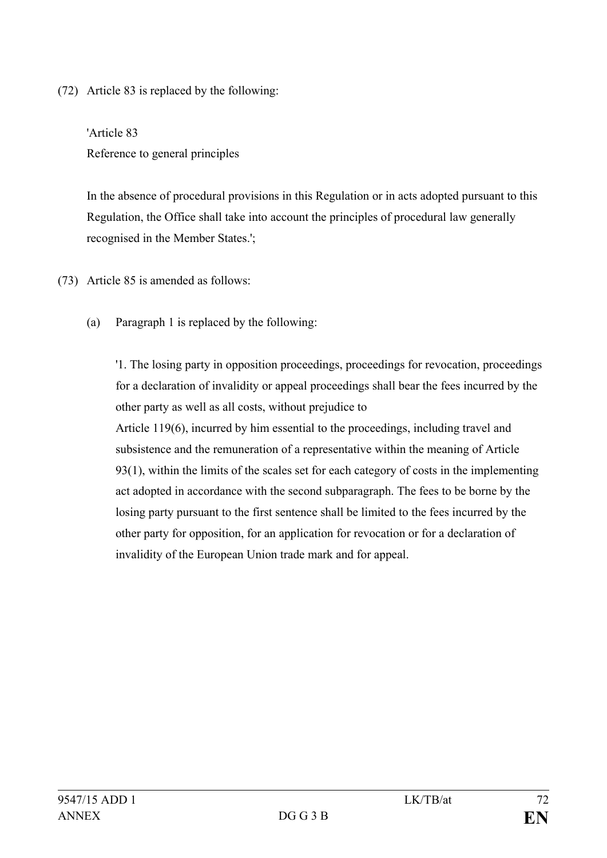(72) Article 83 is replaced by the following:

'Article 83 Reference to general principles

In the absence of procedural provisions in this Regulation or in acts adopted pursuant to this Regulation, the Office shall take into account the principles of procedural law generally recognised in the Member States.';

- (73) Article 85 is amended as follows:
	- (a) Paragraph 1 is replaced by the following:

'1. The losing party in opposition proceedings, proceedings for revocation, proceedings for a declaration of invalidity or appeal proceedings shall bear the fees incurred by the other party as well as all costs, without prejudice to Article 119(6), incurred by him essential to the proceedings, including travel and subsistence and the remuneration of a representative within the meaning of Article 93(1), within the limits of the scales set for each category of costs in the implementing act adopted in accordance with the second subparagraph. The fees to be borne by the losing party pursuant to the first sentence shall be limited to the fees incurred by the other party for opposition, for an application for revocation or for a declaration of invalidity of the European Union trade mark and for appeal.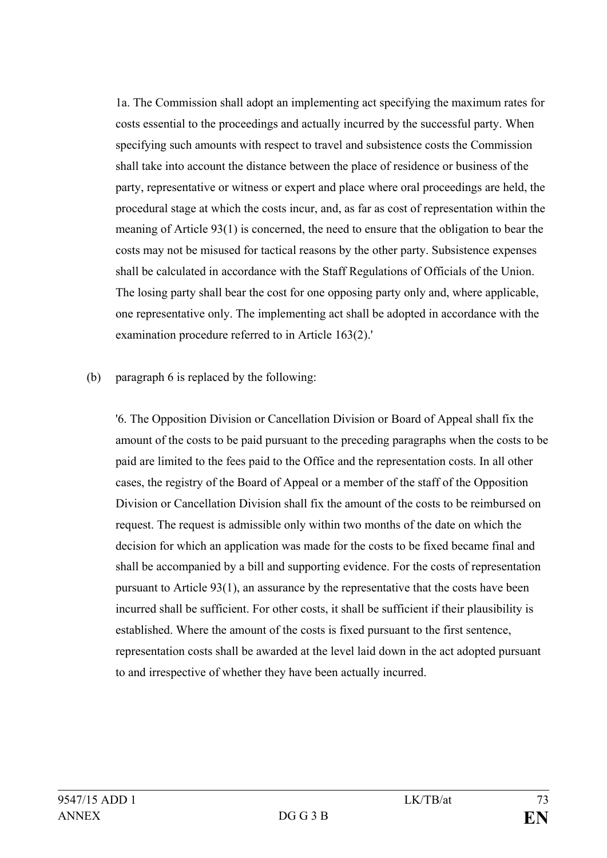1a. The Commission shall adopt an implementing act specifying the maximum rates for costs essential to the proceedings and actually incurred by the successful party. When specifying such amounts with respect to travel and subsistence costs the Commission shall take into account the distance between the place of residence or business of the party, representative or witness or expert and place where oral proceedings are held, the procedural stage at which the costs incur, and, as far as cost of representation within the meaning of Article 93(1) is concerned, the need to ensure that the obligation to bear the costs may not be misused for tactical reasons by the other party. Subsistence expenses shall be calculated in accordance with the Staff Regulations of Officials of the Union. The losing party shall bear the cost for one opposing party only and, where applicable, one representative only. The implementing act shall be adopted in accordance with the examination procedure referred to in Article 163(2).'

## (b) paragraph 6 is replaced by the following:

'6. The Opposition Division or Cancellation Division or Board of Appeal shall fix the amount of the costs to be paid pursuant to the preceding paragraphs when the costs to be paid are limited to the fees paid to the Office and the representation costs. In all other cases, the registry of the Board of Appeal or a member of the staff of the Opposition Division or Cancellation Division shall fix the amount of the costs to be reimbursed on request. The request is admissible only within two months of the date on which the decision for which an application was made for the costs to be fixed became final and shall be accompanied by a bill and supporting evidence. For the costs of representation pursuant to Article 93(1), an assurance by the representative that the costs have been incurred shall be sufficient. For other costs, it shall be sufficient if their plausibility is established. Where the amount of the costs is fixed pursuant to the first sentence, representation costs shall be awarded at the level laid down in the act adopted pursuant to and irrespective of whether they have been actually incurred.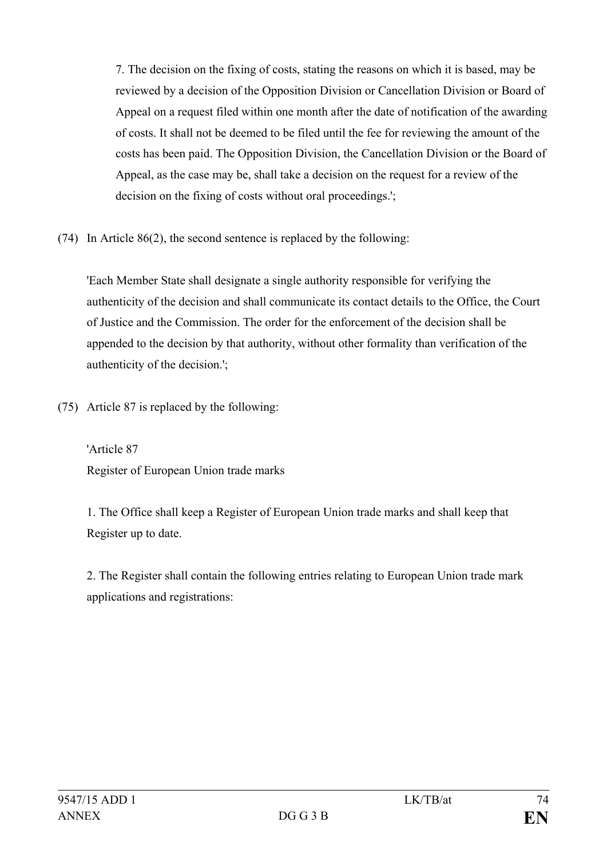7. The decision on the fixing of costs, stating the reasons on which it is based, may be reviewed by a decision of the Opposition Division or Cancellation Division or Board of Appeal on a request filed within one month after the date of notification of the awarding of costs. It shall not be deemed to be filed until the fee for reviewing the amount of the costs has been paid. The Opposition Division, the Cancellation Division or the Board of Appeal, as the case may be, shall take a decision on the request for a review of the decision on the fixing of costs without oral proceedings.';

(74) In Article 86(2), the second sentence is replaced by the following:

'Each Member State shall designate a single authority responsible for verifying the authenticity of the decision and shall communicate its contact details to the Office, the Court of Justice and the Commission. The order for the enforcement of the decision shall be appended to the decision by that authority, without other formality than verification of the authenticity of the decision.';

(75) Article 87 is replaced by the following:

'Article 87 Register of European Union trade marks

1. The Office shall keep a Register of European Union trade marks and shall keep that Register up to date.

2. The Register shall contain the following entries relating to European Union trade mark applications and registrations: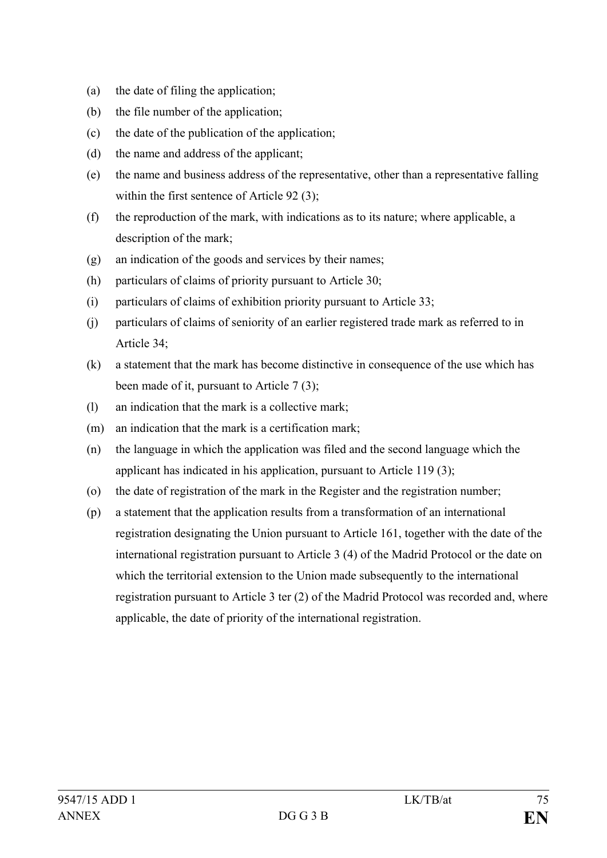- (a) the date of filing the application;
- (b) the file number of the application;
- (c) the date of the publication of the application;
- (d) the name and address of the applicant;
- (e) the name and business address of the representative, other than a representative falling within the first sentence of Article 92 (3);
- (f) the reproduction of the mark, with indications as to its nature; where applicable, a description of the mark;
- (g) an indication of the goods and services by their names;
- (h) particulars of claims of priority pursuant to Article 30;
- (i) particulars of claims of exhibition priority pursuant to Article 33;
- (j) particulars of claims of seniority of an earlier registered trade mark as referred to in Article 34;
- (k) a statement that the mark has become distinctive in consequence of the use which has been made of it, pursuant to Article 7(3);
- (l) an indication that the mark is a collective mark;
- (m) an indication that the mark is a certification mark;
- (n) the language in which the application was filed and the second language which the applicant has indicated in his application, pursuant to Article 119 (3);
- (o) the date of registration of the mark in the Register and the registration number;
- (p) a statement that the application results from a transformation of an international registration designating the Union pursuant to Article 161, together with the date of the international registration pursuant to Article 3 (4) of the Madrid Protocol or the date on which the territorial extension to the Union made subsequently to the international registration pursuant to Article 3 ter (2) of the Madrid Protocol was recorded and, where applicable, the date of priority of the international registration.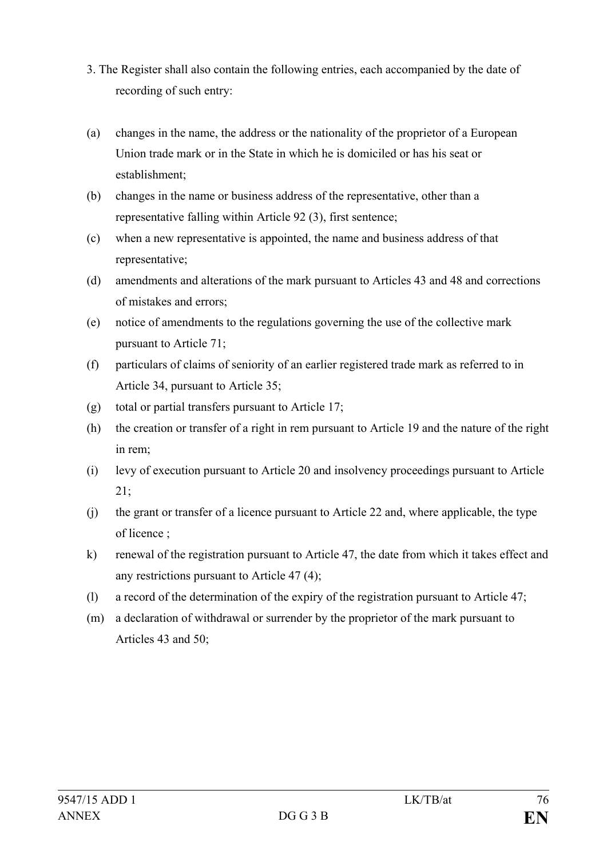- 3. The Register shall also contain the following entries, each accompanied by the date of recording of such entry:
- (a) changes in the name, the address or the nationality of the proprietor of a European Union trade mark or in the State in which he is domiciled or has his seat or establishment;
- (b) changes in the name or business address of the representative, other than a representative falling within Article 92 (3), first sentence;
- (c) when a new representative is appointed, the name and business address of that representative;
- (d) amendments and alterations of the mark pursuant to Articles 43 and 48 and corrections of mistakes and errors;
- (e) notice of amendments to the regulations governing the use of the collective mark pursuant to Article 71;
- (f) particulars of claims of seniority of an earlier registered trade mark as referred to in Article 34, pursuant to Article 35;
- (g) total or partial transfers pursuant to Article 17;
- (h) the creation or transfer of a right in rem pursuant to Article 19 and the nature of the right in rem;
- (i) levy of execution pursuant to Article 20 and insolvency proceedings pursuant to Article 21;
- (j) the grant or transfer of a licence pursuant to Article 22 and, where applicable, the type of licence ;
- k) renewal of the registration pursuant to Article 47, the date from which it takes effect and any restrictions pursuant to Article 47 (4);
- (l) a record of the determination of the expiry of the registration pursuant to Article 47;
- (m) a declaration of withdrawal or surrender by the proprietor of the mark pursuant to Articles 43 and 50;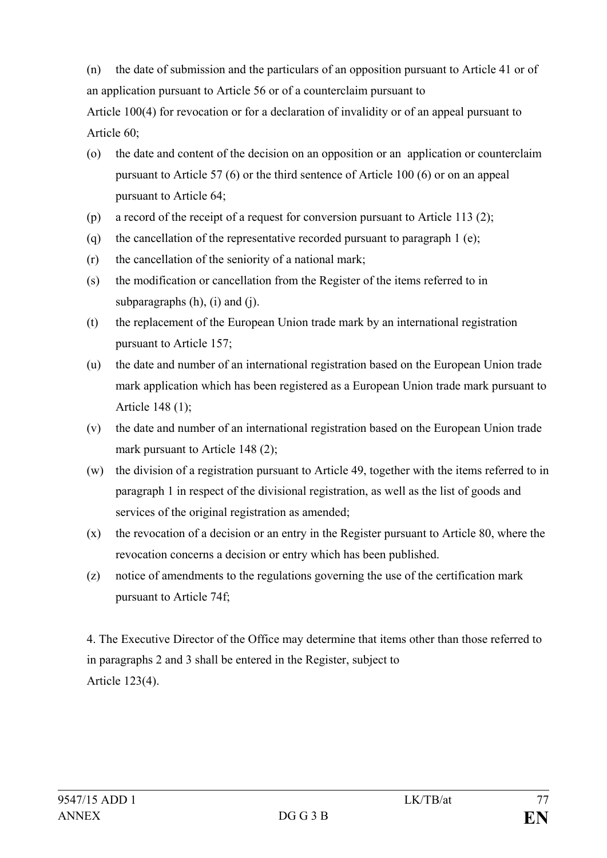(n) the date of submission and the particulars of an opposition pursuant to Article 41 or of an application pursuant to Article 56 or of a counterclaim pursuant to

Article 100(4) for revocation or for a declaration of invalidity or of an appeal pursuant to Article 60;

- (o) the date and content of the decision on an opposition or an application or counterclaim pursuant to Article 57 (6) or the third sentence of Article 100 (6) or on an appeal pursuant to Article 64;
- (p) a record of the receipt of a request for conversion pursuant to Article 113 (2);
- (q) the cancellation of the representative recorded pursuant to paragraph 1 (e);
- (r) the cancellation of the seniority of a national mark;
- (s) the modification or cancellation from the Register of the items referred to in subparagraphs  $(h)$ ,  $(i)$  and  $(i)$ .
- (t) the replacement of the European Union trade mark by an international registration pursuant to Article 157;
- (u) the date and number of an international registration based on the European Union trade mark application which has been registered as a European Union trade mark pursuant to Article 148 (1);
- (v) the date and number of an international registration based on the European Union trade mark pursuant to Article 148 (2);
- (w) the division of a registration pursuant to Article 49, together with the items referred to in paragraph 1 in respect of the divisional registration, as well as the list of goods and services of the original registration as amended;
- (x) the revocation of a decision or an entry in the Register pursuant to Article 80, where the revocation concerns a decision or entry which has been published.
- (z) notice of amendments to the regulations governing the use of the certification mark pursuant to Article 74f;

4. The Executive Director of the Office may determine that items other than those referred to in paragraphs 2 and 3 shall be entered in the Register, subject to Article 123(4).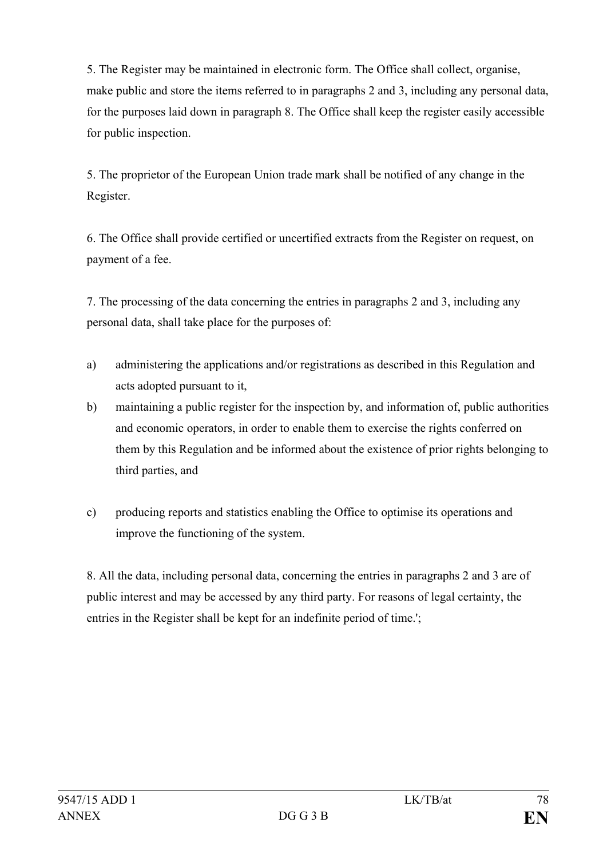5. The Register may be maintained in electronic form. The Office shall collect, organise, make public and store the items referred to in paragraphs 2 and 3, including any personal data, for the purposes laid down in paragraph 8. The Office shall keep the register easily accessible for public inspection.

5. The proprietor of the European Union trade mark shall be notified of any change in the Register.

6. The Office shall provide certified or uncertified extracts from the Register on request, on payment of a fee.

7. The processing of the data concerning the entries in paragraphs 2 and 3, including any personal data, shall take place for the purposes of:

- a) administering the applications and/or registrations as described in this Regulation and acts adopted pursuant to it,
- b) maintaining a public register for the inspection by, and information of, public authorities and economic operators, in order to enable them to exercise the rights conferred on them by this Regulation and be informed about the existence of prior rights belonging to third parties, and
- c) producing reports and statistics enabling the Office to optimise its operations and improve the functioning of the system.

8. All the data, including personal data, concerning the entries in paragraphs 2 and 3 are of public interest and may be accessed by any third party. For reasons of legal certainty, the entries in the Register shall be kept for an indefinite period of time.';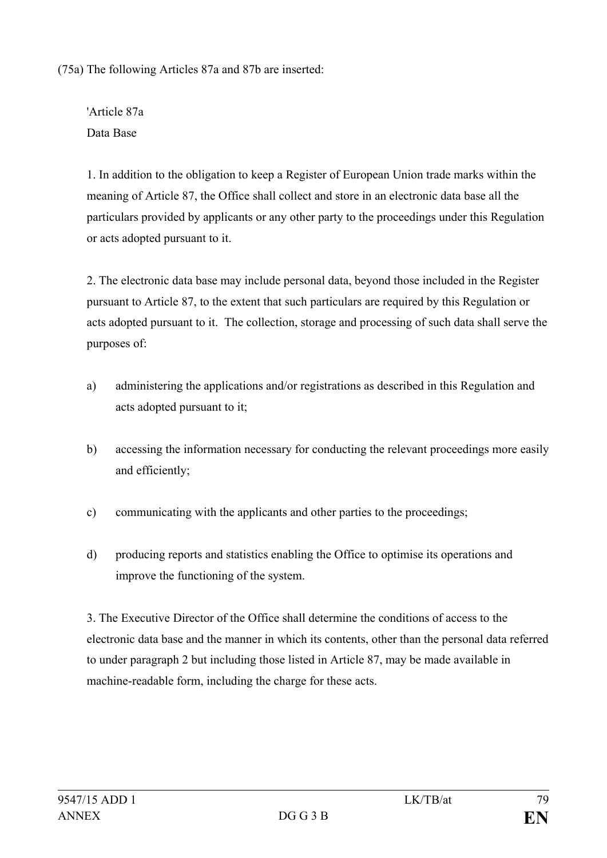(75a) The following Articles 87a and 87b are inserted:

'Article 87a Data Base

1. In addition to the obligation to keep a Register of European Union trade marks within the meaning of Article 87, the Office shall collect and store in an electronic data base all the particulars provided by applicants or any other party to the proceedings under this Regulation or acts adopted pursuant to it.

2. The electronic data base may include personal data, beyond those included in the Register pursuant to Article 87, to the extent that such particulars are required by this Regulation or acts adopted pursuant to it. The collection, storage and processing of such data shall serve the purposes of:

- a) administering the applications and/or registrations as described in this Regulation and acts adopted pursuant to it;
- b) accessing the information necessary for conducting the relevant proceedings more easily and efficiently;
- c) communicating with the applicants and other parties to the proceedings;
- d) producing reports and statistics enabling the Office to optimise its operations and improve the functioning of the system.

3. The Executive Director of the Office shall determine the conditions of access to the electronic data base and the manner in which its contents, other than the personal data referred to under paragraph 2 but including those listed in Article 87, may be made available in machine-readable form, including the charge for these acts.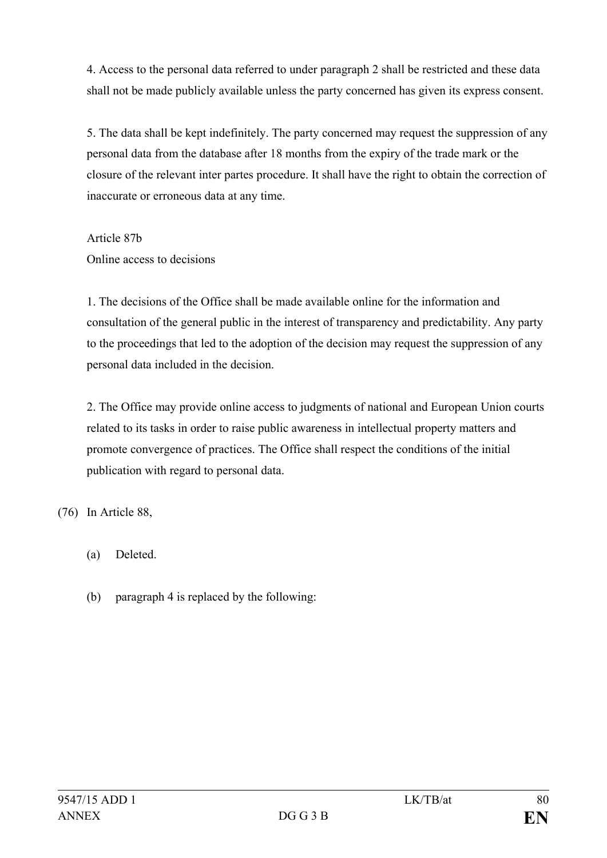4. Access to the personal data referred to under paragraph 2 shall be restricted and these data shall not be made publicly available unless the party concerned has given its express consent.

5. The data shall be kept indefinitely. The party concerned may request the suppression of any personal data from the database after 18 months from the expiry of the trade mark or the closure of the relevant inter partes procedure. It shall have the right to obtain the correction of inaccurate or erroneous data at any time.

Article 87b Online access to decisions

1. The decisions of the Office shall be made available online for the information and consultation of the general public in the interest of transparency and predictability. Any party to the proceedings that led to the adoption of the decision may request the suppression of any personal data included in the decision.

2. The Office may provide online access to judgments of national and European Union courts related to its tasks in order to raise public awareness in intellectual property matters and promote convergence of practices. The Office shall respect the conditions of the initial publication with regard to personal data.

(76) In Article 88,

- (a) Deleted.
- (b) paragraph 4 is replaced by the following: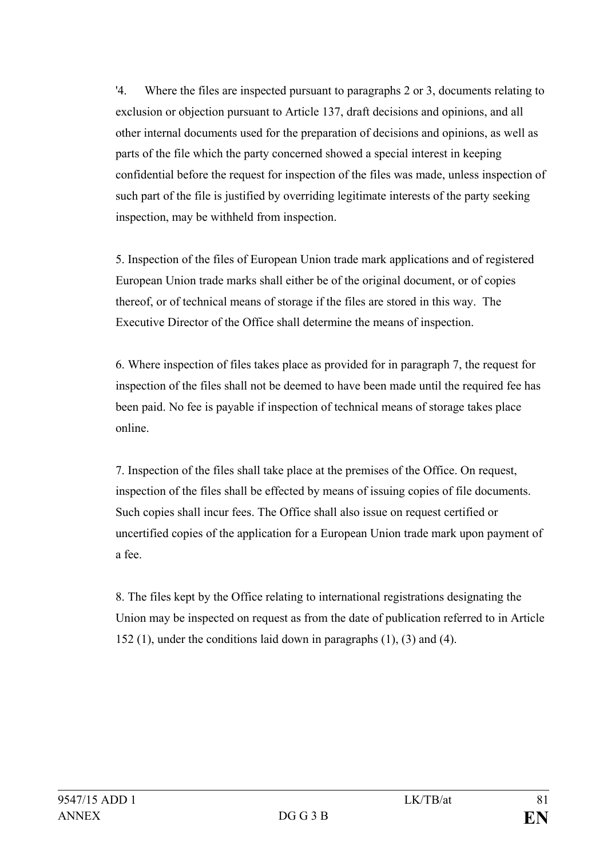'4. Where the files are inspected pursuant to paragraphs 2 or 3, documents relating to exclusion or objection pursuant to Article 137, draft decisions and opinions, and all other internal documents used for the preparation of decisions and opinions, as well as parts of the file which the party concerned showed a special interest in keeping confidential before the request for inspection of the files was made, unless inspection of such part of the file is justified by overriding legitimate interests of the party seeking inspection, may be withheld from inspection.

5. Inspection of the files of European Union trade mark applications and of registered European Union trade marks shall either be of the original document, or of copies thereof, or of technical means of storage if the files are stored in this way. The Executive Director of the Office shall determine the means of inspection.

6. Where inspection of files takes place as provided for in paragraph 7, the request for inspection of the files shall not be deemed to have been made until the required fee has been paid. No fee is payable if inspection of technical means of storage takes place online.

7. Inspection of the files shall take place at the premises of the Office. On request, inspection of the files shall be effected by means of issuing copies of file documents. Such copies shall incur fees. The Office shall also issue on request certified or uncertified copies of the application for a European Union trade mark upon payment of a fee.

8. The files kept by the Office relating to international registrations designating the Union may be inspected on request as from the date of publication referred to in Article 152 (1), under the conditions laid down in paragraphs (1), (3) and (4).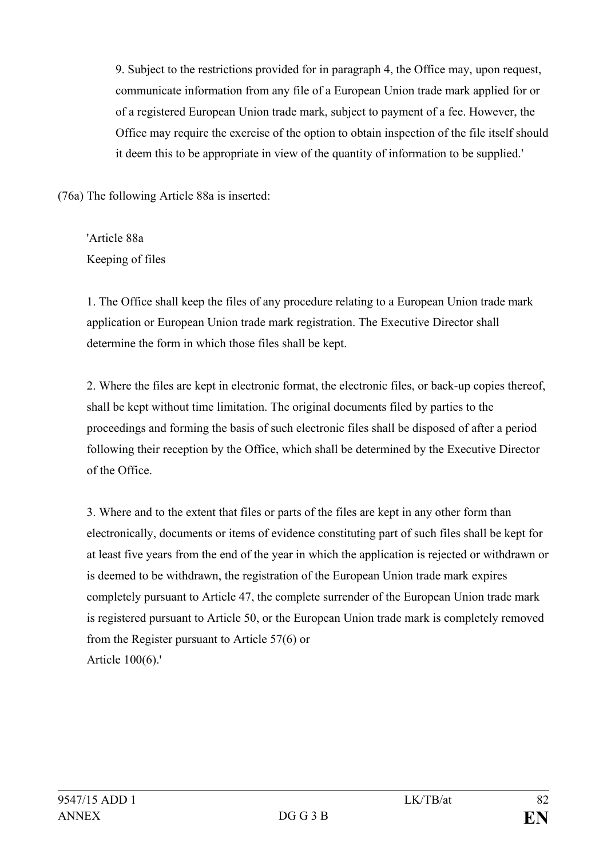9. Subject to the restrictions provided for in paragraph 4, the Office may, upon request, communicate information from any file of a European Union trade mark applied for or of a registered European Union trade mark, subject to payment of a fee. However, the Office may require the exercise of the option to obtain inspection of the file itself should it deem this to be appropriate in view of the quantity of information to be supplied.'

(76a) The following Article 88a is inserted:

'Article 88a Keeping of files

1. The Office shall keep the files of any procedure relating to a European Union trade mark application or European Union trade mark registration. The Executive Director shall determine the form in which those files shall be kept.

2. Where the files are kept in electronic format, the electronic files, or back-up copies thereof, shall be kept without time limitation. The original documents filed by parties to the proceedings and forming the basis of such electronic files shall be disposed of after a period following their reception by the Office, which shall be determined by the Executive Director of the Office.

3. Where and to the extent that files or parts of the files are kept in any other form than electronically, documents or items of evidence constituting part of such files shall be kept for at least five years from the end of the year in which the application is rejected or withdrawn or is deemed to be withdrawn, the registration of the European Union trade mark expires completely pursuant to Article 47, the complete surrender of the European Union trade mark is registered pursuant to Article 50, or the European Union trade mark is completely removed from the Register pursuant to Article 57(6) or Article 100(6).'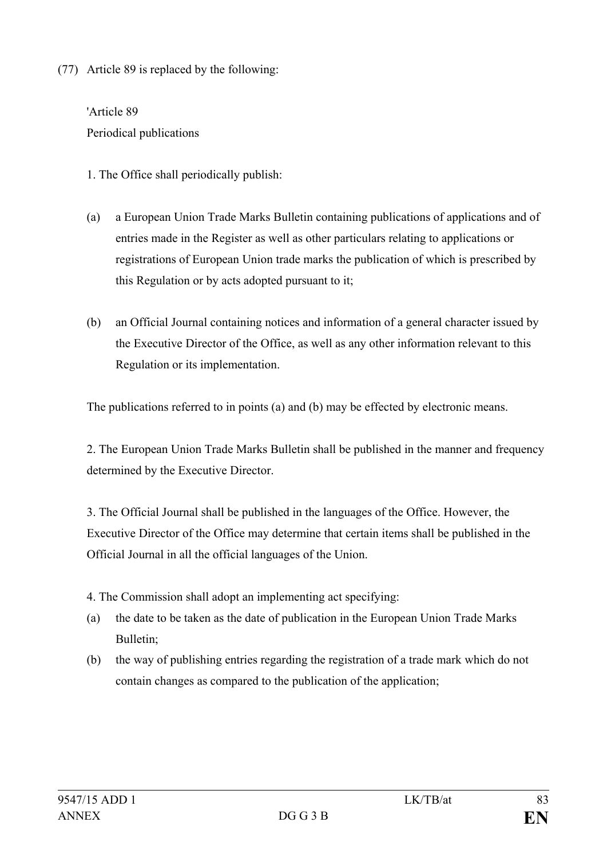(77) Article 89 is replaced by the following:

'Article 89 Periodical publications

1. The Office shall periodically publish:

- (a) a European Union Trade Marks Bulletin containing publications of applications and of entries made in the Register as well as other particulars relating to applications or registrations of European Union trade marks the publication of which is prescribed by this Regulation or by acts adopted pursuant to it;
- (b) an Official Journal containing notices and information of a general character issued by the Executive Director of the Office, as well as any other information relevant to this Regulation or its implementation.

The publications referred to in points (a) and (b) may be effected by electronic means.

2. The European Union Trade Marks Bulletin shall be published in the manner and frequency determined by the Executive Director.

3. The Official Journal shall be published in the languages of the Office. However, the Executive Director of the Office may determine that certain items shall be published in the Official Journal in all the official languages of the Union.

4. The Commission shall adopt an implementing act specifying:

- (a) the date to be taken as the date of publication in the European Union Trade Marks Bulletin;
- (b) the way of publishing entries regarding the registration of a trade mark which do not contain changes as compared to the publication of the application;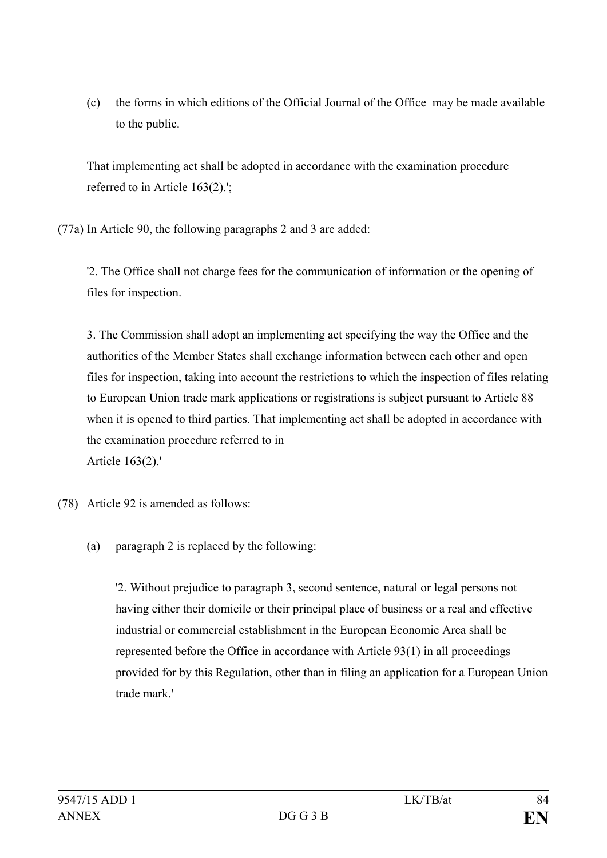(c) the forms in which editions of the Official Journal of the Office may be made available to the public.

That implementing act shall be adopted in accordance with the examination procedure referred to in Article 163(2).';

(77a) In Article 90, the following paragraphs 2 and 3 are added:

'2. The Office shall not charge fees for the communication of information or the opening of files for inspection.

3. The Commission shall adopt an implementing act specifying the way the Office and the authorities of the Member States shall exchange information between each other and open files for inspection, taking into account the restrictions to which the inspection of files relating to European Union trade mark applications or registrations is subject pursuant to Article 88 when it is opened to third parties. That implementing act shall be adopted in accordance with the examination procedure referred to in Article 163(2).'

- (78) Article 92 is amended as follows:
	- (a) paragraph 2 is replaced by the following:

'2. Without prejudice to paragraph 3, second sentence, natural or legal persons not having either their domicile or their principal place of business or a real and effective industrial or commercial establishment in the European Economic Area shall be represented before the Office in accordance with Article 93(1) in all proceedings provided for by this Regulation, other than in filing an application for a European Union trade mark.'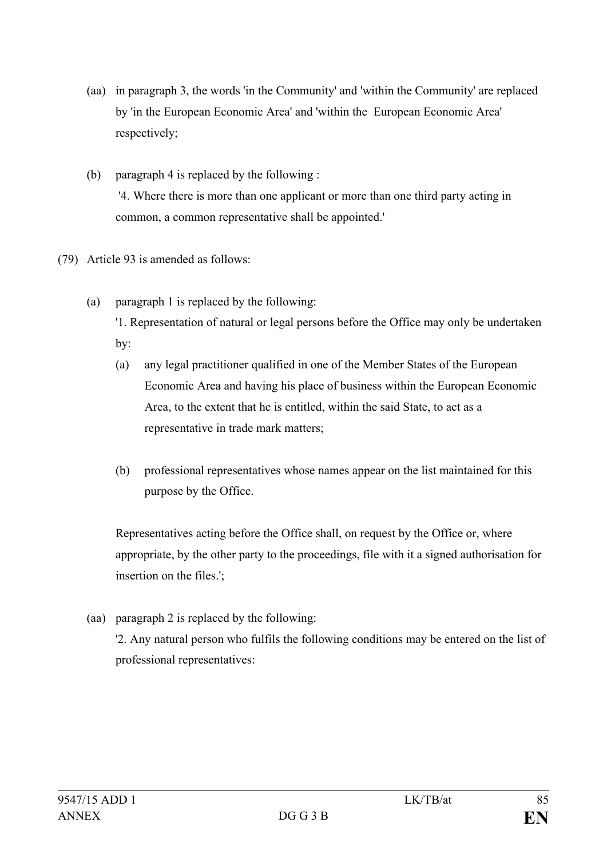- (aa) in paragraph 3, the words 'in the Community' and 'within the Community' are replaced by 'in the European Economic Area' and 'within the European Economic Area' respectively;
- (b) paragraph 4 is replaced by the following : '4. Where there is more than one applicant or more than one third party acting in common, a common representative shall be appointed.'
- (79) Article 93 is amended as follows:
	- (a) paragraph 1 is replaced by the following: '1. Representation of natural or legal persons before the Office may only be undertaken by:
		- (a) any legal practitioner qualified in one of the Member States of the European Economic Area and having his place of business within the European Economic Area, to the extent that he is entitled, within the said State, to act as a representative in trade mark matters;
		- (b) professional representatives whose names appear on the list maintained for this purpose by the Office.

Representatives acting before the Office shall, on request by the Office or, where appropriate, by the other party to the proceedings, file with it a signed authorisation for insertion on the files.';

(aa) paragraph 2 is replaced by the following: '2. Any natural person who fulfils the following conditions may be entered on the list of professional representatives: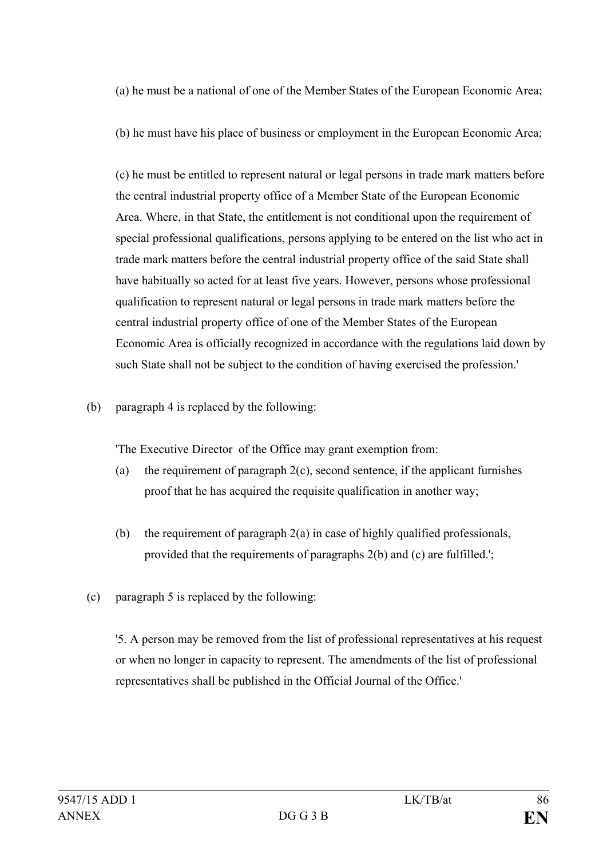(a) he must be a national of one of the Member States of the European Economic Area;

(b) he must have his place of business or employment in the European Economic Area;

(c) he must be entitled to represent natural or legal persons in trade mark matters before the central industrial property office of a Member State of the European Economic Area. Where, in that State, the entitlement is not conditional upon the requirement of special professional qualifications, persons applying to be entered on the list who act in trade mark matters before the central industrial property office of the said State shall have habitually so acted for at least five years. However, persons whose professional qualification to represent natural or legal persons in trade mark matters before the central industrial property office of one of the Member States of the European Economic Area is officially recognized in accordance with the regulations laid down by such State shall not be subject to the condition of having exercised the profession.'

(b) paragraph 4 is replaced by the following:

'The Executive Director of the Office may grant exemption from:

- (a) the requirement of paragraph 2(c), second sentence, if the applicant furnishes proof that he has acquired the requisite qualification in another way;
- (b) the requirement of paragraph 2(a) in case of highly qualified professionals, provided that the requirements of paragraphs 2(b) and (c) are fulfilled.';
- (c) paragraph 5 is replaced by the following:

'5. A person may be removed from the list of professional representatives at his request or when no longer in capacity to represent. The amendments of the list of professional representatives shall be published in the Official Journal of the Office.'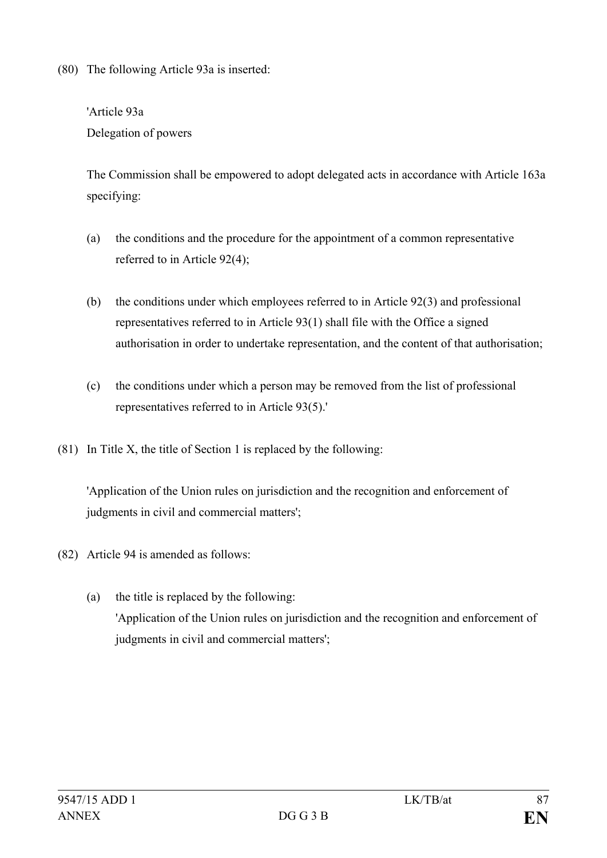(80) The following Article 93a is inserted:

'Article 93a Delegation of powers

The Commission shall be empowered to adopt delegated acts in accordance with Article 163a specifying:

- (a) the conditions and the procedure for the appointment of a common representative referred to in Article 92(4);
- (b) the conditions under which employees referred to in Article 92(3) and professional representatives referred to in Article 93(1) shall file with the Office a signed authorisation in order to undertake representation, and the content of that authorisation;
- (c) the conditions under which a person may be removed from the list of professional representatives referred to in Article 93(5).'
- (81) In Title X, the title of Section 1 is replaced by the following:

'Application of the Union rules on jurisdiction and the recognition and enforcement of judgments in civil and commercial matters';

- (82) Article 94 is amended as follows:
	- (a) the title is replaced by the following: 'Application of the Union rules on jurisdiction and the recognition and enforcement of judgments in civil and commercial matters';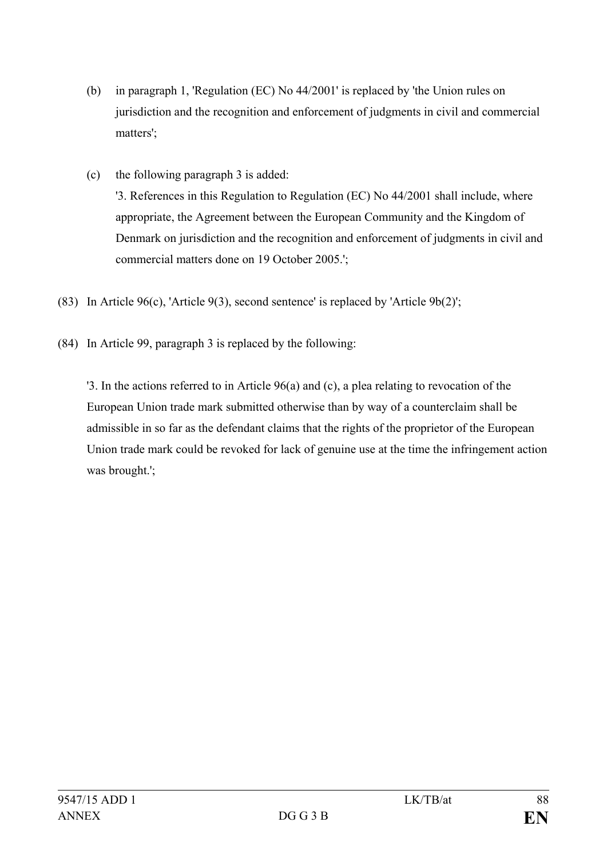- (b) in paragraph 1, 'Regulation (EC) No 44/2001' is replaced by 'the Union rules on jurisdiction and the recognition and enforcement of judgments in civil and commercial matters';
- (c) the following paragraph 3 is added: '3. References in this Regulation to Regulation (EC) No 44/2001 shall include, where appropriate, the Agreement between the European Community and the Kingdom of Denmark on jurisdiction and the recognition and enforcement of judgments in civil and commercial matters done on 19 October 2005.';
- (83) In Article 96(c), 'Article 9(3), second sentence' is replaced by 'Article 9b(2)';
- (84) In Article 99, paragraph 3 is replaced by the following:

'3. In the actions referred to in Article 96(a) and (c), a plea relating to revocation of the European Union trade mark submitted otherwise than by way of a counterclaim shall be admissible in so far as the defendant claims that the rights of the proprietor of the European Union trade mark could be revoked for lack of genuine use at the time the infringement action was brought.';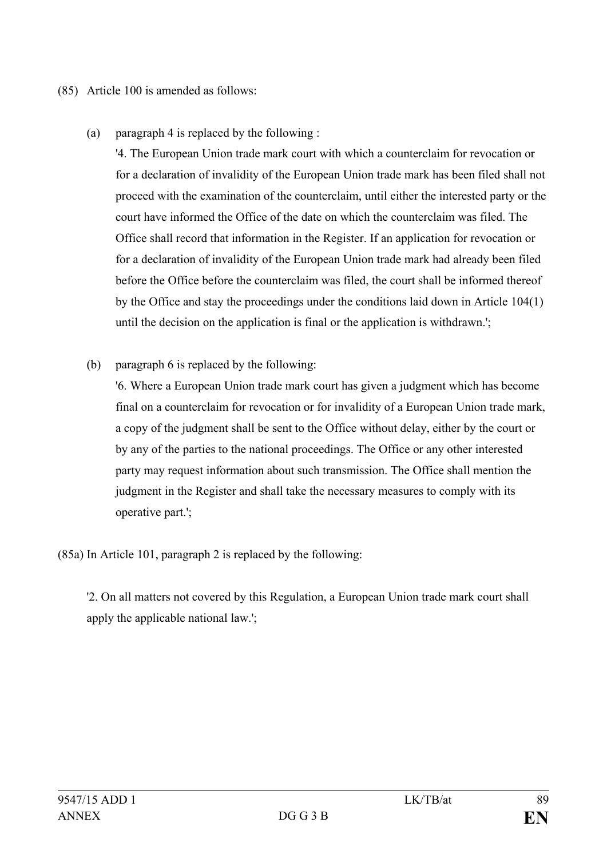## (85) Article 100 is amended as follows:

(a) paragraph 4 is replaced by the following :

'4. The European Union trade mark court with which a counterclaim for revocation or for a declaration of invalidity of the European Union trade mark has been filed shall not proceed with the examination of the counterclaim, until either the interested party or the court have informed the Office of the date on which the counterclaim was filed. The Office shall record that information in the Register. If an application for revocation or for a declaration of invalidity of the European Union trade mark had already been filed before the Office before the counterclaim was filed, the court shall be informed thereof by the Office and stay the proceedings under the conditions laid down in Article 104(1) until the decision on the application is final or the application is withdrawn.';

(b) paragraph 6 is replaced by the following:

'6. Where a European Union trade mark court has given a judgment which has become final on a counterclaim for revocation or for invalidity of a European Union trade mark, a copy of the judgment shall be sent to the Office without delay, either by the court or by any of the parties to the national proceedings. The Office or any other interested party may request information about such transmission. The Office shall mention the judgment in the Register and shall take the necessary measures to comply with its operative part.';

(85a) In Article 101, paragraph 2 is replaced by the following:

'2. On all matters not covered by this Regulation, a European Union trade mark court shall apply the applicable national law.';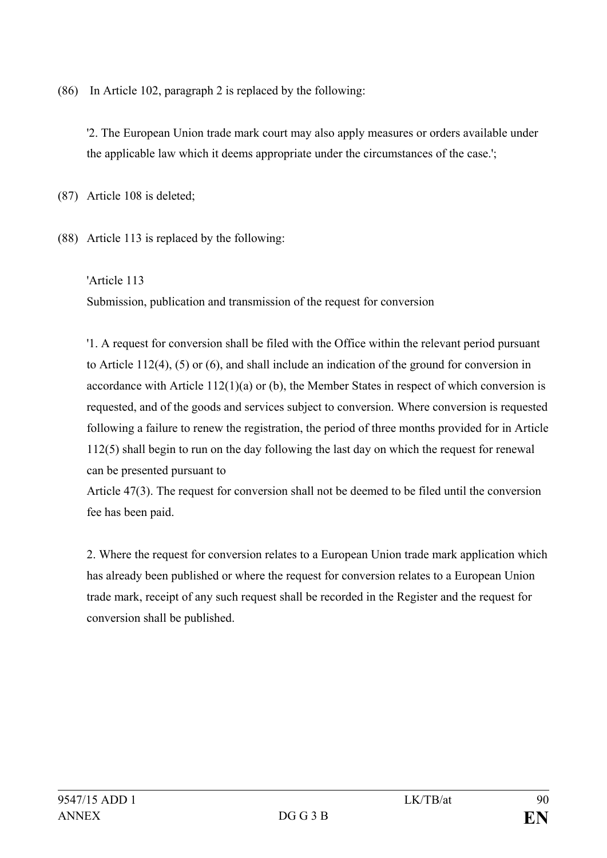(86) In Article 102, paragraph 2 is replaced by the following:

'2. The European Union trade mark court may also apply measures or orders available under the applicable law which it deems appropriate under the circumstances of the case.';

(87) Article 108 is deleted;

(88) Article 113 is replaced by the following:

'Article 113 Submission, publication and transmission of the request for conversion

'1. A request for conversion shall be filed with the Office within the relevant period pursuant to Article 112(4), (5) or (6), and shall include an indication of the ground for conversion in accordance with Article 112(1)(a) or (b), the Member States in respect of which conversion is requested, and of the goods and services subject to conversion. Where conversion is requested following a failure to renew the registration, the period of three months provided for in Article 112(5) shall begin to run on the day following the last day on which the request for renewal can be presented pursuant to

Article 47(3). The request for conversion shall not be deemed to be filed until the conversion fee has been paid.

2. Where the request for conversion relates to a European Union trade mark application which has already been published or where the request for conversion relates to a European Union trade mark, receipt of any such request shall be recorded in the Register and the request for conversion shall be published.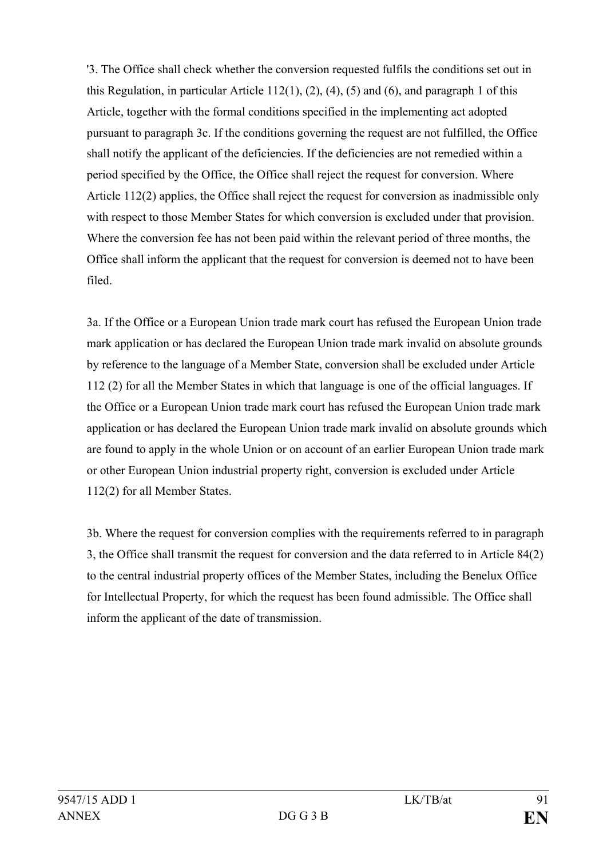'3. The Office shall check whether the conversion requested fulfils the conditions set out in this Regulation, in particular Article 112(1), (2), (4), (5) and (6), and paragraph 1 of this Article, together with the formal conditions specified in the implementing act adopted pursuant to paragraph 3c. If the conditions governing the request are not fulfilled, the Office shall notify the applicant of the deficiencies. If the deficiencies are not remedied within a period specified by the Office, the Office shall reject the request for conversion. Where Article 112(2) applies, the Office shall reject the request for conversion as inadmissible only with respect to those Member States for which conversion is excluded under that provision. Where the conversion fee has not been paid within the relevant period of three months, the Office shall inform the applicant that the request for conversion is deemed not to have been filed.

3a. If the Office or a European Union trade mark court has refused the European Union trade mark application or has declared the European Union trade mark invalid on absolute grounds by reference to the language of a Member State, conversion shall be excluded under Article 112 (2) for all the Member States in which that language is one of the official languages. If the Office or a European Union trade mark court has refused the European Union trade mark application or has declared the European Union trade mark invalid on absolute grounds which are found to apply in the whole Union or on account of an earlier European Union trade mark or other European Union industrial property right, conversion is excluded under Article 112(2) for all Member States.

3b. Where the request for conversion complies with the requirements referred to in paragraph 3, the Office shall transmit the request for conversion and the data referred to in Article 84(2) to the central industrial property offices of the Member States, including the Benelux Office for Intellectual Property, for which the request has been found admissible. The Office shall inform the applicant of the date of transmission.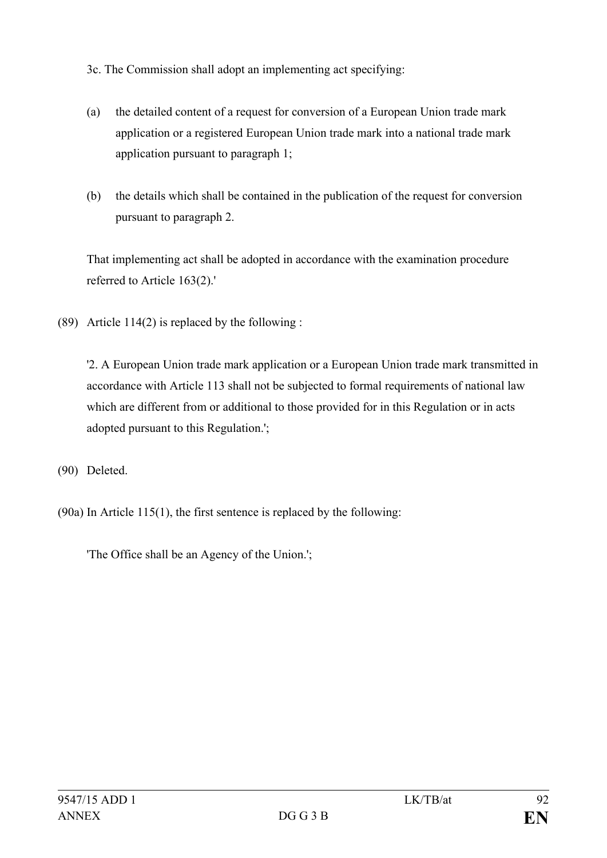3c. The Commission shall adopt an implementing act specifying:

- (a) the detailed content of a request for conversion of a European Union trade mark application or a registered European Union trade mark into a national trade mark application pursuant to paragraph 1;
- (b) the details which shall be contained in the publication of the request for conversion pursuant to paragraph 2.

That implementing act shall be adopted in accordance with the examination procedure referred to Article 163(2).'

(89) Article 114(2) is replaced by the following :

'2. A European Union trade mark application or a European Union trade mark transmitted in accordance with Article 113 shall not be subjected to formal requirements of national law which are different from or additional to those provided for in this Regulation or in acts adopted pursuant to this Regulation.';

(90) Deleted.

(90a) In Article 115(1), the first sentence is replaced by the following:

'The Office shall be an Agency of the Union.';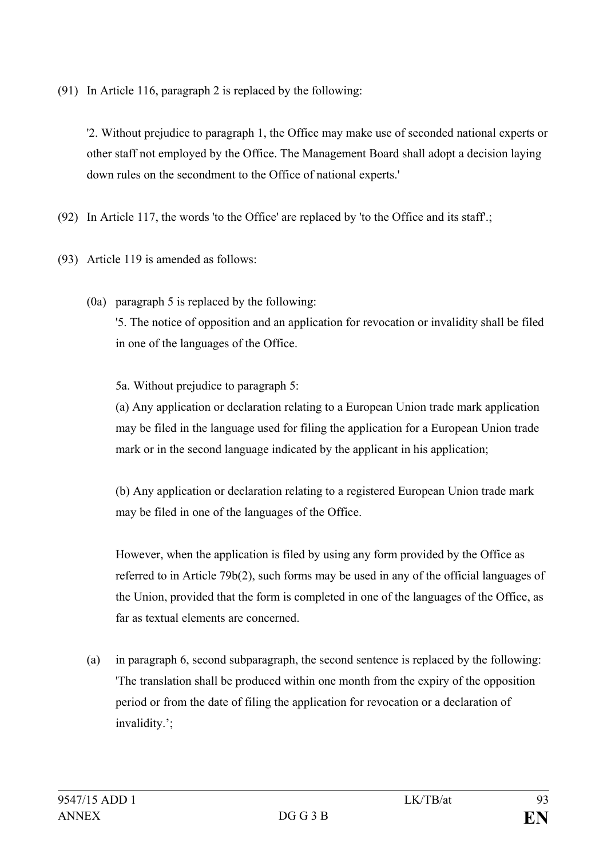(91) In Article 116, paragraph 2 is replaced by the following:

'2. Without prejudice to paragraph 1, the Office may make use of seconded national experts or other staff not employed by the Office. The Management Board shall adopt a decision laying down rules on the secondment to the Office of national experts.'

(92) In Article 117, the words 'to the Office' are replaced by 'to the Office and its staff'.;

- (93) Article 119 is amended as follows:
	- (0a) paragraph 5 is replaced by the following: '5. The notice of opposition and an application for revocation or invalidity shall be filed in one of the languages of the Office.

5a. Without prejudice to paragraph 5:

(a) Any application or declaration relating to a European Union trade mark application may be filed in the language used for filing the application for a European Union trade mark or in the second language indicated by the applicant in his application;

(b) Any application or declaration relating to a registered European Union trade mark may be filed in one of the languages of the Office.

However, when the application is filed by using any form provided by the Office as referred to in Article 79b(2), such forms may be used in any of the official languages of the Union, provided that the form is completed in one of the languages of the Office, as far as textual elements are concerned.

(a) in paragraph 6, second subparagraph, the second sentence is replaced by the following: 'The translation shall be produced within one month from the expiry of the opposition period or from the date of filing the application for revocation or a declaration of invalidity.';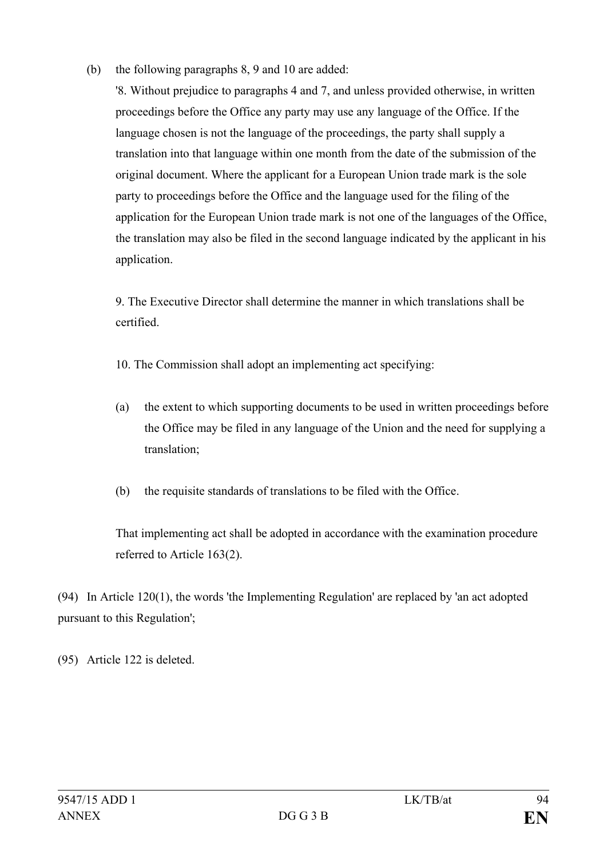(b) the following paragraphs 8, 9 and 10 are added:

'8. Without prejudice to paragraphs 4 and 7, and unless provided otherwise, in written proceedings before the Office any party may use any language of the Office. If the language chosen is not the language of the proceedings, the party shall supply a translation into that language within one month from the date of the submission of the original document. Where the applicant for a European Union trade mark is the sole party to proceedings before the Office and the language used for the filing of the application for the European Union trade mark is not one of the languages of the Office, the translation may also be filed in the second language indicated by the applicant in his application.

9. The Executive Director shall determine the manner in which translations shall be certified.

- 10. The Commission shall adopt an implementing act specifying:
- (a) the extent to which supporting documents to be used in written proceedings before the Office may be filed in any language of the Union and the need for supplying a translation;
- (b) the requisite standards of translations to be filed with the Office.

That implementing act shall be adopted in accordance with the examination procedure referred to Article 163(2).

(94) In Article 120(1), the words 'the Implementing Regulation' are replaced by 'an act adopted pursuant to this Regulation';

(95) Article 122 is deleted.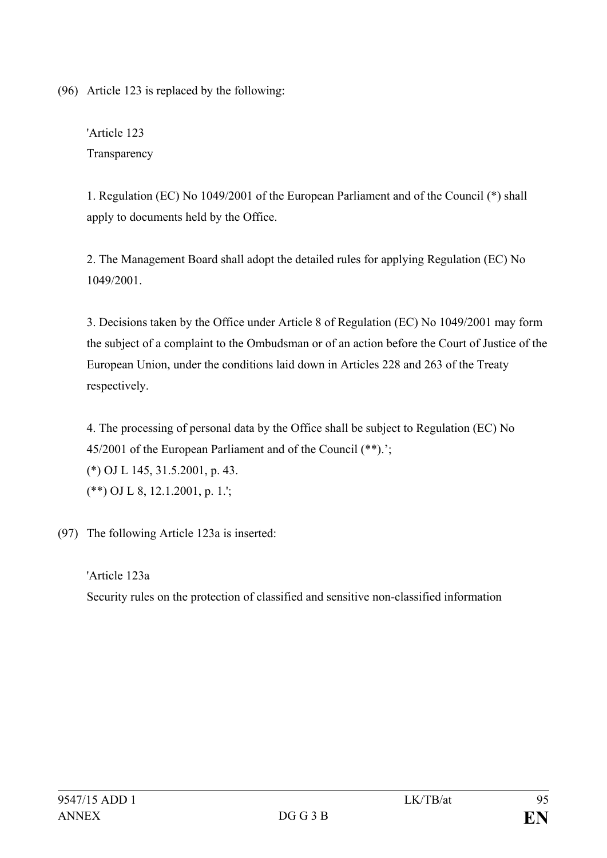(96) Article 123 is replaced by the following:

'Article 123 **Transparency** 

1. Regulation (EC) No 1049/2001 of the European Parliament and of the Council (\*) shall apply to documents held by the Office.

2. The Management Board shall adopt the detailed rules for applying Regulation (EC) No 1049/2001.

3. Decisions taken by the Office under Article 8 of Regulation (EC) No 1049/2001 may form the subject of a complaint to the Ombudsman or of an action before the Court of Justice of the European Union, under the conditions laid down in Articles 228 and 263 of the Treaty respectively.

4. The processing of personal data by the Office shall be subject to Regulation (EC) No 45/2001 of the European Parliament and of the Council (\*\*).'; (\*) OJ L 145, 31.5.2001, p. 43. (\*\*) OJ L 8, 12.1.2001, p. 1.';

(97) The following Article 123a is inserted:

## 'Article 123a Security rules on the protection of classified and sensitive non-classified information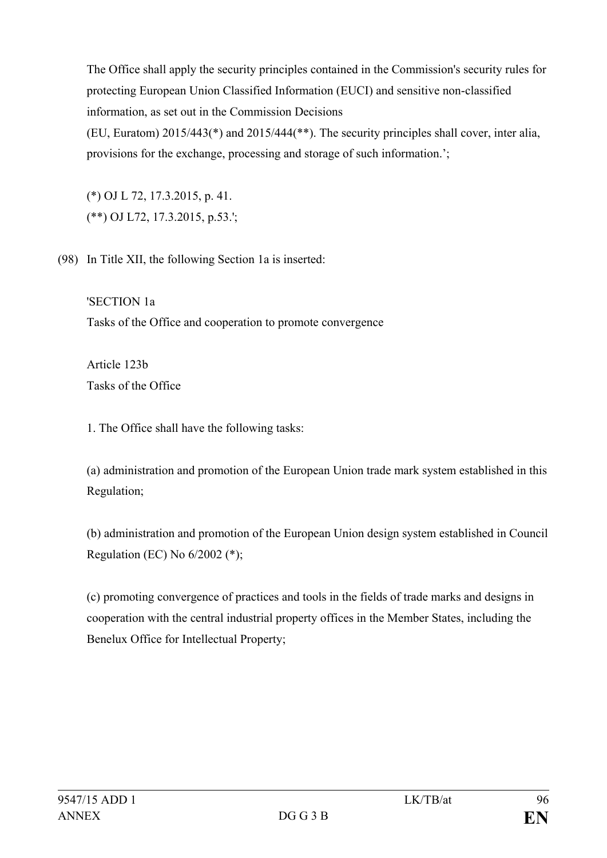The Office shall apply the security principles contained in the Commission's security rules for protecting European Union Classified Information (EUCI) and sensitive non-classified information, as set out in the Commission Decisions

(EU, Euratom) 2015/443(\*) and 2015/444(\*\*). The security principles shall cover, inter alia, provisions for the exchange, processing and storage of such information.';

(\*) OJ L 72, 17.3.2015, p. 41. (\*\*) OJ L72, 17.3.2015, p.53.';

(98) In Title XII, the following Section 1a is inserted:

'SECTION 1a Tasks of the Office and cooperation to promote convergence

Article 123b Tasks of the Office

1. The Office shall have the following tasks:

(a) administration and promotion of the European Union trade mark system established in this Regulation;

(b) administration and promotion of the European Union design system established in Council Regulation (EC) No 6/2002 (\*);

(c) promoting convergence of practices and tools in the fields of trade marks and designs in cooperation with the central industrial property offices in the Member States, including the Benelux Office for Intellectual Property;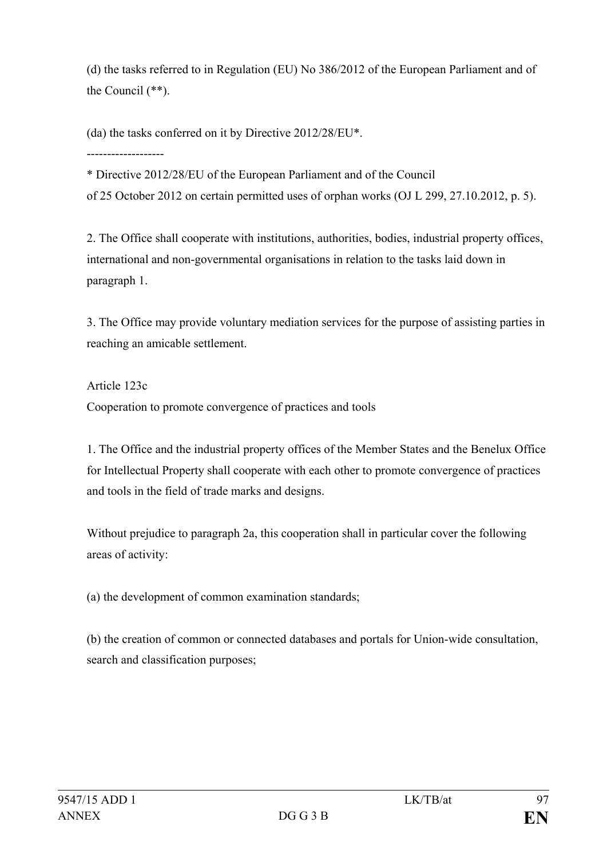(d) the tasks referred to in Regulation (EU) No 386/2012 of the European Parliament and of the Council (\*\*).

(da) the tasks conferred on it by Directive 2012/28/EU\*.

-------------------

\* Directive 2012/28/EU of the European Parliament and of the Council of 25 October 2012 on certain permitted uses of orphan works (OJ L 299, 27.10.2012, p. 5).

2. The Office shall cooperate with institutions, authorities, bodies, industrial property offices, international and non-governmental organisations in relation to the tasks laid down in paragraph 1.

3. The Office may provide voluntary mediation services for the purpose of assisting parties in reaching an amicable settlement.

Article 123c Cooperation to promote convergence of practices and tools

1. The Office and the industrial property offices of the Member States and the Benelux Office for Intellectual Property shall cooperate with each other to promote convergence of practices and tools in the field of trade marks and designs.

Without prejudice to paragraph 2a, this cooperation shall in particular cover the following areas of activity:

(a) the development of common examination standards;

(b) the creation of common or connected databases and portals for Union-wide consultation, search and classification purposes;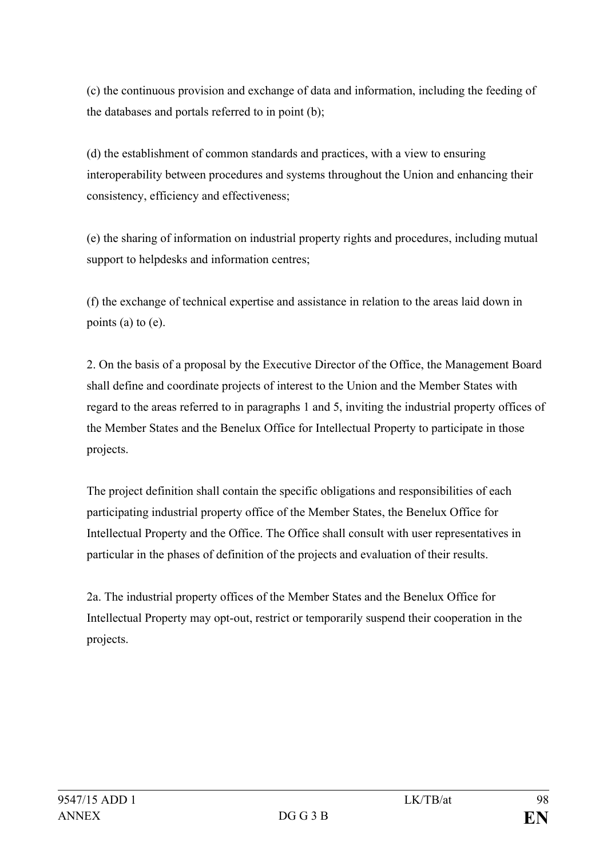(c) the continuous provision and exchange of data and information, including the feeding of the databases and portals referred to in point (b);

(d) the establishment of common standards and practices, with a view to ensuring interoperability between procedures and systems throughout the Union and enhancing their consistency, efficiency and effectiveness;

(e) the sharing of information on industrial property rights and procedures, including mutual support to helpdesks and information centres;

(f) the exchange of technical expertise and assistance in relation to the areas laid down in points (a) to (e).

2. On the basis of a proposal by the Executive Director of the Office, the Management Board shall define and coordinate projects of interest to the Union and the Member States with regard to the areas referred to in paragraphs 1 and 5, inviting the industrial property offices of the Member States and the Benelux Office for Intellectual Property to participate in those projects.

The project definition shall contain the specific obligations and responsibilities of each participating industrial property office of the Member States, the Benelux Office for Intellectual Property and the Office. The Office shall consult with user representatives in particular in the phases of definition of the projects and evaluation of their results.

2a. The industrial property offices of the Member States and the Benelux Office for Intellectual Property may opt-out, restrict or temporarily suspend their cooperation in the projects.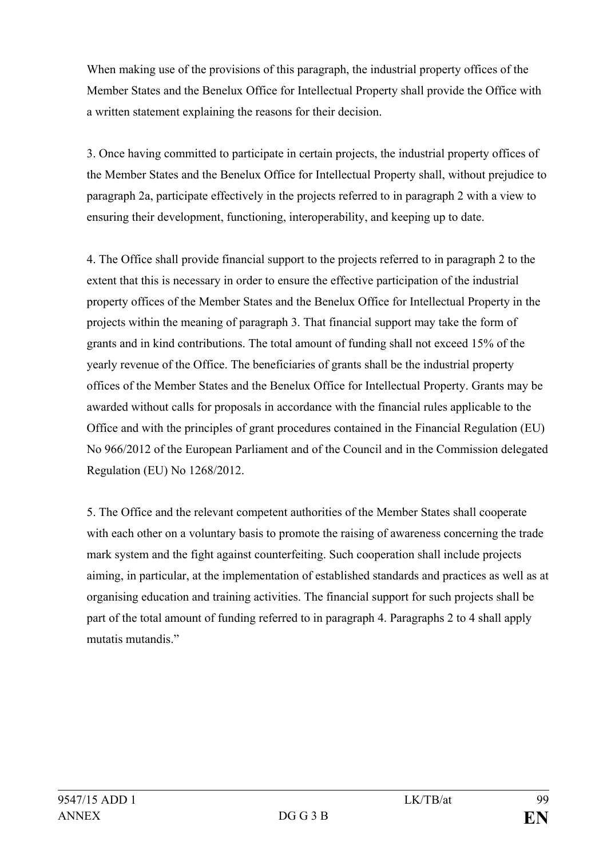When making use of the provisions of this paragraph, the industrial property offices of the Member States and the Benelux Office for Intellectual Property shall provide the Office with a written statement explaining the reasons for their decision.

3. Once having committed to participate in certain projects, the industrial property offices of the Member States and the Benelux Office for Intellectual Property shall, without prejudice to paragraph 2a, participate effectively in the projects referred to in paragraph 2 with a view to ensuring their development, functioning, interoperability, and keeping up to date.

4. The Office shall provide financial support to the projects referred to in paragraph 2 to the extent that this is necessary in order to ensure the effective participation of the industrial property offices of the Member States and the Benelux Office for Intellectual Property in the projects within the meaning of paragraph 3. That financial support may take the form of grants and in kind contributions. The total amount of funding shall not exceed 15% of the yearly revenue of the Office. The beneficiaries of grants shall be the industrial property offices of the Member States and the Benelux Office for Intellectual Property. Grants may be awarded without calls for proposals in accordance with the financial rules applicable to the Office and with the principles of grant procedures contained in the Financial Regulation (EU) No 966/2012 of the European Parliament and of the Council and in the Commission delegated Regulation (EU) No 1268/2012.

5. The Office and the relevant competent authorities of the Member States shall cooperate with each other on a voluntary basis to promote the raising of awareness concerning the trade mark system and the fight against counterfeiting. Such cooperation shall include projects aiming, in particular, at the implementation of established standards and practices as well as at organising education and training activities. The financial support for such projects shall be part of the total amount of funding referred to in paragraph 4. Paragraphs 2 to 4 shall apply mutatis mutandis."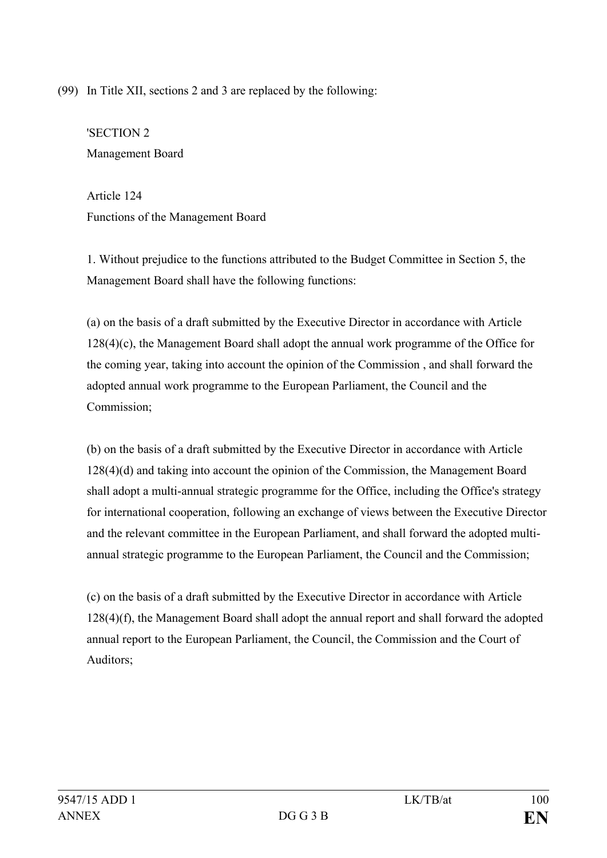(99) In Title XII, sections 2 and 3 are replaced by the following:

'SECTION 2 Management Board

Article 124 Functions of the Management Board

1. Without prejudice to the functions attributed to the Budget Committee in Section 5, the Management Board shall have the following functions:

(a) on the basis of a draft submitted by the Executive Director in accordance with Article 128(4)(c), the Management Board shall adopt the annual work programme of the Office for the coming year, taking into account the opinion of the Commission , and shall forward the adopted annual work programme to the European Parliament, the Council and the Commission;

(b) on the basis of a draft submitted by the Executive Director in accordance with Article 128(4)(d) and taking into account the opinion of the Commission, the Management Board shall adopt a multi-annual strategic programme for the Office, including the Office's strategy for international cooperation, following an exchange of views between the Executive Director and the relevant committee in the European Parliament, and shall forward the adopted multiannual strategic programme to the European Parliament, the Council and the Commission;

(c) on the basis of a draft submitted by the Executive Director in accordance with Article 128(4)(f), the Management Board shall adopt the annual report and shall forward the adopted annual report to the European Parliament, the Council, the Commission and the Court of Auditors;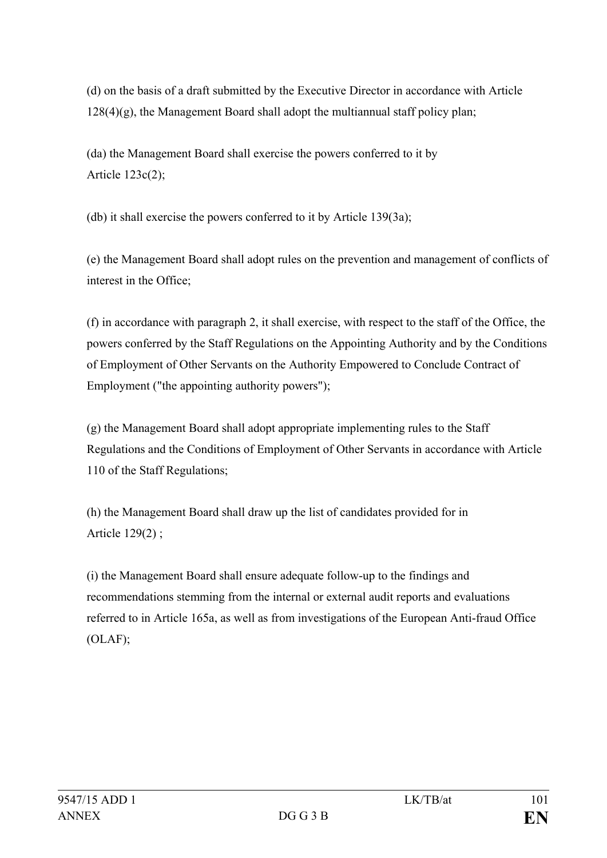(d) on the basis of a draft submitted by the Executive Director in accordance with Article  $128(4)(g)$ , the Management Board shall adopt the multiannual staff policy plan;

(da) the Management Board shall exercise the powers conferred to it by Article 123c(2);

(db) it shall exercise the powers conferred to it by Article 139(3a);

(e) the Management Board shall adopt rules on the prevention and management of conflicts of interest in the Office;

(f) in accordance with paragraph 2, it shall exercise, with respect to the staff of the Office, the powers conferred by the Staff Regulations on the Appointing Authority and by the Conditions of Employment of Other Servants on the Authority Empowered to Conclude Contract of Employment ("the appointing authority powers");

(g) the Management Board shall adopt appropriate implementing rules to the Staff Regulations and the Conditions of Employment of Other Servants in accordance with Article 110 of the Staff Regulations;

(h) the Management Board shall draw up the list of candidates provided for in Article 129(2) ;

(i) the Management Board shall ensure adequate follow-up to the findings and recommendations stemming from the internal or external audit reports and evaluations referred to in Article 165a, as well as from investigations of the European Anti-fraud Office (OLAF);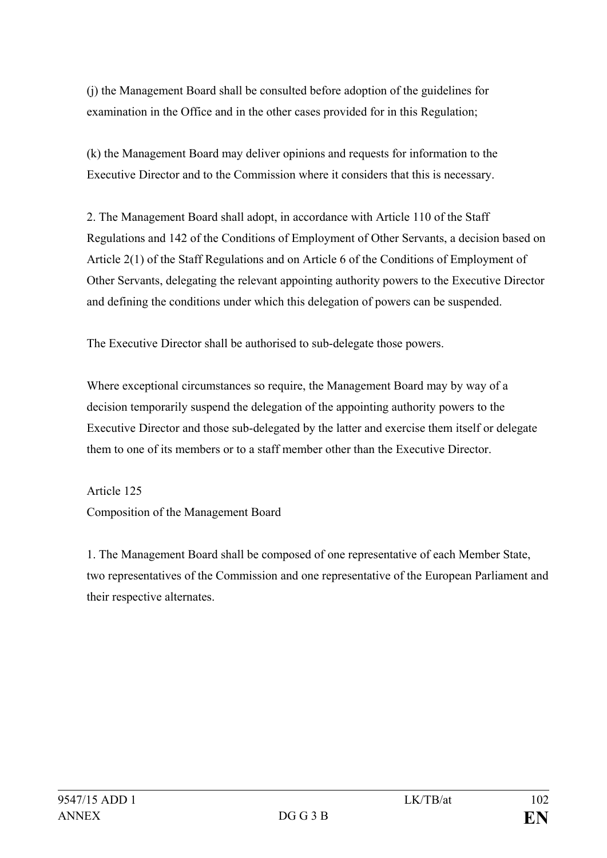(j) the Management Board shall be consulted before adoption of the guidelines for examination in the Office and in the other cases provided for in this Regulation;

(k) the Management Board may deliver opinions and requests for information to the Executive Director and to the Commission where it considers that this is necessary.

2. The Management Board shall adopt, in accordance with Article 110 of the Staff Regulations and 142 of the Conditions of Employment of Other Servants, a decision based on Article 2(1) of the Staff Regulations and on Article 6 of the Conditions of Employment of Other Servants, delegating the relevant appointing authority powers to the Executive Director and defining the conditions under which this delegation of powers can be suspended.

The Executive Director shall be authorised to sub-delegate those powers.

Where exceptional circumstances so require, the Management Board may by way of a decision temporarily suspend the delegation of the appointing authority powers to the Executive Director and those sub-delegated by the latter and exercise them itself or delegate them to one of its members or to a staff member other than the Executive Director.

Article 125 Composition of the Management Board

1. The Management Board shall be composed of one representative of each Member State, two representatives of the Commission and one representative of the European Parliament and their respective alternates.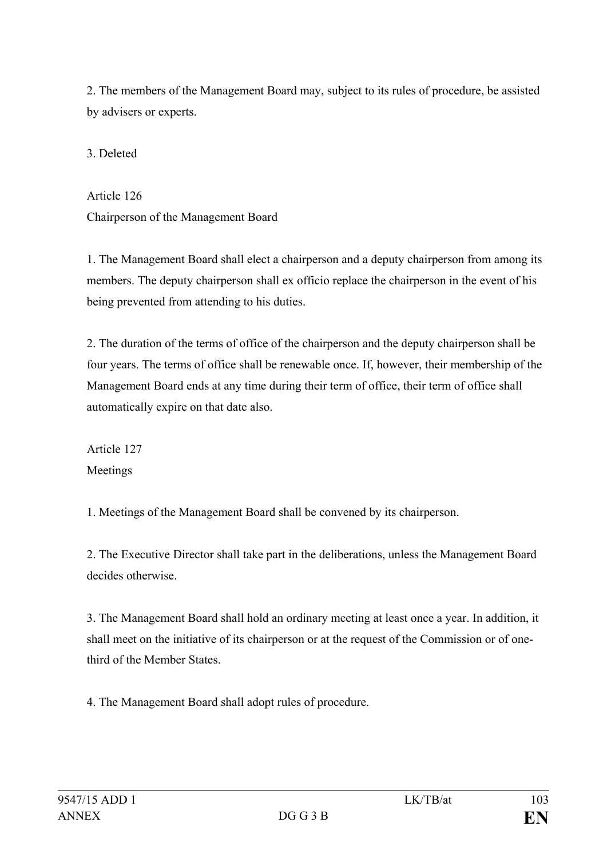2. The members of the Management Board may, subject to its rules of procedure, be assisted by advisers or experts.

3. Deleted

Article 126 Chairperson of the Management Board

1. The Management Board shall elect a chairperson and a deputy chairperson from among its members. The deputy chairperson shall ex officio replace the chairperson in the event of his being prevented from attending to his duties.

2. The duration of the terms of office of the chairperson and the deputy chairperson shall be four years. The terms of office shall be renewable once. If, however, their membership of the Management Board ends at any time during their term of office, their term of office shall automatically expire on that date also.

Article 127 Meetings

1. Meetings of the Management Board shall be convened by its chairperson.

2. The Executive Director shall take part in the deliberations, unless the Management Board decides otherwise.

3. The Management Board shall hold an ordinary meeting at least once a year. In addition, it shall meet on the initiative of its chairperson or at the request of the Commission or of onethird of the Member States.

4. The Management Board shall adopt rules of procedure.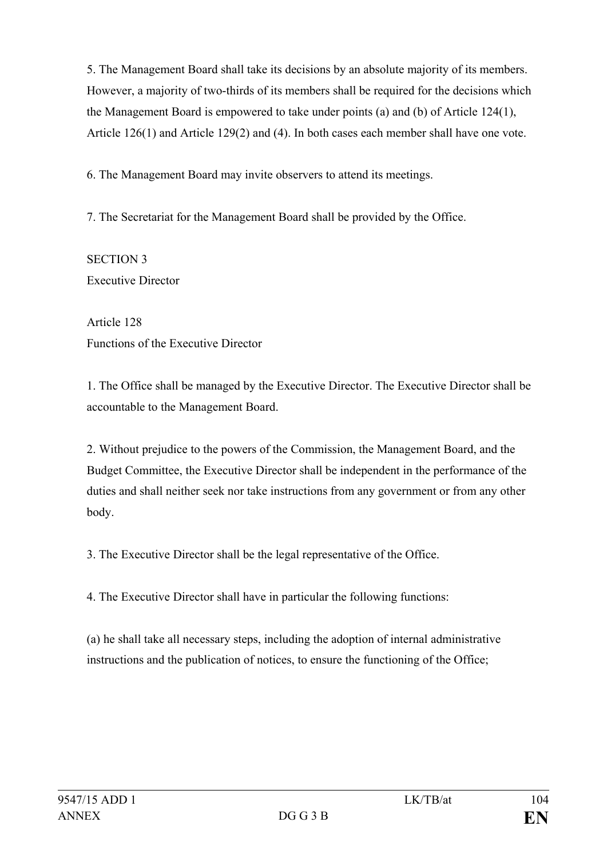5. The Management Board shall take its decisions by an absolute majority of its members. However, a majority of two-thirds of its members shall be required for the decisions which the Management Board is empowered to take under points (a) and (b) of Article 124(1), Article 126(1) and Article 129(2) and (4). In both cases each member shall have one vote.

6. The Management Board may invite observers to attend its meetings.

7. The Secretariat for the Management Board shall be provided by the Office.

SECTION 3 Executive Director

Article 128 Functions of the Executive Director

1. The Office shall be managed by the Executive Director. The Executive Director shall be accountable to the Management Board.

2. Without prejudice to the powers of the Commission, the Management Board, and the Budget Committee, the Executive Director shall be independent in the performance of the duties and shall neither seek nor take instructions from any government or from any other body.

3. The Executive Director shall be the legal representative of the Office.

4. The Executive Director shall have in particular the following functions:

(a) he shall take all necessary steps, including the adoption of internal administrative instructions and the publication of notices, to ensure the functioning of the Office;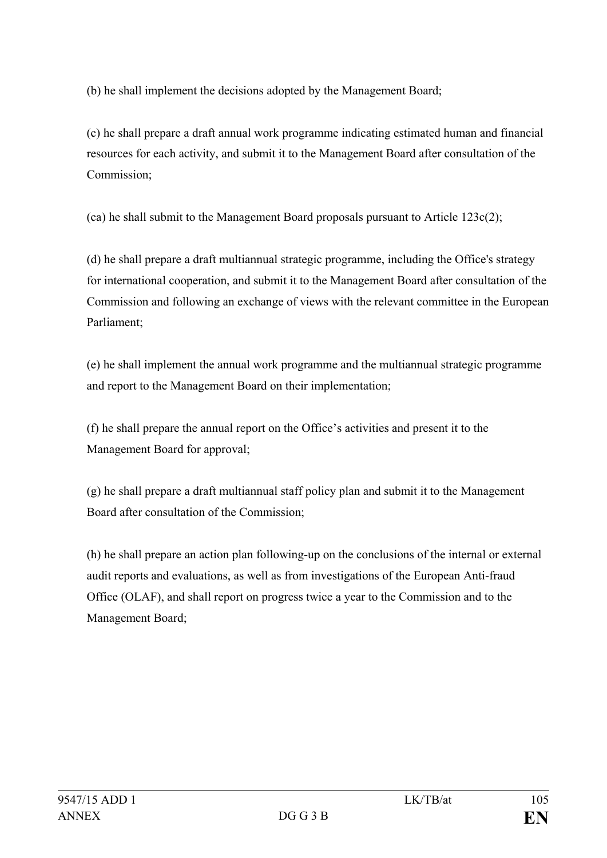(b) he shall implement the decisions adopted by the Management Board;

(c) he shall prepare a draft annual work programme indicating estimated human and financial resources for each activity, and submit it to the Management Board after consultation of the Commission;

(ca) he shall submit to the Management Board proposals pursuant to Article 123c(2);

(d) he shall prepare a draft multiannual strategic programme, including the Office's strategy for international cooperation, and submit it to the Management Board after consultation of the Commission and following an exchange of views with the relevant committee in the European Parliament;

(e) he shall implement the annual work programme and the multiannual strategic programme and report to the Management Board on their implementation;

(f) he shall prepare the annual report on the Office's activities and present it to the Management Board for approval;

(g) he shall prepare a draft multiannual staff policy plan and submit it to the Management Board after consultation of the Commission;

(h) he shall prepare an action plan following-up on the conclusions of the internal or external audit reports and evaluations, as well as from investigations of the European Anti-fraud Office (OLAF), and shall report on progress twice a year to the Commission and to the Management Board;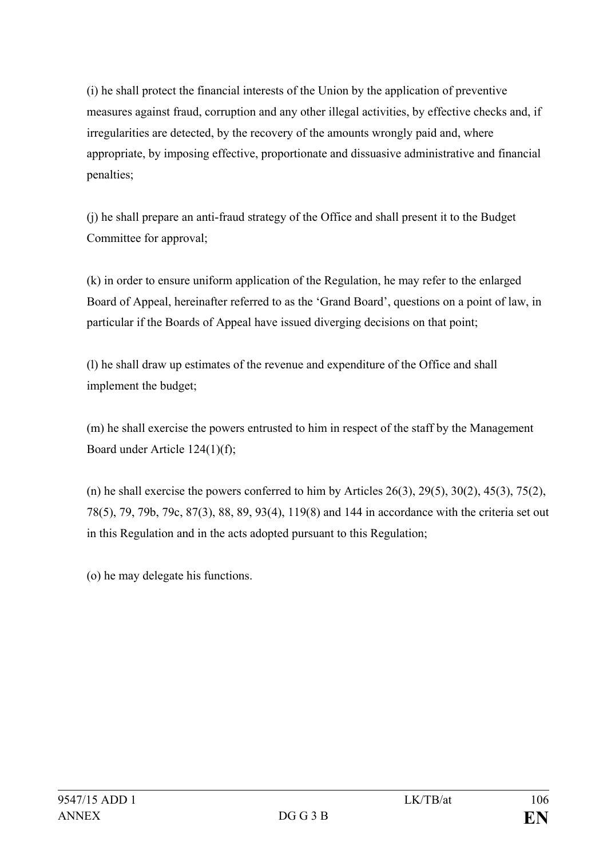(i) he shall protect the financial interests of the Union by the application of preventive measures against fraud, corruption and any other illegal activities, by effective checks and, if irregularities are detected, by the recovery of the amounts wrongly paid and, where appropriate, by imposing effective, proportionate and dissuasive administrative and financial penalties;

(j) he shall prepare an anti-fraud strategy of the Office and shall present it to the Budget Committee for approval;

(k) in order to ensure uniform application of the Regulation, he may refer to the enlarged Board of Appeal, hereinafter referred to as the 'Grand Board', questions on a point of law, in particular if the Boards of Appeal have issued diverging decisions on that point;

(l) he shall draw up estimates of the revenue and expenditure of the Office and shall implement the budget;

(m) he shall exercise the powers entrusted to him in respect of the staff by the Management Board under Article 124(1)(f);

(n) he shall exercise the powers conferred to him by Articles  $26(3)$ ,  $29(5)$ ,  $30(2)$ ,  $45(3)$ ,  $75(2)$ , 78(5), 79, 79b, 79c, 87(3), 88, 89, 93(4), 119(8) and 144 in accordance with the criteria set out in this Regulation and in the acts adopted pursuant to this Regulation;

(o) he may delegate his functions.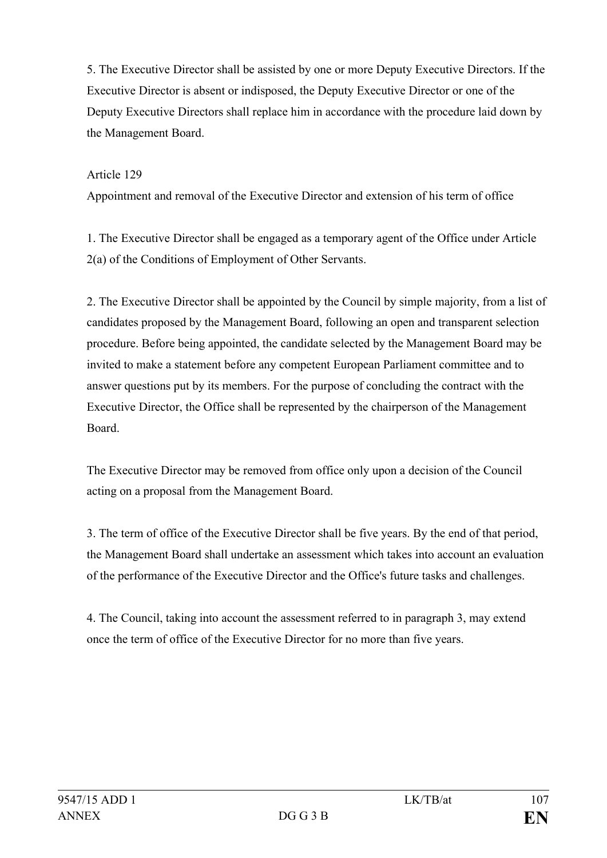5. The Executive Director shall be assisted by one or more Deputy Executive Directors. If the Executive Director is absent or indisposed, the Deputy Executive Director or one of the Deputy Executive Directors shall replace him in accordance with the procedure laid down by the Management Board.

## Article 129

Appointment and removal of the Executive Director and extension of his term of office

1. The Executive Director shall be engaged as a temporary agent of the Office under Article 2(a) of the Conditions of Employment of Other Servants.

2. The Executive Director shall be appointed by the Council by simple majority, from a list of candidates proposed by the Management Board, following an open and transparent selection procedure. Before being appointed, the candidate selected by the Management Board may be invited to make a statement before any competent European Parliament committee and to answer questions put by its members. For the purpose of concluding the contract with the Executive Director, the Office shall be represented by the chairperson of the Management Board.

The Executive Director may be removed from office only upon a decision of the Council acting on a proposal from the Management Board.

3. The term of office of the Executive Director shall be five years. By the end of that period, the Management Board shall undertake an assessment which takes into account an evaluation of the performance of the Executive Director and the Office's future tasks and challenges.

4. The Council, taking into account the assessment referred to in paragraph 3, may extend once the term of office of the Executive Director for no more than five years.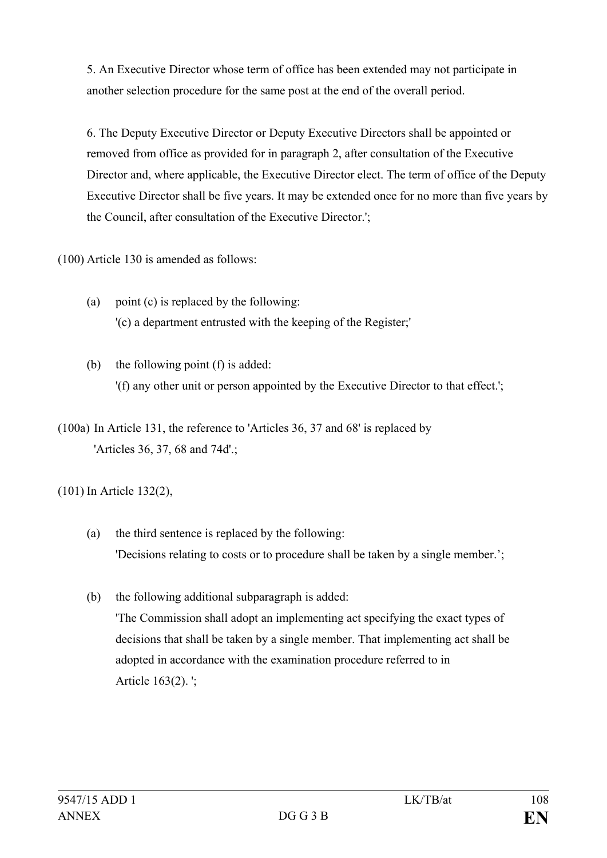5. An Executive Director whose term of office has been extended may not participate in another selection procedure for the same post at the end of the overall period.

6. The Deputy Executive Director or Deputy Executive Directors shall be appointed or removed from office as provided for in paragraph 2, after consultation of the Executive Director and, where applicable, the Executive Director elect. The term of office of the Deputy Executive Director shall be five years. It may be extended once for no more than five years by the Council, after consultation of the Executive Director.';

(100) Article 130 is amended as follows:

- (a) point (c) is replaced by the following: '(c) a department entrusted with the keeping of the Register;'
- (b) the following point (f) is added: '(f) any other unit or person appointed by the Executive Director to that effect.';
- (100a) In Article 131, the reference to 'Articles 36, 37 and 68' is replaced by 'Articles 36, 37, 68 and 74d'.;

(101) In Article 132(2),

- (a) the third sentence is replaced by the following: 'Decisions relating to costs or to procedure shall be taken by a single member.';
- (b) the following additional subparagraph is added: 'The Commission shall adopt an implementing act specifying the exact types of decisions that shall be taken by a single member. That implementing act shall be adopted in accordance with the examination procedure referred to in Article 163(2). ';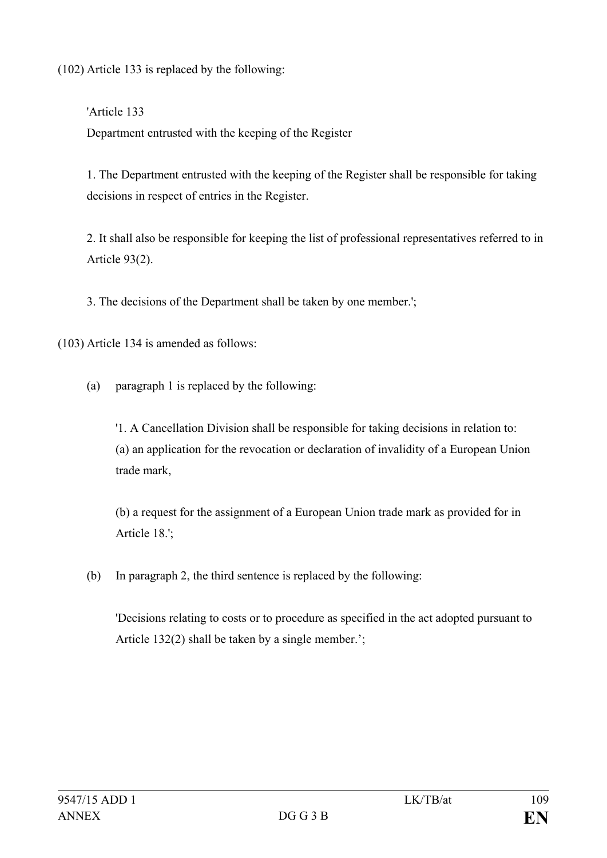(102) Article 133 is replaced by the following:

'Article 133 Department entrusted with the keeping of the Register

1. The Department entrusted with the keeping of the Register shall be responsible for taking decisions in respect of entries in the Register.

2. It shall also be responsible for keeping the list of professional representatives referred to in Article 93(2).

3. The decisions of the Department shall be taken by one member.';

(103) Article 134 is amended as follows:

(a) paragraph 1 is replaced by the following:

'1. A Cancellation Division shall be responsible for taking decisions in relation to: (a) an application for the revocation or declaration of invalidity of a European Union trade mark,

(b) a request for the assignment of a European Union trade mark as provided for in Article 18.';

(b) In paragraph 2, the third sentence is replaced by the following:

'Decisions relating to costs or to procedure as specified in the act adopted pursuant to Article 132(2) shall be taken by a single member.';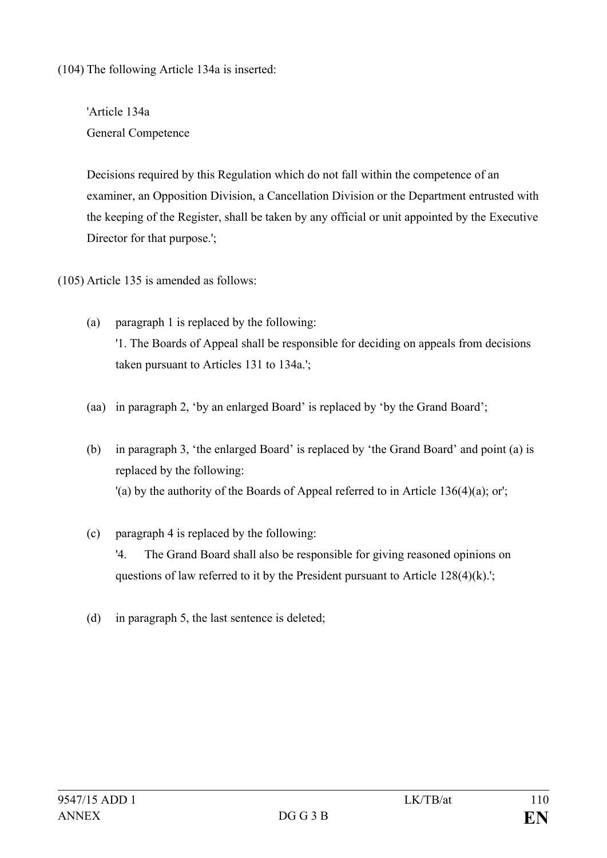(104) The following Article 134a is inserted:

'Article 134a General Competence

Decisions required by this Regulation which do not fall within the competence of an examiner, an Opposition Division, a Cancellation Division or the Department entrusted with the keeping of the Register, shall be taken by any official or unit appointed by the Executive Director for that purpose.';

(105) Article 135 is amended as follows:

- (a) paragraph 1 is replaced by the following: '1. The Boards of Appeal shall be responsible for deciding on appeals from decisions taken pursuant to Articles 131 to 134a.';
- (aa) in paragraph 2, 'by an enlarged Board' is replaced by 'by the Grand Board';
- (b) in paragraph 3, 'the enlarged Board' is replaced by 'the Grand Board' and point (a) is replaced by the following: '(a) by the authority of the Boards of Appeal referred to in Article 136(4)(a); or';
- (c) paragraph 4 is replaced by the following: '4. The Grand Board shall also be responsible for giving reasoned opinions on questions of law referred to it by the President pursuant to Article 128(4)(k).';
- (d) in paragraph 5, the last sentence is deleted;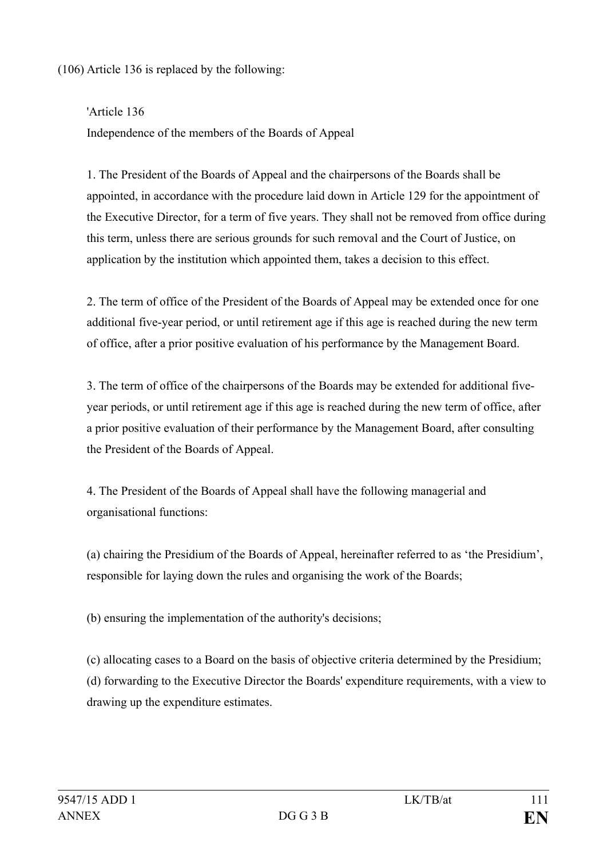(106) Article 136 is replaced by the following:

'Article 136 Independence of the members of the Boards of Appeal

1. The President of the Boards of Appeal and the chairpersons of the Boards shall be appointed, in accordance with the procedure laid down in Article 129 for the appointment of the Executive Director, for a term of five years. They shall not be removed from office during this term, unless there are serious grounds for such removal and the Court of Justice, on application by the institution which appointed them, takes a decision to this effect.

2. The term of office of the President of the Boards of Appeal may be extended once for one additional five-year period, or until retirement age if this age is reached during the new term of office, after a prior positive evaluation of his performance by the Management Board.

3. The term of office of the chairpersons of the Boards may be extended for additional fiveyear periods, or until retirement age if this age is reached during the new term of office, after a prior positive evaluation of their performance by the Management Board, after consulting the President of the Boards of Appeal.

4. The President of the Boards of Appeal shall have the following managerial and organisational functions:

(a) chairing the Presidium of the Boards of Appeal, hereinafter referred to as 'the Presidium', responsible for laying down the rules and organising the work of the Boards;

(b) ensuring the implementation of the authority's decisions;

(c) allocating cases to a Board on the basis of objective criteria determined by the Presidium; (d) forwarding to the Executive Director the Boards' expenditure requirements, with a view to drawing up the expenditure estimates.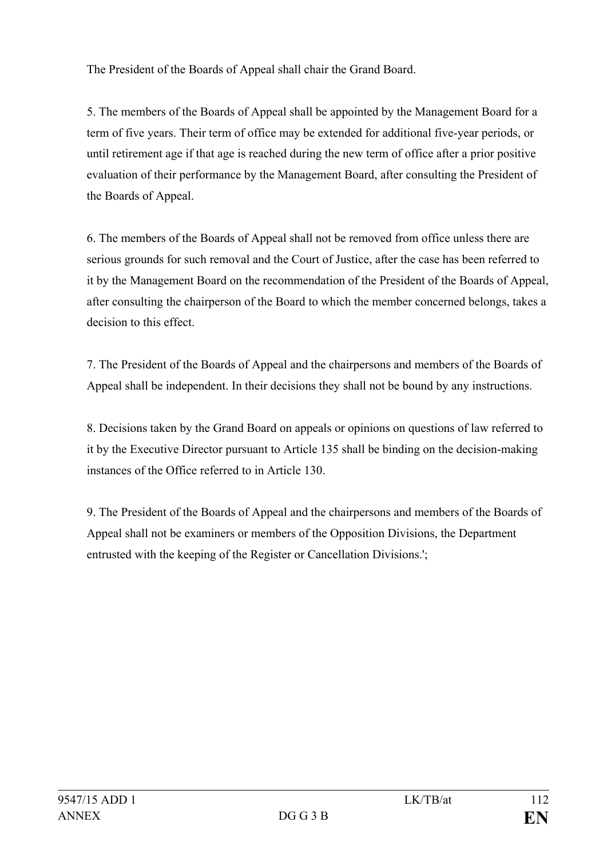The President of the Boards of Appeal shall chair the Grand Board.

5. The members of the Boards of Appeal shall be appointed by the Management Board for a term of five years. Their term of office may be extended for additional five-year periods, or until retirement age if that age is reached during the new term of office after a prior positive evaluation of their performance by the Management Board, after consulting the President of the Boards of Appeal.

6. The members of the Boards of Appeal shall not be removed from office unless there are serious grounds for such removal and the Court of Justice, after the case has been referred to it by the Management Board on the recommendation of the President of the Boards of Appeal, after consulting the chairperson of the Board to which the member concerned belongs, takes a decision to this effect.

7. The President of the Boards of Appeal and the chairpersons and members of the Boards of Appeal shall be independent. In their decisions they shall not be bound by any instructions.

8. Decisions taken by the Grand Board on appeals or opinions on questions of law referred to it by the Executive Director pursuant to Article 135 shall be binding on the decision-making instances of the Office referred to in Article 130.

9. The President of the Boards of Appeal and the chairpersons and members of the Boards of Appeal shall not be examiners or members of the Opposition Divisions, the Department entrusted with the keeping of the Register or Cancellation Divisions.';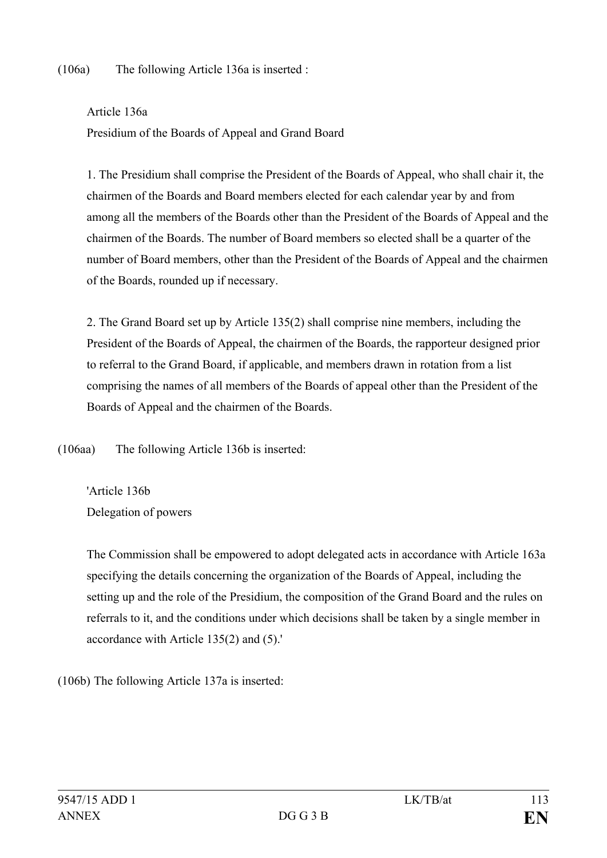(106a) The following Article 136a is inserted :

Article 136a Presidium of the Boards of Appeal and Grand Board

1. The Presidium shall comprise the President of the Boards of Appeal, who shall chair it, the chairmen of the Boards and Board members elected for each calendar year by and from among all the members of the Boards other than the President of the Boards of Appeal and the chairmen of the Boards. The number of Board members so elected shall be a quarter of the number of Board members, other than the President of the Boards of Appeal and the chairmen of the Boards, rounded up if necessary.

2. The Grand Board set up by Article 135(2) shall comprise nine members, including the President of the Boards of Appeal, the chairmen of the Boards, the rapporteur designed prior to referral to the Grand Board, if applicable, and members drawn in rotation from a list comprising the names of all members of the Boards of appeal other than the President of the Boards of Appeal and the chairmen of the Boards.

(106aa) The following Article 136b is inserted:

'Article 136b Delegation of powers

The Commission shall be empowered to adopt delegated acts in accordance with Article 163a specifying the details concerning the organization of the Boards of Appeal, including the setting up and the role of the Presidium, the composition of the Grand Board and the rules on referrals to it, and the conditions under which decisions shall be taken by a single member in accordance with Article 135(2) and (5).'

(106b) The following Article 137a is inserted: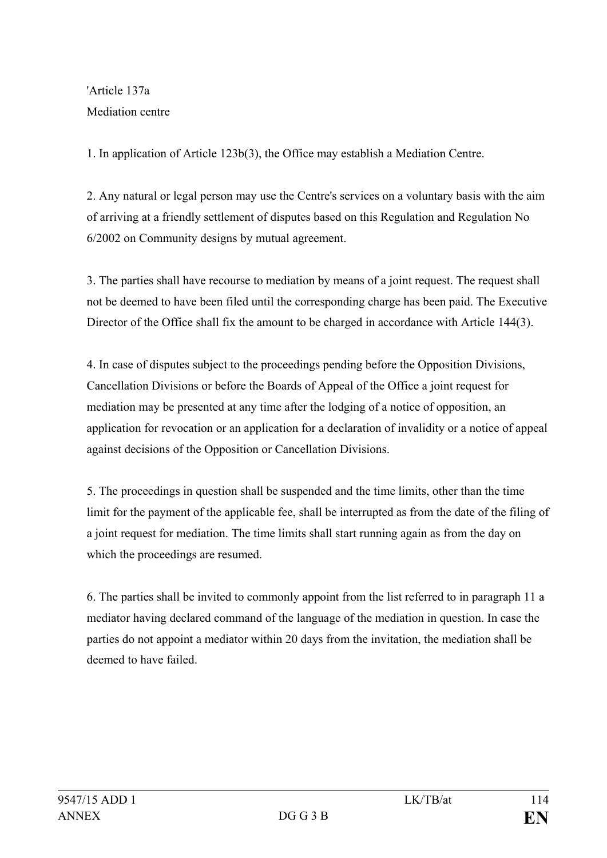'Article 137a Mediation centre

1. In application of Article 123b(3), the Office may establish a Mediation Centre.

2. Any natural or legal person may use the Centre's services on a voluntary basis with the aim of arriving at a friendly settlement of disputes based on this Regulation and Regulation No 6/2002 on Community designs by mutual agreement.

3. The parties shall have recourse to mediation by means of a joint request. The request shall not be deemed to have been filed until the corresponding charge has been paid. The Executive Director of the Office shall fix the amount to be charged in accordance with Article 144(3).

4. In case of disputes subject to the proceedings pending before the Opposition Divisions, Cancellation Divisions or before the Boards of Appeal of the Office a joint request for mediation may be presented at any time after the lodging of a notice of opposition, an application for revocation or an application for a declaration of invalidity or a notice of appeal against decisions of the Opposition or Cancellation Divisions.

5. The proceedings in question shall be suspended and the time limits, other than the time limit for the payment of the applicable fee, shall be interrupted as from the date of the filing of a joint request for mediation. The time limits shall start running again as from the day on which the proceedings are resumed.

6. The parties shall be invited to commonly appoint from the list referred to in paragraph 11 a mediator having declared command of the language of the mediation in question. In case the parties do not appoint a mediator within 20 days from the invitation, the mediation shall be deemed to have failed.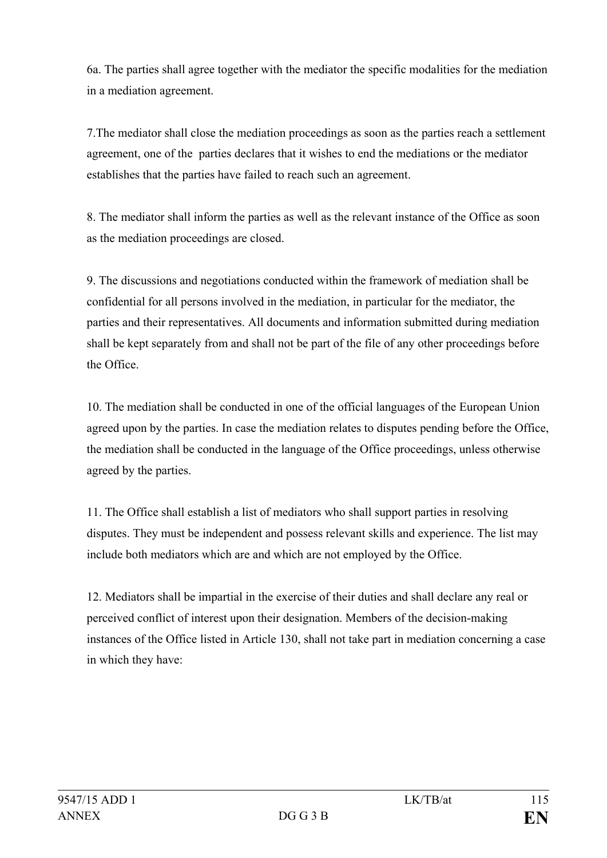6a. The parties shall agree together with the mediator the specific modalities for the mediation in a mediation agreement.

7.The mediator shall close the mediation proceedings as soon as the parties reach a settlement agreement, one of the parties declares that it wishes to end the mediations or the mediator establishes that the parties have failed to reach such an agreement.

8. The mediator shall inform the parties as well as the relevant instance of the Office as soon as the mediation proceedings are closed.

9. The discussions and negotiations conducted within the framework of mediation shall be confidential for all persons involved in the mediation, in particular for the mediator, the parties and their representatives. All documents and information submitted during mediation shall be kept separately from and shall not be part of the file of any other proceedings before the Office.

10. The mediation shall be conducted in one of the official languages of the European Union agreed upon by the parties. In case the mediation relates to disputes pending before the Office, the mediation shall be conducted in the language of the Office proceedings, unless otherwise agreed by the parties.

11. The Office shall establish a list of mediators who shall support parties in resolving disputes. They must be independent and possess relevant skills and experience. The list may include both mediators which are and which are not employed by the Office.

12. Mediators shall be impartial in the exercise of their duties and shall declare any real or perceived conflict of interest upon their designation. Members of the decision-making instances of the Office listed in Article 130, shall not take part in mediation concerning a case in which they have: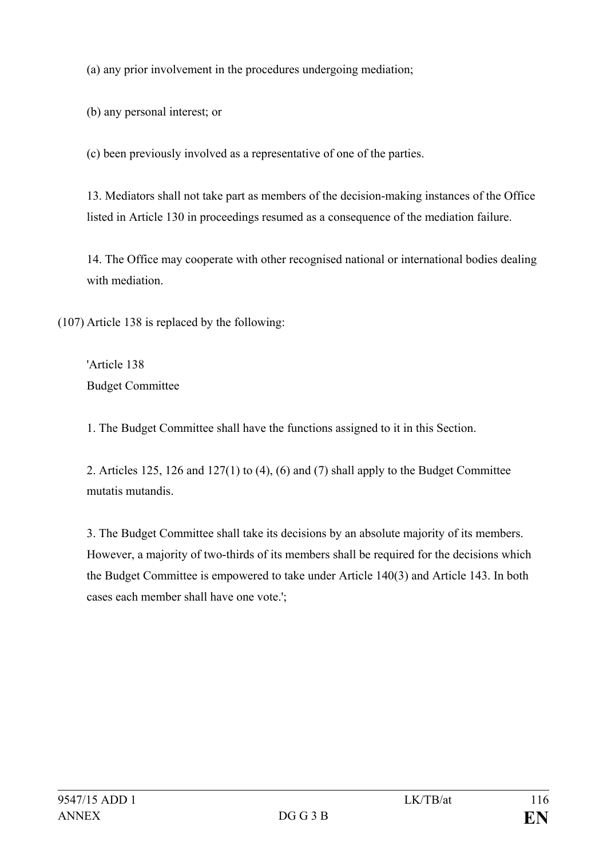(a) any prior involvement in the procedures undergoing mediation;

(b) any personal interest; or

(c) been previously involved as a representative of one of the parties.

13. Mediators shall not take part as members of the decision-making instances of the Office listed in Article 130 in proceedings resumed as a consequence of the mediation failure.

14. The Office may cooperate with other recognised national or international bodies dealing with mediation.

(107) Article 138 is replaced by the following:

'Article 138 Budget Committee

1. The Budget Committee shall have the functions assigned to it in this Section.

2. Articles 125, 126 and 127(1) to (4), (6) and (7) shall apply to the Budget Committee mutatis mutandis.

3. The Budget Committee shall take its decisions by an absolute majority of its members. However, a majority of two-thirds of its members shall be required for the decisions which the Budget Committee is empowered to take under Article 140(3) and Article 143. In both cases each member shall have one vote.';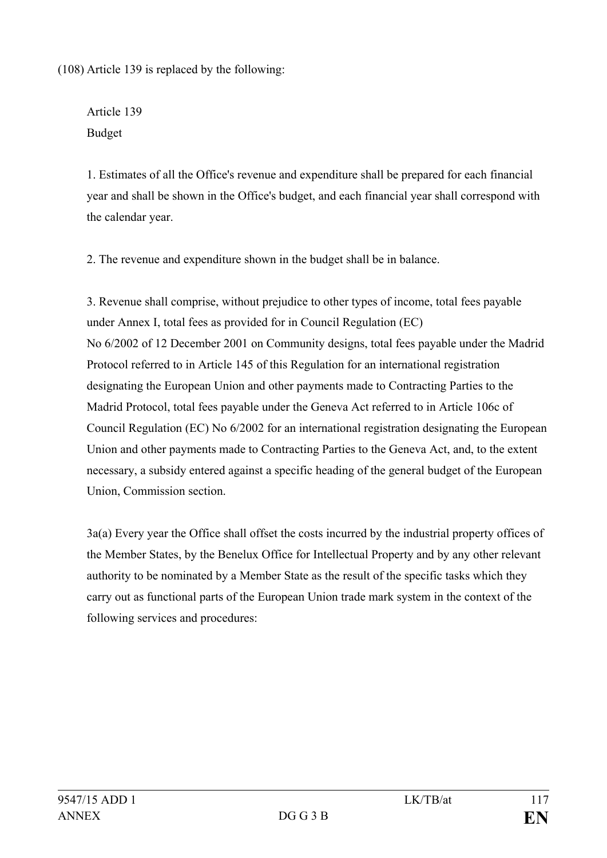(108) Article 139 is replaced by the following:

Article 139 Budget

1. Estimates of all the Office's revenue and expenditure shall be prepared for each financial year and shall be shown in the Office's budget, and each financial year shall correspond with the calendar year.

2. The revenue and expenditure shown in the budget shall be in balance.

3. Revenue shall comprise, without prejudice to other types of income, total fees payable under Annex I, total fees as provided for in Council Regulation (EC) No 6/2002 of 12 December 2001 on Community designs, total fees payable under the Madrid Protocol referred to in Article 145 of this Regulation for an international registration designating the European Union and other payments made to Contracting Parties to the Madrid Protocol, total fees payable under the Geneva Act referred to in Article 106c of Council Regulation (EC) No 6/2002 for an international registration designating the European Union and other payments made to Contracting Parties to the Geneva Act, and, to the extent necessary, a subsidy entered against a specific heading of the general budget of the European Union, Commission section.

3a(a) Every year the Office shall offset the costs incurred by the industrial property offices of the Member States, by the Benelux Office for Intellectual Property and by any other relevant authority to be nominated by a Member State as the result of the specific tasks which they carry out as functional parts of the European Union trade mark system in the context of the following services and procedures: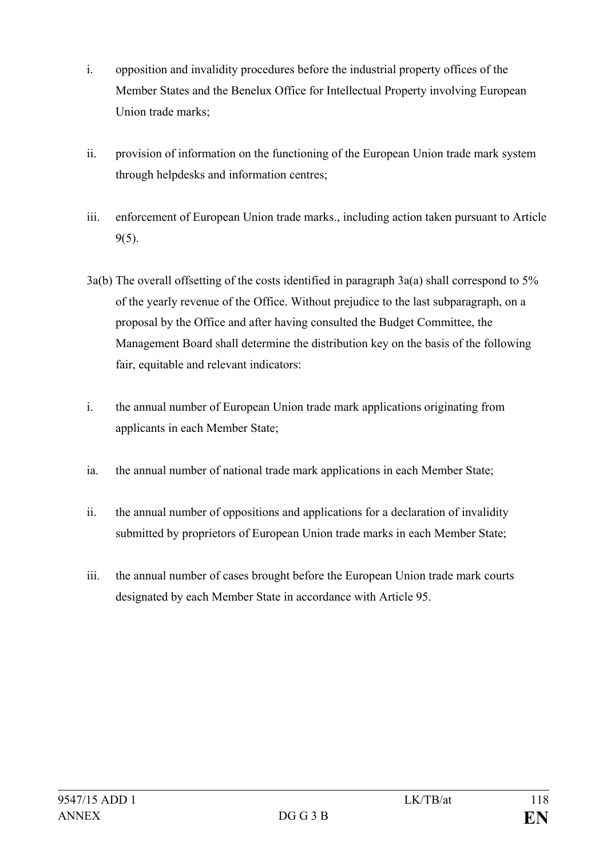- i. opposition and invalidity procedures before the industrial property offices of the Member States and the Benelux Office for Intellectual Property involving European Union trade marks;
- ii. provision of information on the functioning of the European Union trade mark system through helpdesks and information centres;
- iii. enforcement of European Union trade marks., including action taken pursuant to Article 9(5).
- 3a(b) The overall offsetting of the costs identified in paragraph 3a(a) shall correspond to 5% of the yearly revenue of the Office. Without prejudice to the last subparagraph, on a proposal by the Office and after having consulted the Budget Committee, the Management Board shall determine the distribution key on the basis of the following fair, equitable and relevant indicators:
- i. the annual number of European Union trade mark applications originating from applicants in each Member State;
- ia. the annual number of national trade mark applications in each Member State;
- ii. the annual number of oppositions and applications for a declaration of invalidity submitted by proprietors of European Union trade marks in each Member State;
- iii. the annual number of cases brought before the European Union trade mark courts designated by each Member State in accordance with Article 95.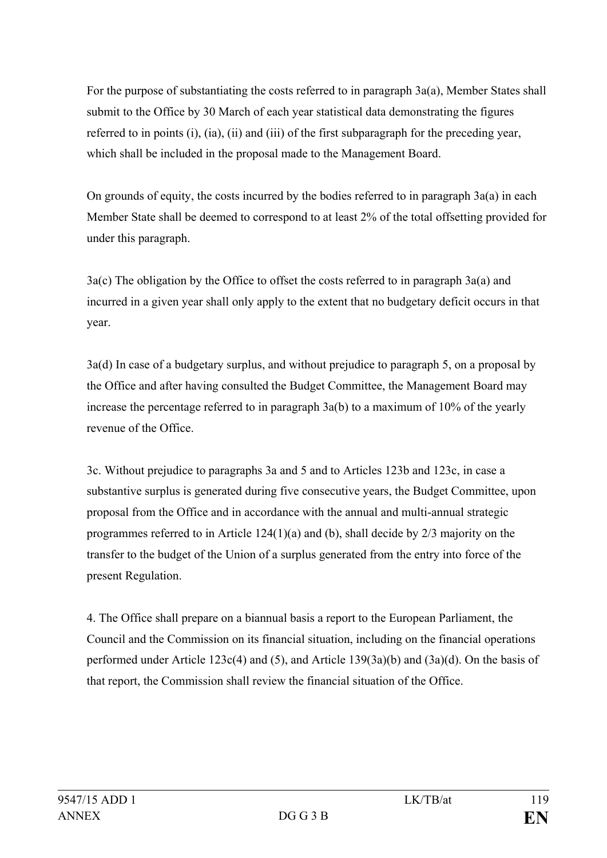For the purpose of substantiating the costs referred to in paragraph 3a(a), Member States shall submit to the Office by 30 March of each year statistical data demonstrating the figures referred to in points (i), (ia), (ii) and (iii) of the first subparagraph for the preceding year, which shall be included in the proposal made to the Management Board.

On grounds of equity, the costs incurred by the bodies referred to in paragraph 3a(a) in each Member State shall be deemed to correspond to at least 2% of the total offsetting provided for under this paragraph.

3a(c) The obligation by the Office to offset the costs referred to in paragraph 3a(a) and incurred in a given year shall only apply to the extent that no budgetary deficit occurs in that year.

3a(d) In case of a budgetary surplus, and without prejudice to paragraph 5, on a proposal by the Office and after having consulted the Budget Committee, the Management Board may increase the percentage referred to in paragraph 3a(b) to a maximum of 10% of the yearly revenue of the Office.

3c. Without prejudice to paragraphs 3a and 5 and to Articles 123b and 123c, in case a substantive surplus is generated during five consecutive years, the Budget Committee, upon proposal from the Office and in accordance with the annual and multi-annual strategic programmes referred to in Article 124(1)(a) and (b), shall decide by 2/3 majority on the transfer to the budget of the Union of a surplus generated from the entry into force of the present Regulation.

4. The Office shall prepare on a biannual basis a report to the European Parliament, the Council and the Commission on its financial situation, including on the financial operations performed under Article 123c(4) and (5), and Article 139(3a)(b) and (3a)(d). On the basis of that report, the Commission shall review the financial situation of the Office.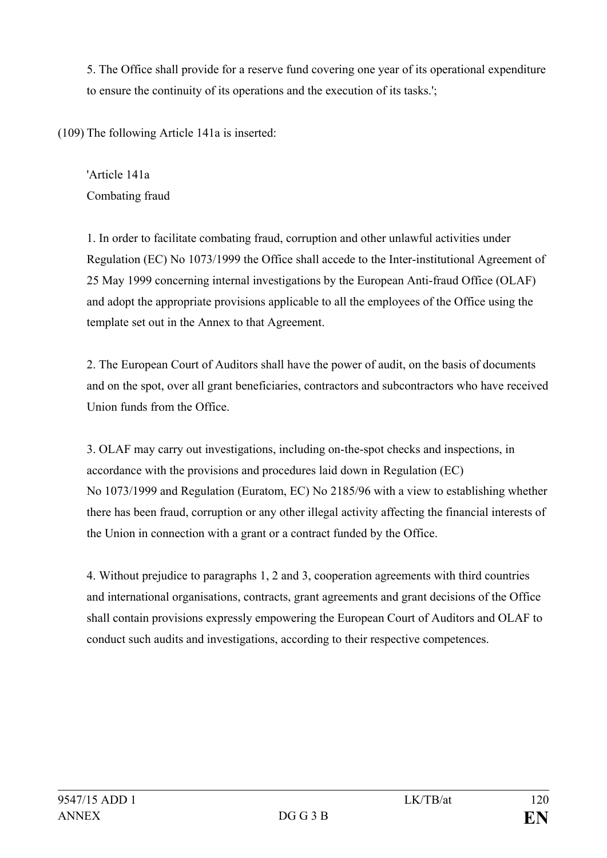5. The Office shall provide for a reserve fund covering one year of its operational expenditure to ensure the continuity of its operations and the execution of its tasks.';

(109) The following Article 141a is inserted:

'Article 141a Combating fraud

1. In order to facilitate combating fraud, corruption and other unlawful activities under Regulation (EC) No 1073/1999 the Office shall accede to the Inter-institutional Agreement of 25 May 1999 concerning internal investigations by the European Anti-fraud Office (OLAF) and adopt the appropriate provisions applicable to all the employees of the Office using the template set out in the Annex to that Agreement.

2. The European Court of Auditors shall have the power of audit, on the basis of documents and on the spot, over all grant beneficiaries, contractors and subcontractors who have received Union funds from the Office.

3. OLAF may carry out investigations, including on-the-spot checks and inspections, in accordance with the provisions and procedures laid down in Regulation (EC) No 1073/1999 and Regulation (Euratom, EC) No 2185/96 with a view to establishing whether there has been fraud, corruption or any other illegal activity affecting the financial interests of the Union in connection with a grant or a contract funded by the Office.

4. Without prejudice to paragraphs 1, 2 and 3, cooperation agreements with third countries and international organisations, contracts, grant agreements and grant decisions of the Office shall contain provisions expressly empowering the European Court of Auditors and OLAF to conduct such audits and investigations, according to their respective competences.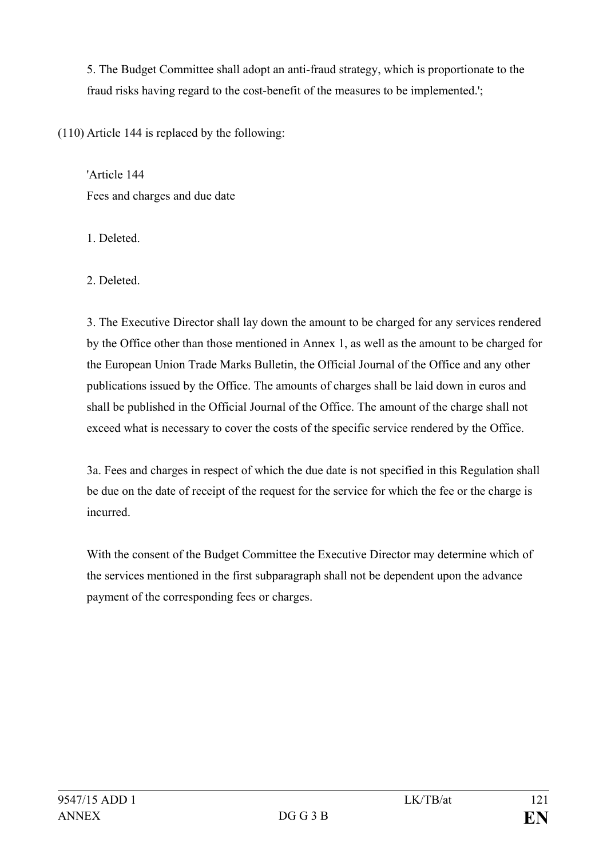5. The Budget Committee shall adopt an anti-fraud strategy, which is proportionate to the fraud risks having regard to the cost-benefit of the measures to be implemented.';

(110) Article 144 is replaced by the following:

'Article 144 Fees and charges and due date

1. Deleted.

2. Deleted.

3. The Executive Director shall lay down the amount to be charged for any services rendered by the Office other than those mentioned in Annex 1, as well as the amount to be charged for the European Union Trade Marks Bulletin, the Official Journal of the Office and any other publications issued by the Office. The amounts of charges shall be laid down in euros and shall be published in the Official Journal of the Office. The amount of the charge shall not exceed what is necessary to cover the costs of the specific service rendered by the Office.

3a. Fees and charges in respect of which the due date is not specified in this Regulation shall be due on the date of receipt of the request for the service for which the fee or the charge is incurred.

With the consent of the Budget Committee the Executive Director may determine which of the services mentioned in the first subparagraph shall not be dependent upon the advance payment of the corresponding fees or charges.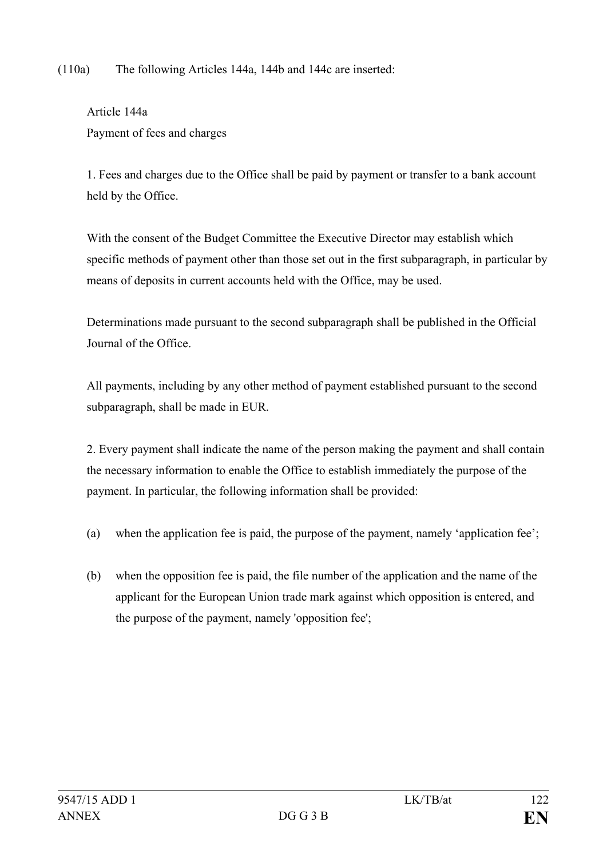(110a) The following Articles 144a, 144b and 144c are inserted:

Article 144a Payment of fees and charges

1. Fees and charges due to the Office shall be paid by payment or transfer to a bank account held by the Office.

With the consent of the Budget Committee the Executive Director may establish which specific methods of payment other than those set out in the first subparagraph, in particular by means of deposits in current accounts held with the Office, may be used.

Determinations made pursuant to the second subparagraph shall be published in the Official Journal of the Office.

All payments, including by any other method of payment established pursuant to the second subparagraph, shall be made in EUR.

2. Every payment shall indicate the name of the person making the payment and shall contain the necessary information to enable the Office to establish immediately the purpose of the payment. In particular, the following information shall be provided:

- (a) when the application fee is paid, the purpose of the payment, namely 'application fee';
- (b) when the opposition fee is paid, the file number of the application and the name of the applicant for the European Union trade mark against which opposition is entered, and the purpose of the payment, namely 'opposition fee';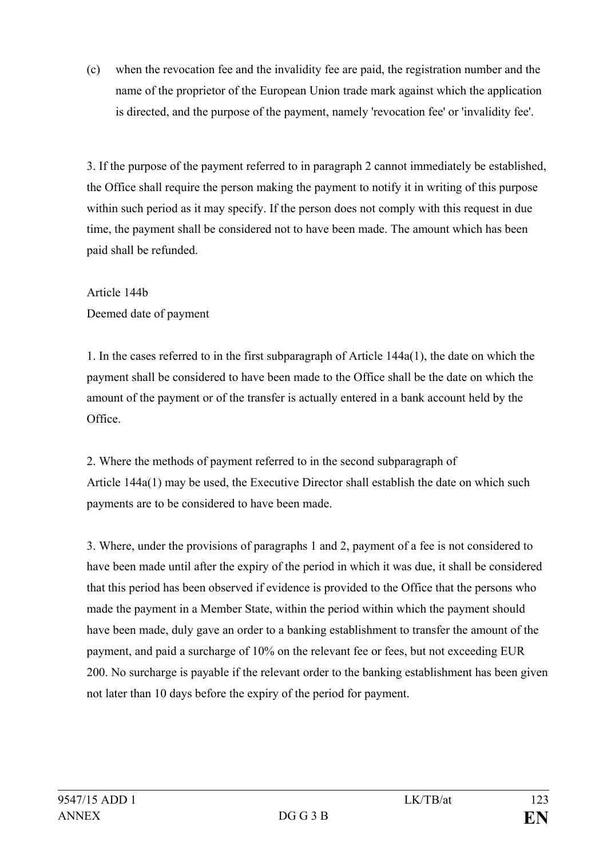(c) when the revocation fee and the invalidity fee are paid, the registration number and the name of the proprietor of the European Union trade mark against which the application is directed, and the purpose of the payment, namely 'revocation fee' or 'invalidity fee'.

3. If the purpose of the payment referred to in paragraph 2 cannot immediately be established, the Office shall require the person making the payment to notify it in writing of this purpose within such period as it may specify. If the person does not comply with this request in due time, the payment shall be considered not to have been made. The amount which has been paid shall be refunded.

Article 144b Deemed date of payment

1. In the cases referred to in the first subparagraph of Article 144a(1), the date on which the payment shall be considered to have been made to the Office shall be the date on which the amount of the payment or of the transfer is actually entered in a bank account held by the Office.

2. Where the methods of payment referred to in the second subparagraph of Article 144a(1) may be used, the Executive Director shall establish the date on which such payments are to be considered to have been made.

3. Where, under the provisions of paragraphs 1 and 2, payment of a fee is not considered to have been made until after the expiry of the period in which it was due, it shall be considered that this period has been observed if evidence is provided to the Office that the persons who made the payment in a Member State, within the period within which the payment should have been made, duly gave an order to a banking establishment to transfer the amount of the payment, and paid a surcharge of 10% on the relevant fee or fees, but not exceeding EUR 200. No surcharge is payable if the relevant order to the banking establishment has been given not later than 10 days before the expiry of the period for payment.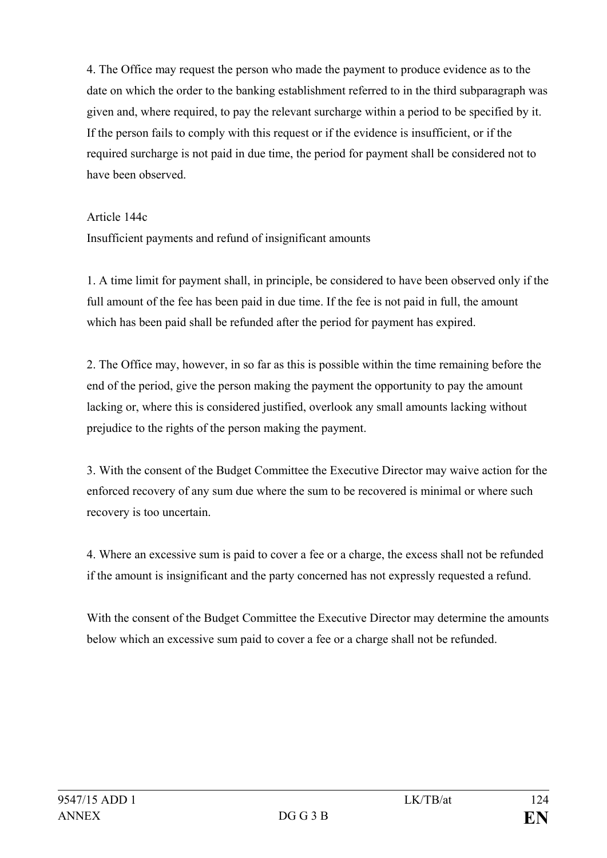4. The Office may request the person who made the payment to produce evidence as to the date on which the order to the banking establishment referred to in the third subparagraph was given and, where required, to pay the relevant surcharge within a period to be specified by it. If the person fails to comply with this request or if the evidence is insufficient, or if the required surcharge is not paid in due time, the period for payment shall be considered not to have been observed.

#### Article 144c

Insufficient payments and refund of insignificant amounts

1. A time limit for payment shall, in principle, be considered to have been observed only if the full amount of the fee has been paid in due time. If the fee is not paid in full, the amount which has been paid shall be refunded after the period for payment has expired.

2. The Office may, however, in so far as this is possible within the time remaining before the end of the period, give the person making the payment the opportunity to pay the amount lacking or, where this is considered justified, overlook any small amounts lacking without prejudice to the rights of the person making the payment.

3. With the consent of the Budget Committee the Executive Director may waive action for the enforced recovery of any sum due where the sum to be recovered is minimal or where such recovery is too uncertain.

4. Where an excessive sum is paid to cover a fee or a charge, the excess shall not be refunded if the amount is insignificant and the party concerned has not expressly requested a refund.

With the consent of the Budget Committee the Executive Director may determine the amounts below which an excessive sum paid to cover a fee or a charge shall not be refunded.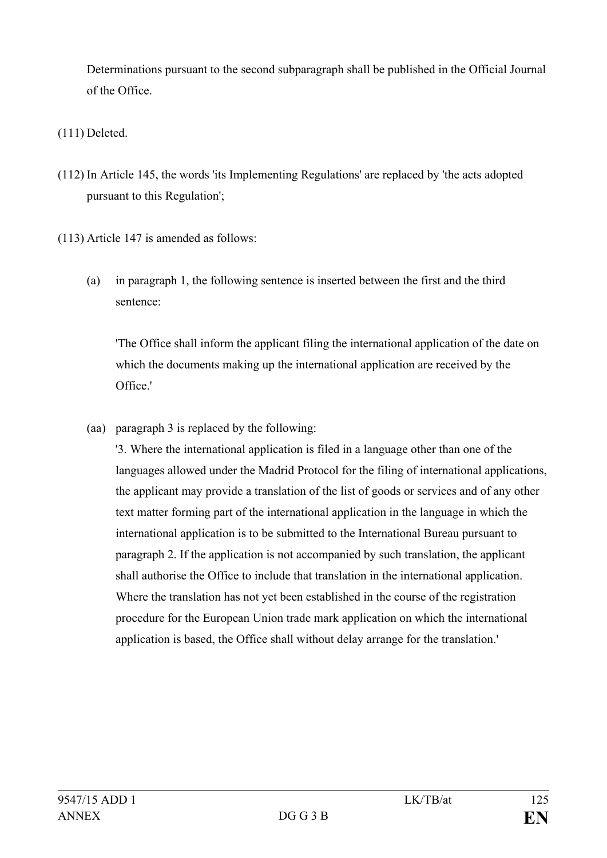Determinations pursuant to the second subparagraph shall be published in the Official Journal of the Office.

# (111) Deleted.

(112) In Article 145, the words 'its Implementing Regulations' are replaced by 'the acts adopted pursuant to this Regulation';

(113) Article 147 is amended as follows:

(a) in paragraph 1, the following sentence is inserted between the first and the third sentence:

'The Office shall inform the applicant filing the international application of the date on which the documents making up the international application are received by the Office.'

(aa) paragraph 3 is replaced by the following:

'3. Where the international application is filed in a language other than one of the languages allowed under the Madrid Protocol for the filing of international applications, the applicant may provide a translation of the list of goods or services and of any other text matter forming part of the international application in the language in which the international application is to be submitted to the International Bureau pursuant to paragraph 2. If the application is not accompanied by such translation, the applicant shall authorise the Office to include that translation in the international application. Where the translation has not yet been established in the course of the registration procedure for the European Union trade mark application on which the international application is based, the Office shall without delay arrange for the translation.'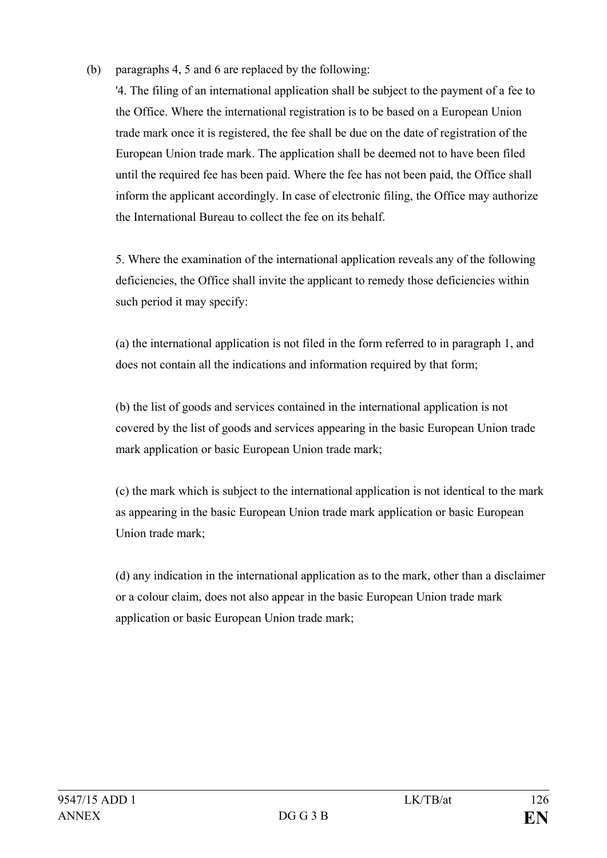(b) paragraphs 4, 5 and 6 are replaced by the following:

'4. The filing of an international application shall be subject to the payment of a fee to the Office. Where the international registration is to be based on a European Union trade mark once it is registered, the fee shall be due on the date of registration of the European Union trade mark. The application shall be deemed not to have been filed until the required fee has been paid. Where the fee has not been paid, the Office shall inform the applicant accordingly. In case of electronic filing, the Office may authorize the International Bureau to collect the fee on its behalf.

5. Where the examination of the international application reveals any of the following deficiencies, the Office shall invite the applicant to remedy those deficiencies within such period it may specify:

(a) the international application is not filed in the form referred to in paragraph 1, and does not contain all the indications and information required by that form;

(b) the list of goods and services contained in the international application is not covered by the list of goods and services appearing in the basic European Union trade mark application or basic European Union trade mark;

(c) the mark which is subject to the international application is not identical to the mark as appearing in the basic European Union trade mark application or basic European Union trade mark;

(d) any indication in the international application as to the mark, other than a disclaimer or a colour claim, does not also appear in the basic European Union trade mark application or basic European Union trade mark;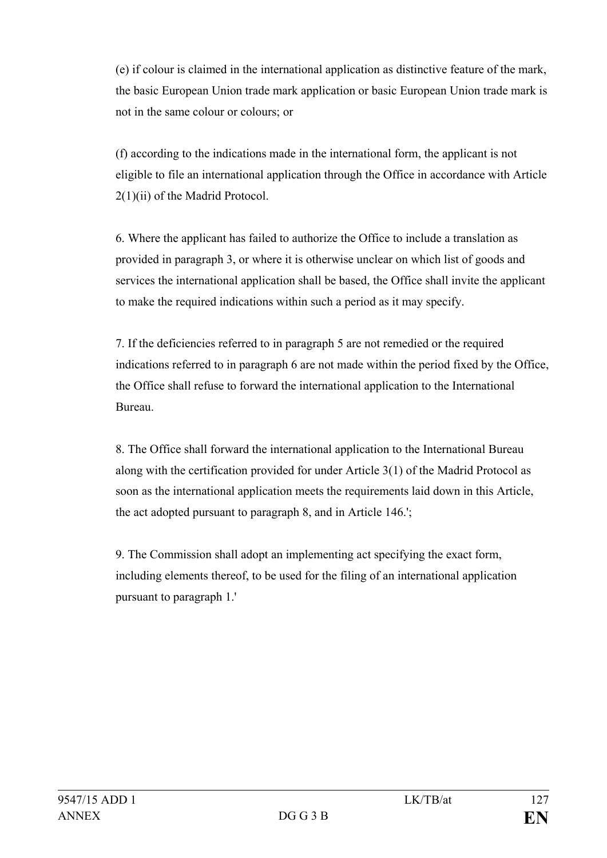(e) if colour is claimed in the international application as distinctive feature of the mark, the basic European Union trade mark application or basic European Union trade mark is not in the same colour or colours; or

(f) according to the indications made in the international form, the applicant is not eligible to file an international application through the Office in accordance with Article 2(1)(ii) of the Madrid Protocol.

6. Where the applicant has failed to authorize the Office to include a translation as provided in paragraph 3, or where it is otherwise unclear on which list of goods and services the international application shall be based, the Office shall invite the applicant to make the required indications within such a period as it may specify.

7. If the deficiencies referred to in paragraph 5 are not remedied or the required indications referred to in paragraph 6 are not made within the period fixed by the Office, the Office shall refuse to forward the international application to the International Bureau.

8. The Office shall forward the international application to the International Bureau along with the certification provided for under Article 3(1) of the Madrid Protocol as soon as the international application meets the requirements laid down in this Article, the act adopted pursuant to paragraph 8, and in Article 146.';

9. The Commission shall adopt an implementing act specifying the exact form, including elements thereof, to be used for the filing of an international application pursuant to paragraph 1.'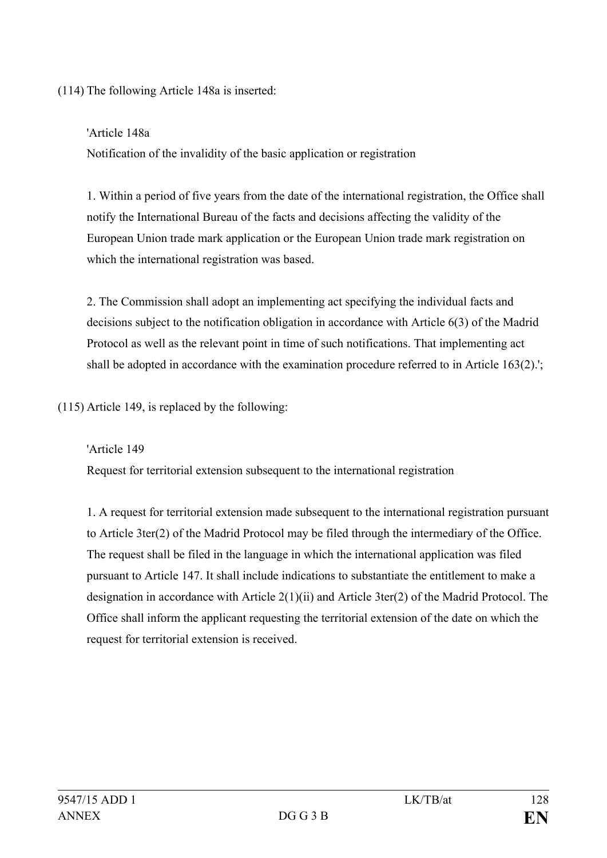(114) The following Article 148a is inserted:

## 'Article 148a

Notification of the invalidity of the basic application or registration

1. Within a period of five years from the date of the international registration, the Office shall notify the International Bureau of the facts and decisions affecting the validity of the European Union trade mark application or the European Union trade mark registration on which the international registration was based.

2. The Commission shall adopt an implementing act specifying the individual facts and decisions subject to the notification obligation in accordance with Article 6(3) of the Madrid Protocol as well as the relevant point in time of such notifications. That implementing act shall be adopted in accordance with the examination procedure referred to in Article 163(2).';

(115) Article 149, is replaced by the following:

'Article 149

Request for territorial extension subsequent to the international registration

1. A request for territorial extension made subsequent to the international registration pursuant to Article 3ter(2) of the Madrid Protocol may be filed through the intermediary of the Office. The request shall be filed in the language in which the international application was filed pursuant to Article 147. It shall include indications to substantiate the entitlement to make a designation in accordance with Article 2(1)(ii) and Article 3ter(2) of the Madrid Protocol. The Office shall inform the applicant requesting the territorial extension of the date on which the request for territorial extension is received.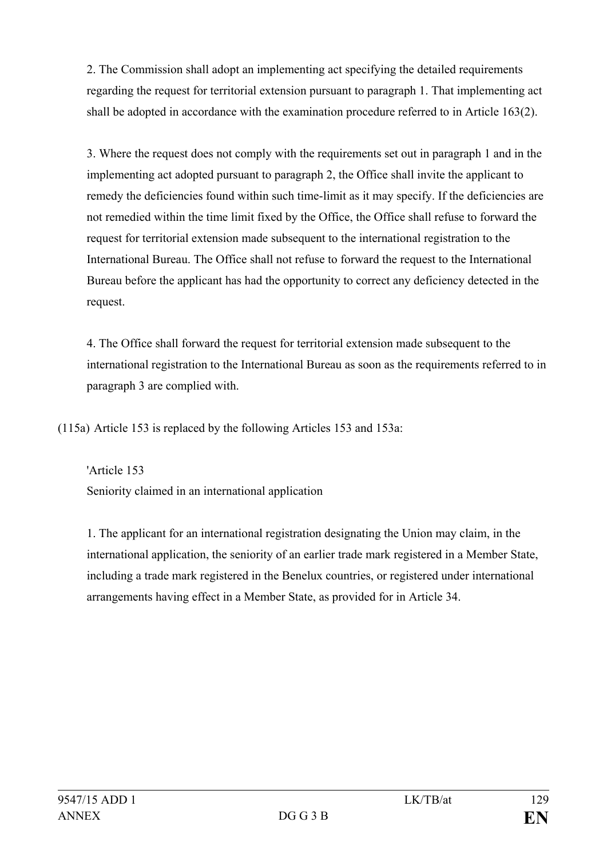2. The Commission shall adopt an implementing act specifying the detailed requirements regarding the request for territorial extension pursuant to paragraph 1. That implementing act shall be adopted in accordance with the examination procedure referred to in Article 163(2).

3. Where the request does not comply with the requirements set out in paragraph 1 and in the implementing act adopted pursuant to paragraph 2, the Office shall invite the applicant to remedy the deficiencies found within such time-limit as it may specify. If the deficiencies are not remedied within the time limit fixed by the Office, the Office shall refuse to forward the request for territorial extension made subsequent to the international registration to the International Bureau. The Office shall not refuse to forward the request to the International Bureau before the applicant has had the opportunity to correct any deficiency detected in the request.

4. The Office shall forward the request for territorial extension made subsequent to the international registration to the International Bureau as soon as the requirements referred to in paragraph 3 are complied with.

(115a) Article 153 is replaced by the following Articles 153 and 153a:

'Article 153 Seniority claimed in an international application

1. The applicant for an international registration designating the Union may claim, in the international application, the seniority of an earlier trade mark registered in a Member State, including a trade mark registered in the Benelux countries, or registered under international arrangements having effect in a Member State, as provided for in Article 34.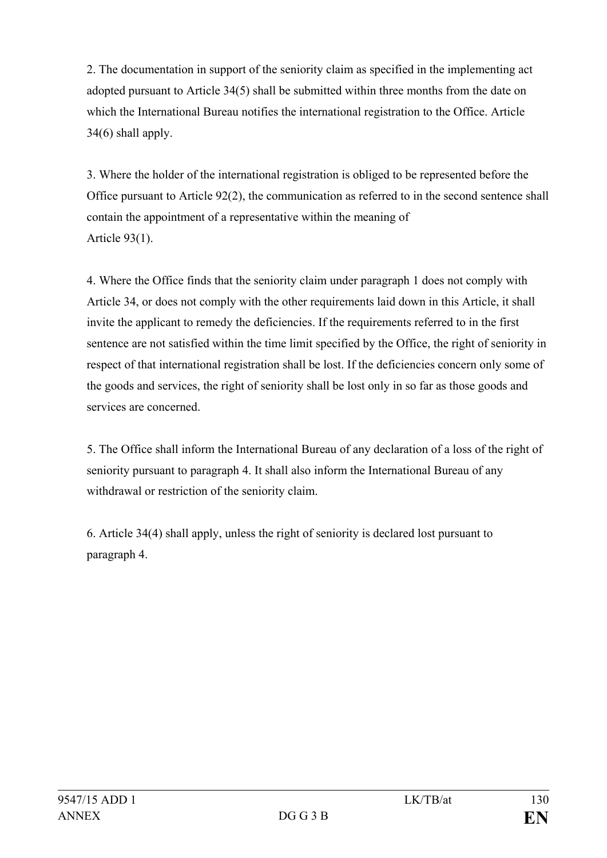2. The documentation in support of the seniority claim as specified in the implementing act adopted pursuant to Article 34(5) shall be submitted within three months from the date on which the International Bureau notifies the international registration to the Office. Article 34(6) shall apply.

3. Where the holder of the international registration is obliged to be represented before the Office pursuant to Article 92(2), the communication as referred to in the second sentence shall contain the appointment of a representative within the meaning of Article 93(1).

4. Where the Office finds that the seniority claim under paragraph 1 does not comply with Article 34, or does not comply with the other requirements laid down in this Article, it shall invite the applicant to remedy the deficiencies. If the requirements referred to in the first sentence are not satisfied within the time limit specified by the Office, the right of seniority in respect of that international registration shall be lost. If the deficiencies concern only some of the goods and services, the right of seniority shall be lost only in so far as those goods and services are concerned.

5. The Office shall inform the International Bureau of any declaration of a loss of the right of seniority pursuant to paragraph 4. It shall also inform the International Bureau of any withdrawal or restriction of the seniority claim.

6. Article 34(4) shall apply, unless the right of seniority is declared lost pursuant to paragraph 4.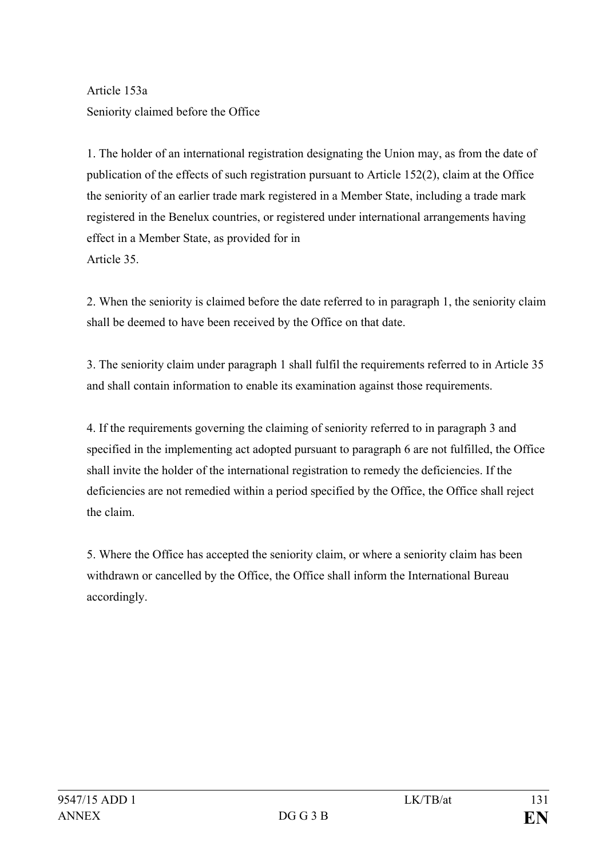Article 153a Seniority claimed before the Office

1. The holder of an international registration designating the Union may, as from the date of publication of the effects of such registration pursuant to Article 152(2), claim at the Office the seniority of an earlier trade mark registered in a Member State, including a trade mark registered in the Benelux countries, or registered under international arrangements having effect in a Member State, as provided for in Article 35.

2. When the seniority is claimed before the date referred to in paragraph 1, the seniority claim shall be deemed to have been received by the Office on that date.

3. The seniority claim under paragraph 1 shall fulfil the requirements referred to in Article 35 and shall contain information to enable its examination against those requirements.

4. If the requirements governing the claiming of seniority referred to in paragraph 3 and specified in the implementing act adopted pursuant to paragraph 6 are not fulfilled, the Office shall invite the holder of the international registration to remedy the deficiencies. If the deficiencies are not remedied within a period specified by the Office, the Office shall reject the claim.

5. Where the Office has accepted the seniority claim, or where a seniority claim has been withdrawn or cancelled by the Office, the Office shall inform the International Bureau accordingly.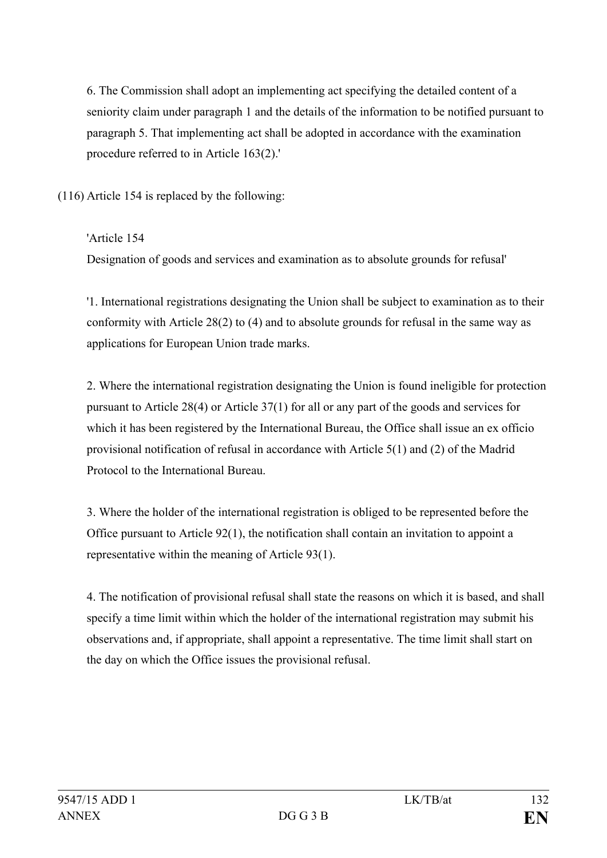6. The Commission shall adopt an implementing act specifying the detailed content of a seniority claim under paragraph 1 and the details of the information to be notified pursuant to paragraph 5. That implementing act shall be adopted in accordance with the examination procedure referred to in Article 163(2).'

(116) Article 154 is replaced by the following:

'Article 154

Designation of goods and services and examination as to absolute grounds for refusal'

'1. International registrations designating the Union shall be subject to examination as to their conformity with Article 28(2) to (4) and to absolute grounds for refusal in the same way as applications for European Union trade marks.

2. Where the international registration designating the Union is found ineligible for protection pursuant to Article 28(4) or Article 37(1) for all or any part of the goods and services for which it has been registered by the International Bureau, the Office shall issue an ex officio provisional notification of refusal in accordance with Article 5(1) and (2) of the Madrid Protocol to the International Bureau.

3. Where the holder of the international registration is obliged to be represented before the Office pursuant to Article 92(1), the notification shall contain an invitation to appoint a representative within the meaning of Article 93(1).

4. The notification of provisional refusal shall state the reasons on which it is based, and shall specify a time limit within which the holder of the international registration may submit his observations and, if appropriate, shall appoint a representative. The time limit shall start on the day on which the Office issues the provisional refusal.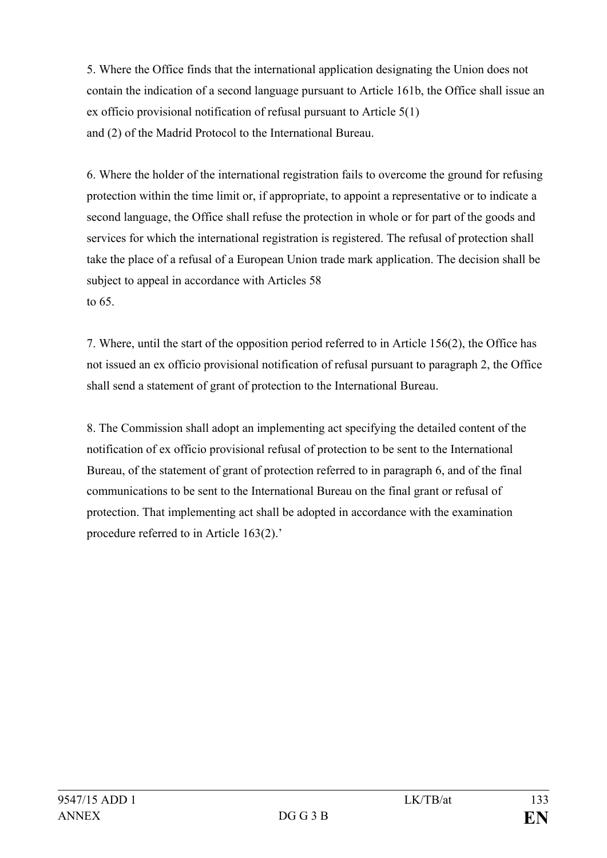5. Where the Office finds that the international application designating the Union does not contain the indication of a second language pursuant to Article 161b, the Office shall issue an ex officio provisional notification of refusal pursuant to Article 5(1) and (2) of the Madrid Protocol to the International Bureau.

6. Where the holder of the international registration fails to overcome the ground for refusing protection within the time limit or, if appropriate, to appoint a representative or to indicate a second language, the Office shall refuse the protection in whole or for part of the goods and services for which the international registration is registered. The refusal of protection shall take the place of a refusal of a European Union trade mark application. The decision shall be subject to appeal in accordance with Articles 58 to 65.

7. Where, until the start of the opposition period referred to in Article 156(2), the Office has not issued an ex officio provisional notification of refusal pursuant to paragraph 2, the Office shall send a statement of grant of protection to the International Bureau.

8. The Commission shall adopt an implementing act specifying the detailed content of the notification of ex officio provisional refusal of protection to be sent to the International Bureau, of the statement of grant of protection referred to in paragraph 6, and of the final communications to be sent to the International Bureau on the final grant or refusal of protection. That implementing act shall be adopted in accordance with the examination procedure referred to in Article 163(2).'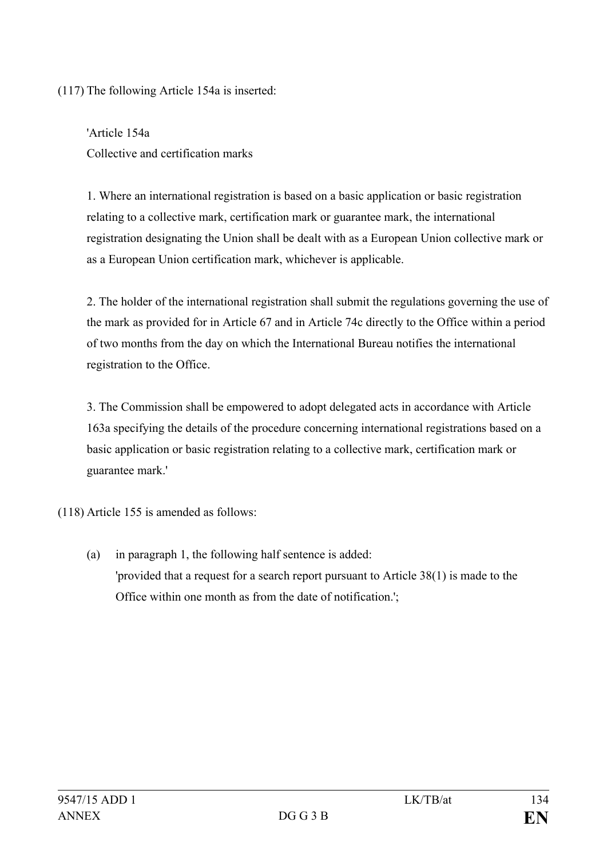(117) The following Article 154a is inserted:

'Article 154a Collective and certification marks

1. Where an international registration is based on a basic application or basic registration relating to a collective mark, certification mark or guarantee mark, the international registration designating the Union shall be dealt with as a European Union collective mark or as a European Union certification mark, whichever is applicable.

2. The holder of the international registration shall submit the regulations governing the use of the mark as provided for in Article 67 and in Article 74c directly to the Office within a period of two months from the day on which the International Bureau notifies the international registration to the Office.

3. The Commission shall be empowered to adopt delegated acts in accordance with Article 163a specifying the details of the procedure concerning international registrations based on a basic application or basic registration relating to a collective mark, certification mark or guarantee mark.'

(118) Article 155 is amended as follows:

(a) in paragraph 1, the following half sentence is added: 'provided that a request for a search report pursuant to Article 38(1) is made to the Office within one month as from the date of notification.';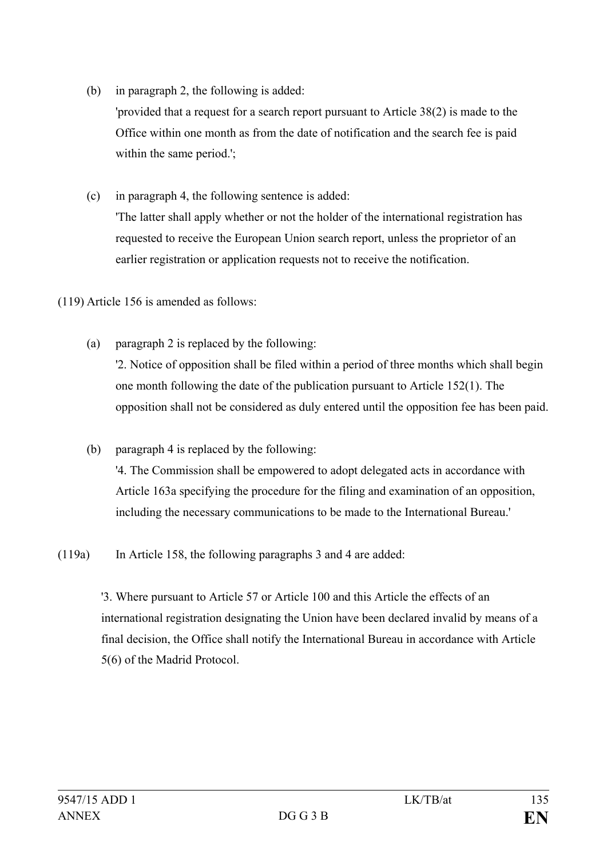- (b) in paragraph 2, the following is added: 'provided that a request for a search report pursuant to Article 38(2) is made to the Office within one month as from the date of notification and the search fee is paid within the same period.';
- (c) in paragraph 4, the following sentence is added: 'The latter shall apply whether or not the holder of the international registration has requested to receive the European Union search report, unless the proprietor of an earlier registration or application requests not to receive the notification.
- (119) Article 156 is amended as follows:
	- (a) paragraph 2 is replaced by the following:

'2. Notice of opposition shall be filed within a period of three months which shall begin one month following the date of the publication pursuant to Article 152(1). The opposition shall not be considered as duly entered until the opposition fee has been paid.

- (b) paragraph 4 is replaced by the following: '4. The Commission shall be empowered to adopt delegated acts in accordance with Article 163a specifying the procedure for the filing and examination of an opposition, including the necessary communications to be made to the International Bureau.'
- (119a) In Article 158, the following paragraphs 3 and 4 are added:

'3. Where pursuant to Article 57 or Article 100 and this Article the effects of an international registration designating the Union have been declared invalid by means of a final decision, the Office shall notify the International Bureau in accordance with Article 5(6) of the Madrid Protocol.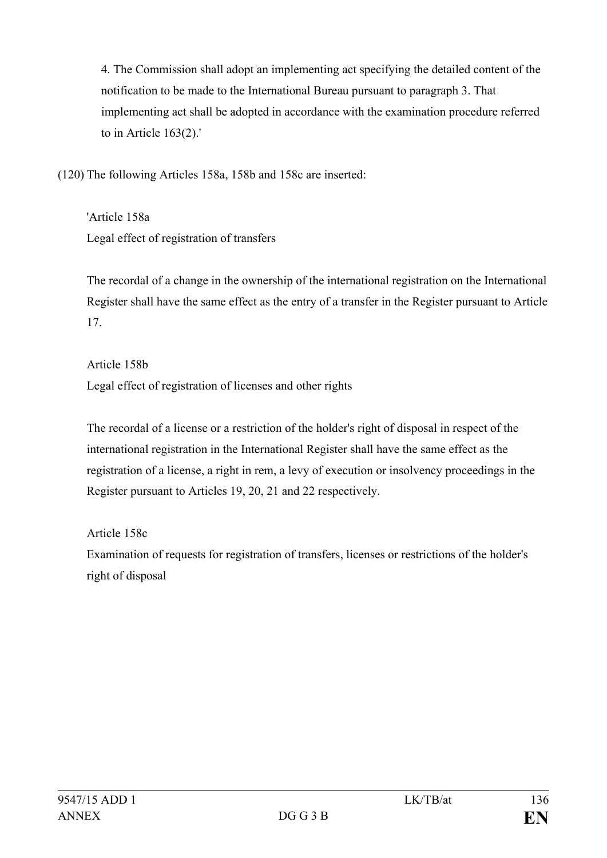4. The Commission shall adopt an implementing act specifying the detailed content of the notification to be made to the International Bureau pursuant to paragraph 3. That implementing act shall be adopted in accordance with the examination procedure referred to in Article 163(2).'

(120) The following Articles 158a, 158b and 158c are inserted:

'Article 158a Legal effect of registration of transfers

The recordal of a change in the ownership of the international registration on the International Register shall have the same effect as the entry of a transfer in the Register pursuant to Article 17.

Article 158b Legal effect of registration of licenses and other rights

The recordal of a license or a restriction of the holder's right of disposal in respect of the international registration in the International Register shall have the same effect as the registration of a license, a right in rem, a levy of execution or insolvency proceedings in the Register pursuant to Articles 19, 20, 21 and 22 respectively.

Article 158c

Examination of requests for registration of transfers, licenses or restrictions of the holder's right of disposal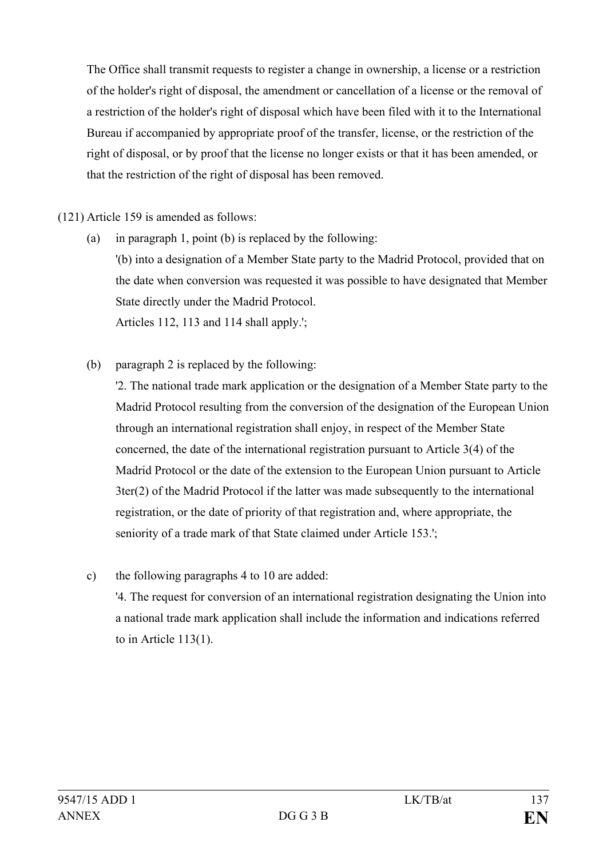The Office shall transmit requests to register a change in ownership, a license or a restriction of the holder's right of disposal, the amendment or cancellation of a license or the removal of a restriction of the holder's right of disposal which have been filed with it to the International Bureau if accompanied by appropriate proof of the transfer, license, or the restriction of the right of disposal, or by proof that the license no longer exists or that it has been amended, or that the restriction of the right of disposal has been removed.

(121) Article 159 is amended as follows:

- (a) in paragraph 1, point (b) is replaced by the following: '(b) into a designation of a Member State party to the Madrid Protocol, provided that on the date when conversion was requested it was possible to have designated that Member State directly under the Madrid Protocol. Articles 112, 113 and 114 shall apply.';
- (b) paragraph 2 is replaced by the following:

'2. The national trade mark application or the designation of a Member State party to the Madrid Protocol resulting from the conversion of the designation of the European Union through an international registration shall enjoy, in respect of the Member State concerned, the date of the international registration pursuant to Article 3(4) of the Madrid Protocol or the date of the extension to the European Union pursuant to Article 3ter(2) of the Madrid Protocol if the latter was made subsequently to the international registration, or the date of priority of that registration and, where appropriate, the seniority of a trade mark of that State claimed under Article 153.';

c) the following paragraphs 4 to 10 are added: '4. The request for conversion of an international registration designating the Union into a national trade mark application shall include the information and indications referred to in Article 113(1).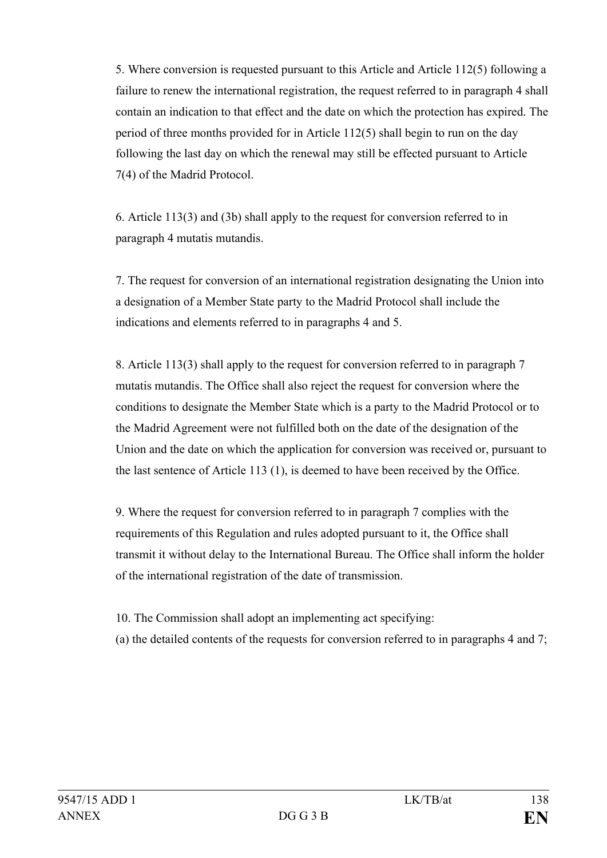5. Where conversion is requested pursuant to this Article and Article 112(5) following a failure to renew the international registration, the request referred to in paragraph 4 shall contain an indication to that effect and the date on which the protection has expired. The period of three months provided for in Article 112(5) shall begin to run on the day following the last day on which the renewal may still be effected pursuant to Article 7(4) of the Madrid Protocol.

6. Article 113(3) and (3b) shall apply to the request for conversion referred to in paragraph 4 mutatis mutandis.

7. The request for conversion of an international registration designating the Union into a designation of a Member State party to the Madrid Protocol shall include the indications and elements referred to in paragraphs 4 and 5.

8. Article 113(3) shall apply to the request for conversion referred to in paragraph 7 mutatis mutandis. The Office shall also reject the request for conversion where the conditions to designate the Member State which is a party to the Madrid Protocol or to the Madrid Agreement were not fulfilled both on the date of the designation of the Union and the date on which the application for conversion was received or, pursuant to the last sentence of Article 113 (1), is deemed to have been received by the Office.

9. Where the request for conversion referred to in paragraph 7 complies with the requirements of this Regulation and rules adopted pursuant to it, the Office shall transmit it without delay to the International Bureau. The Office shall inform the holder of the international registration of the date of transmission.

10. The Commission shall adopt an implementing act specifying:

(a) the detailed contents of the requests for conversion referred to in paragraphs 4 and 7;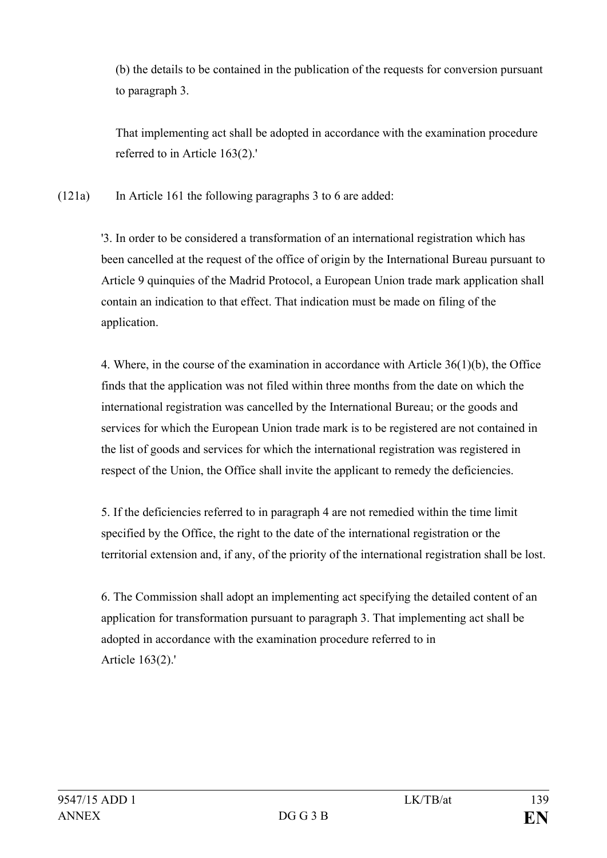(b) the details to be contained in the publication of the requests for conversion pursuant to paragraph 3.

That implementing act shall be adopted in accordance with the examination procedure referred to in Article 163(2).'

(121a) In Article 161 the following paragraphs 3 to 6 are added:

'3. In order to be considered a transformation of an international registration which has been cancelled at the request of the office of origin by the International Bureau pursuant to Article 9 quinquies of the Madrid Protocol, a European Union trade mark application shall contain an indication to that effect. That indication must be made on filing of the application.

4. Where, in the course of the examination in accordance with Article 36(1)(b), the Office finds that the application was not filed within three months from the date on which the international registration was cancelled by the International Bureau; or the goods and services for which the European Union trade mark is to be registered are not contained in the list of goods and services for which the international registration was registered in respect of the Union, the Office shall invite the applicant to remedy the deficiencies.

5. If the deficiencies referred to in paragraph 4 are not remedied within the time limit specified by the Office, the right to the date of the international registration or the territorial extension and, if any, of the priority of the international registration shall be lost.

6. The Commission shall adopt an implementing act specifying the detailed content of an application for transformation pursuant to paragraph 3. That implementing act shall be adopted in accordance with the examination procedure referred to in Article 163(2).'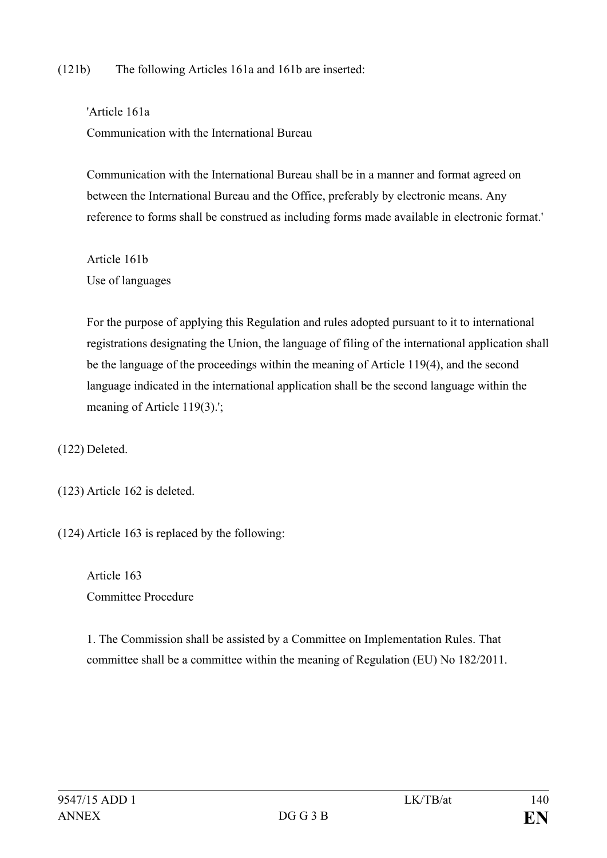### (121b) The following Articles 161a and 161b are inserted:

'Article 161a Communication with the International Bureau

Communication with the International Bureau shall be in a manner and format agreed on between the International Bureau and the Office, preferably by electronic means. Any reference to forms shall be construed as including forms made available in electronic format.'

Article 161b Use of languages

For the purpose of applying this Regulation and rules adopted pursuant to it to international registrations designating the Union, the language of filing of the international application shall be the language of the proceedings within the meaning of Article 119(4), and the second language indicated in the international application shall be the second language within the meaning of Article 119(3).';

(122) Deleted.

(123) Article 162 is deleted.

(124) Article 163 is replaced by the following:

Article 163 Committee Procedure

1. The Commission shall be assisted by a Committee on Implementation Rules. That committee shall be a committee within the meaning of Regulation (EU) No 182/2011.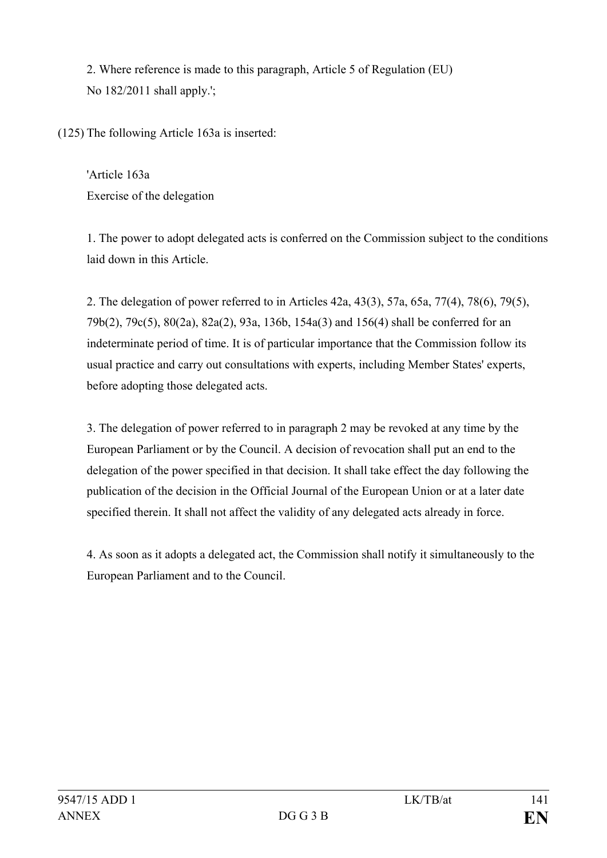2. Where reference is made to this paragraph, Article 5 of Regulation (EU) No 182/2011 shall apply.';

(125) The following Article 163a is inserted:

'Article 163a Exercise of the delegation

1. The power to adopt delegated acts is conferred on the Commission subject to the conditions laid down in this Article.

2. The delegation of power referred to in Articles 42a, 43(3), 57a, 65a, 77(4), 78(6), 79(5), 79b(2), 79c(5), 80(2a), 82a(2), 93a, 136b, 154a(3) and 156(4) shall be conferred for an indeterminate period of time. It is of particular importance that the Commission follow its usual practice and carry out consultations with experts, including Member States' experts, before adopting those delegated acts.

3. The delegation of power referred to in paragraph 2 may be revoked at any time by the European Parliament or by the Council. A decision of revocation shall put an end to the delegation of the power specified in that decision. It shall take effect the day following the publication of the decision in the Official Journal of the European Union or at a later date specified therein. It shall not affect the validity of any delegated acts already in force.

4. As soon as it adopts a delegated act, the Commission shall notify it simultaneously to the European Parliament and to the Council.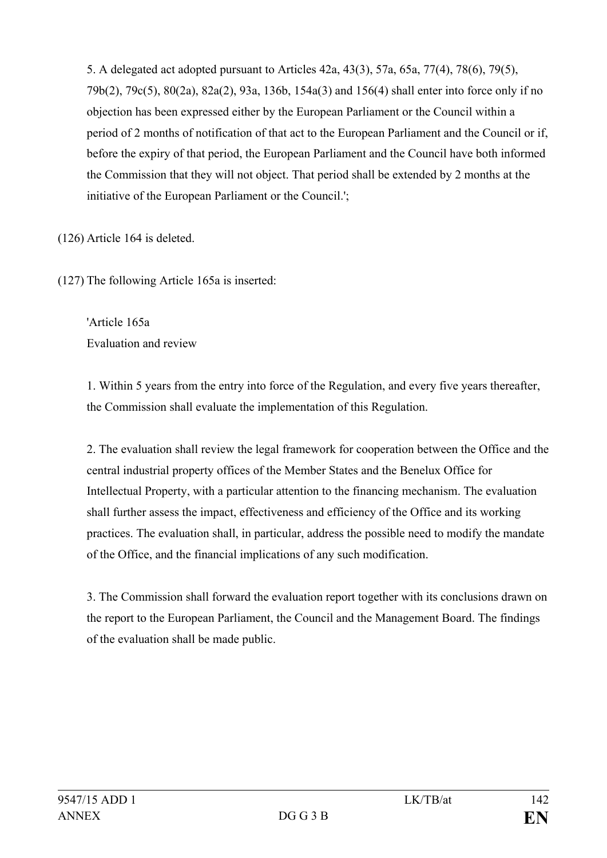5. A delegated act adopted pursuant to Articles 42a, 43(3), 57a, 65a, 77(4), 78(6), 79(5), 79b(2), 79c(5), 80(2a), 82a(2), 93a, 136b, 154a(3) and 156(4) shall enter into force only if no objection has been expressed either by the European Parliament or the Council within a period of 2 months of notification of that act to the European Parliament and the Council or if, before the expiry of that period, the European Parliament and the Council have both informed the Commission that they will not object. That period shall be extended by 2 months at the initiative of the European Parliament or the Council.';

(126) Article 164 is deleted.

(127) The following Article 165a is inserted:

'Article 165a Evaluation and review

1. Within 5 years from the entry into force of the Regulation, and every five years thereafter, the Commission shall evaluate the implementation of this Regulation.

2. The evaluation shall review the legal framework for cooperation between the Office and the central industrial property offices of the Member States and the Benelux Office for Intellectual Property, with a particular attention to the financing mechanism. The evaluation shall further assess the impact, effectiveness and efficiency of the Office and its working practices. The evaluation shall, in particular, address the possible need to modify the mandate of the Office, and the financial implications of any such modification.

3. The Commission shall forward the evaluation report together with its conclusions drawn on the report to the European Parliament, the Council and the Management Board. The findings of the evaluation shall be made public.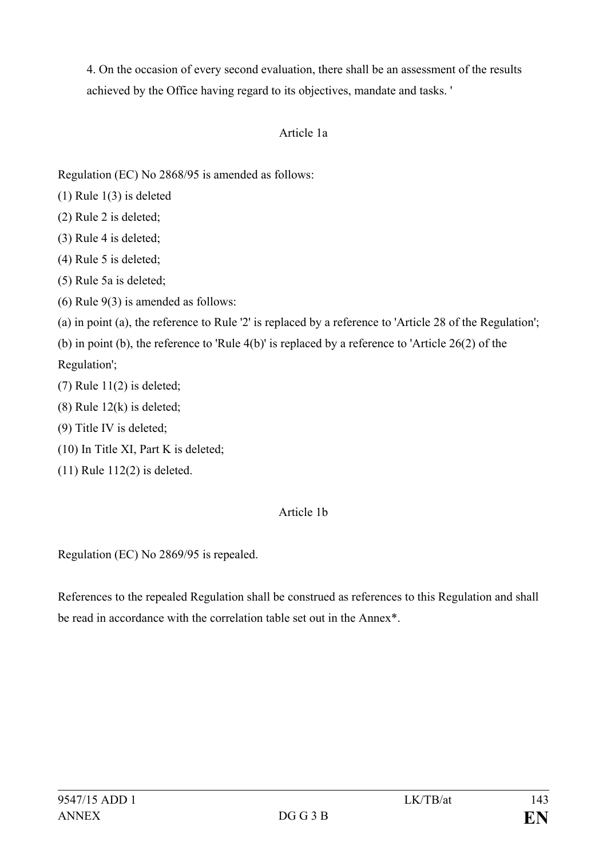4. On the occasion of every second evaluation, there shall be an assessment of the results achieved by the Office having regard to its objectives, mandate and tasks. '

# Article 1a

Regulation (EC) No 2868/95 is amended as follows:

- (1) Rule 1(3) is deleted
- (2) Rule 2 is deleted;
- (3) Rule 4 is deleted;
- (4) Rule 5 is deleted;
- (5) Rule 5a is deleted;
- (6) Rule 9(3) is amended as follows:
- (a) in point (a), the reference to Rule '2' is replaced by a reference to 'Article 28 of the Regulation';

(b) in point (b), the reference to 'Rule 4(b)' is replaced by a reference to 'Article 26(2) of the Regulation';

- $(7)$  Rule 11 $(2)$  is deleted;
- (8) Rule 12(k) is deleted;
- (9) Title IV is deleted;
- (10) In Title XI, Part K is deleted;
- (11) Rule 112(2) is deleted.

# Article 1b

Regulation (EC) No 2869/95 is repealed.

References to the repealed Regulation shall be construed as references to this Regulation and shall be read in accordance with the correlation table set out in the Annex\*.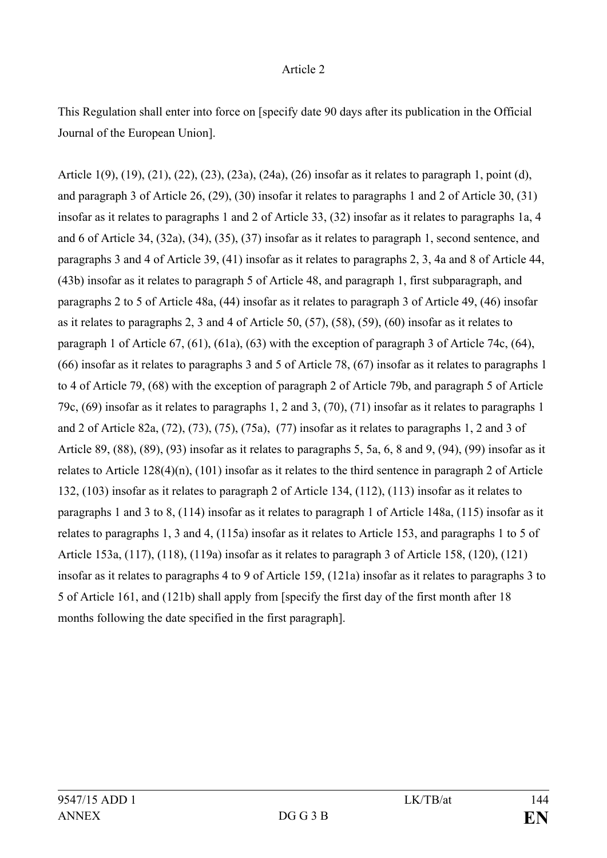#### Article 2

This Regulation shall enter into force on [specify date 90 days after its publication in the Official Journal of the European Union].

Article 1(9), (19), (21), (22), (23), (23a), (24a), (26) insofar as it relates to paragraph 1, point (d), and paragraph 3 of Article 26, (29), (30) insofar it relates to paragraphs 1 and 2 of Article 30, (31) insofar as it relates to paragraphs 1 and 2 of Article 33, (32) insofar as it relates to paragraphs 1a, 4 and 6 of Article 34, (32a), (34), (35), (37) insofar as it relates to paragraph 1, second sentence, and paragraphs 3 and 4 of Article 39, (41) insofar as it relates to paragraphs 2, 3, 4a and 8 of Article 44, (43b) insofar as it relates to paragraph 5 of Article 48, and paragraph 1, first subparagraph, and paragraphs 2 to 5 of Article 48a, (44) insofar as it relates to paragraph 3 of Article 49, (46) insofar as it relates to paragraphs 2, 3 and 4 of Article 50, (57), (58), (59), (60) insofar as it relates to paragraph 1 of Article 67, (61), (61a), (63) with the exception of paragraph 3 of Article 74c, (64), (66) insofar as it relates to paragraphs 3 and 5 of Article 78, (67) insofar as it relates to paragraphs 1 to 4 of Article 79, (68) with the exception of paragraph 2 of Article 79b, and paragraph 5 of Article 79c, (69) insofar as it relates to paragraphs 1, 2 and 3, (70), (71) insofar as it relates to paragraphs 1 and 2 of Article 82a, (72), (73), (75), (75a), (77) insofar as it relates to paragraphs 1, 2 and 3 of Article 89, (88), (89), (93) insofar as it relates to paragraphs 5, 5a, 6, 8 and 9, (94), (99) insofar as it relates to Article 128(4)(n), (101) insofar as it relates to the third sentence in paragraph 2 of Article 132, (103) insofar as it relates to paragraph 2 of Article 134, (112), (113) insofar as it relates to paragraphs 1 and 3 to 8, (114) insofar as it relates to paragraph 1 of Article 148a, (115) insofar as it relates to paragraphs 1, 3 and 4, (115a) insofar as it relates to Article 153, and paragraphs 1 to 5 of Article 153a, (117), (118), (119a) insofar as it relates to paragraph 3 of Article 158, (120), (121) insofar as it relates to paragraphs 4 to 9 of Article 159, (121a) insofar as it relates to paragraphs 3 to 5 of Article 161, and (121b) shall apply from [specify the first day of the first month after 18 months following the date specified in the first paragraph].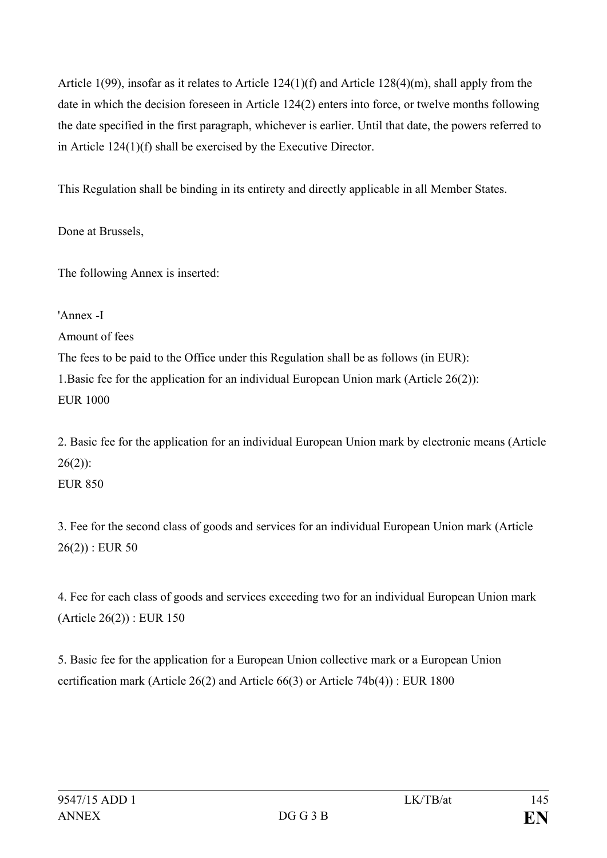Article 1(99), insofar as it relates to Article 124(1)(f) and Article 128(4)(m), shall apply from the date in which the decision foreseen in Article 124(2) enters into force, or twelve months following the date specified in the first paragraph, whichever is earlier. Until that date, the powers referred to in Article 124(1)(f) shall be exercised by the Executive Director.

This Regulation shall be binding in its entirety and directly applicable in all Member States.

Done at Brussels,

The following Annex is inserted:

'Annex -I Amount of fees The fees to be paid to the Office under this Regulation shall be as follows (in EUR): 1.Basic fee for the application for an individual European Union mark (Article 26(2)): EUR 1000

2. Basic fee for the application for an individual European Union mark by electronic means (Article  $26(2)$ :

EUR 850

3. Fee for the second class of goods and services for an individual European Union mark (Article  $26(2)$ : EUR 50

4. Fee for each class of goods and services exceeding two for an individual European Union mark (Article 26(2)) : EUR 150

5. Basic fee for the application for a European Union collective mark or a European Union certification mark (Article 26(2) and Article 66(3) or Article 74b(4)) : EUR 1800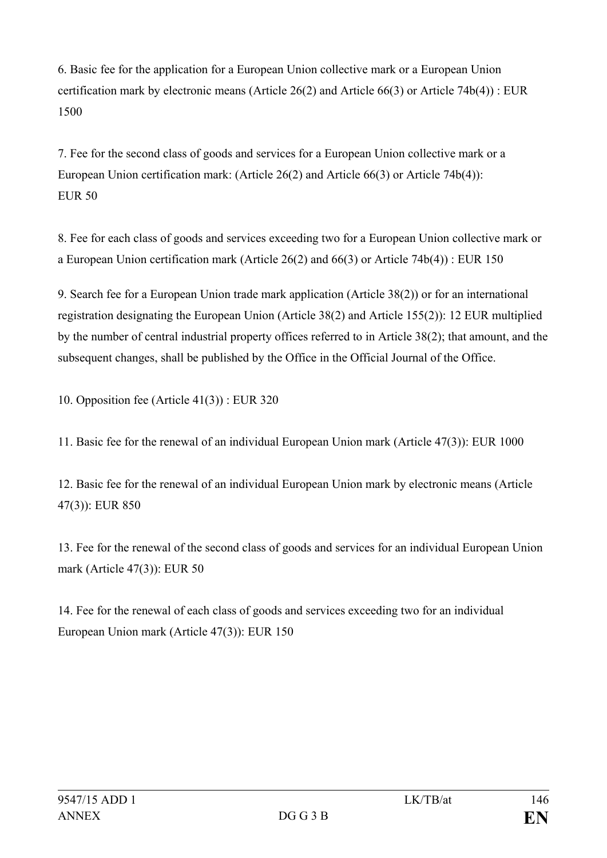6. Basic fee for the application for a European Union collective mark or a European Union certification mark by electronic means (Article 26(2) and Article 66(3) or Article 74b(4)) : EUR 1500

7. Fee for the second class of goods and services for a European Union collective mark or a European Union certification mark: (Article 26(2) and Article 66(3) or Article 74b(4)): EUR 50

8. Fee for each class of goods and services exceeding two for a European Union collective mark or a European Union certification mark (Article 26(2) and 66(3) or Article 74b(4)) : EUR 150

9. Search fee for a European Union trade mark application (Article 38(2)) or for an international registration designating the European Union (Article 38(2) and Article 155(2)): 12 EUR multiplied by the number of central industrial property offices referred to in Article 38(2); that amount, and the subsequent changes, shall be published by the Office in the Official Journal of the Office.

10. Opposition fee (Article 41(3)) : EUR 320

11. Basic fee for the renewal of an individual European Union mark (Article 47(3)): EUR 1000

12. Basic fee for the renewal of an individual European Union mark by electronic means (Article 47(3)): EUR 850

13. Fee for the renewal of the second class of goods and services for an individual European Union mark (Article 47(3)): EUR 50

14. Fee for the renewal of each class of goods and services exceeding two for an individual European Union mark (Article 47(3)): EUR 150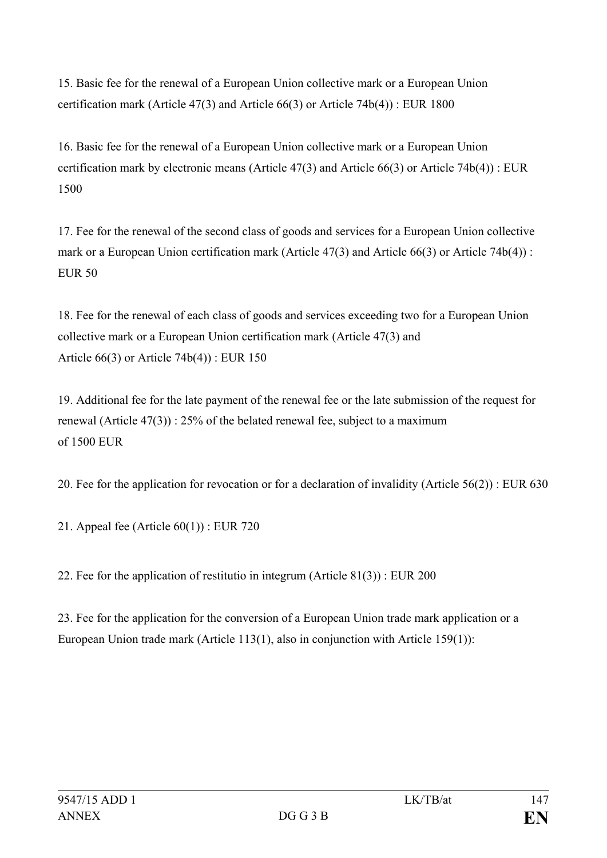15. Basic fee for the renewal of a European Union collective mark or a European Union certification mark (Article 47(3) and Article 66(3) or Article 74b(4)) : EUR 1800

16. Basic fee for the renewal of a European Union collective mark or a European Union certification mark by electronic means (Article 47(3) and Article 66(3) or Article 74b(4)) : EUR 1500

17. Fee for the renewal of the second class of goods and services for a European Union collective mark or a European Union certification mark (Article 47(3) and Article 66(3) or Article 74b(4)) : EUR 50

18. Fee for the renewal of each class of goods and services exceeding two for a European Union collective mark or a European Union certification mark (Article 47(3) and Article 66(3) or Article 74b(4)) : EUR 150

19. Additional fee for the late payment of the renewal fee or the late submission of the request for renewal (Article 47(3)) : 25% of the belated renewal fee, subject to a maximum of 1500 EUR

20. Fee for the application for revocation or for a declaration of invalidity (Article 56(2)) : EUR 630

21. Appeal fee (Article 60(1)) : EUR 720

22. Fee for the application of restitutio in integrum (Article 81(3)) : EUR 200

23. Fee for the application for the conversion of a European Union trade mark application or a European Union trade mark (Article 113(1), also in conjunction with Article 159(1)):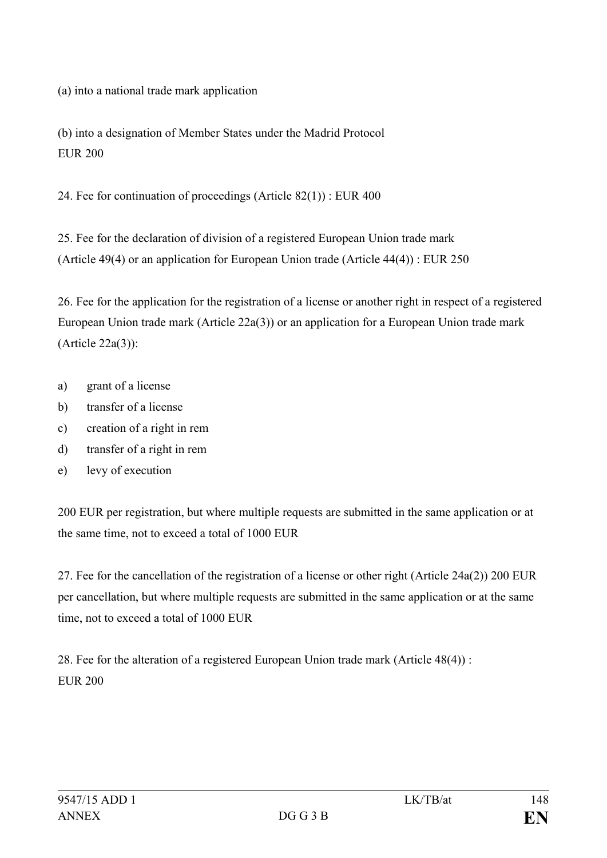(a) into a national trade mark application

(b) into a designation of Member States under the Madrid Protocol EUR 200

24. Fee for continuation of proceedings (Article 82(1)) : EUR 400

25. Fee for the declaration of division of a registered European Union trade mark (Article 49(4) or an application for European Union trade (Article 44(4)) : EUR 250

26. Fee for the application for the registration of a license or another right in respect of a registered European Union trade mark (Article 22a(3)) or an application for a European Union trade mark (Article 22a(3)):

- a) grant of a license
- b) transfer of a license
- c) creation of a right in rem
- d) transfer of a right in rem
- e) levy of execution

200 EUR per registration, but where multiple requests are submitted in the same application or at the same time, not to exceed a total of 1000 EUR

27. Fee for the cancellation of the registration of a license or other right (Article 24a(2)) 200 EUR per cancellation, but where multiple requests are submitted in the same application or at the same time, not to exceed a total of 1000 EUR

28. Fee for the alteration of a registered European Union trade mark (Article 48(4)) : EUR 200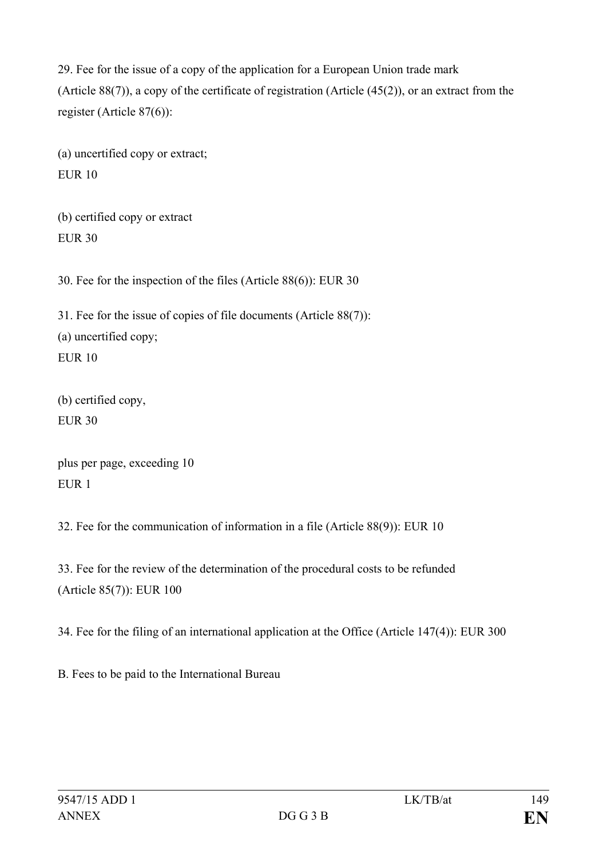29. Fee for the issue of a copy of the application for a European Union trade mark (Article 88(7)), a copy of the certificate of registration (Article (45(2)), or an extract from the register (Article 87(6)):

(a) uncertified copy or extract;  $E$ UR 10

(b) certified copy or extract EUR 30

30. Fee for the inspection of the files (Article 88(6)): EUR 30

31. Fee for the issue of copies of file documents (Article 88(7)): (a) uncertified copy; EUR 10

(b) certified copy, EUR  $30$ 

plus per page, exceeding 10 EUR 1

32. Fee for the communication of information in a file (Article 88(9)): EUR 10

33. Fee for the review of the determination of the procedural costs to be refunded (Article 85(7)): EUR 100

34. Fee for the filing of an international application at the Office (Article 147(4)): EUR 300

B. Fees to be paid to the International Bureau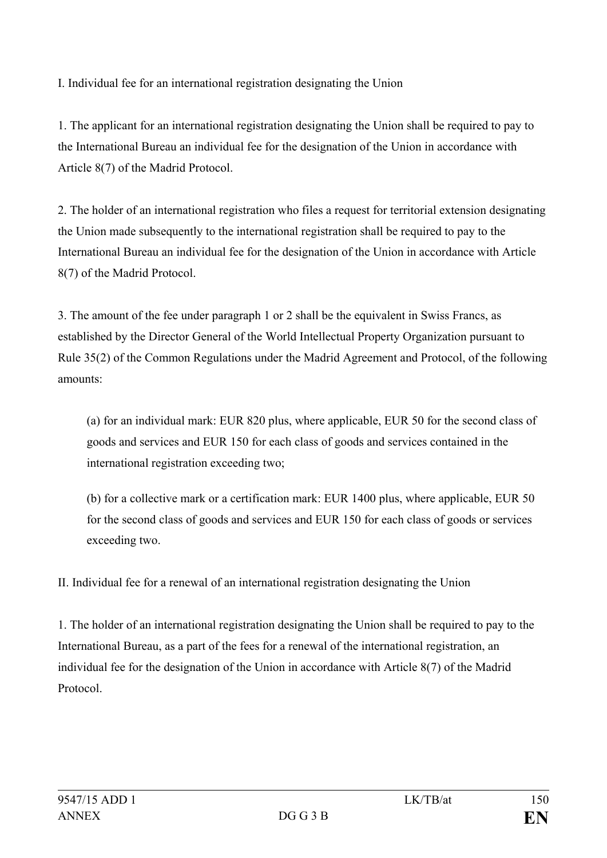I. Individual fee for an international registration designating the Union

1. The applicant for an international registration designating the Union shall be required to pay to the International Bureau an individual fee for the designation of the Union in accordance with Article 8(7) of the Madrid Protocol.

2. The holder of an international registration who files a request for territorial extension designating the Union made subsequently to the international registration shall be required to pay to the International Bureau an individual fee for the designation of the Union in accordance with Article 8(7) of the Madrid Protocol.

3. The amount of the fee under paragraph 1 or 2 shall be the equivalent in Swiss Francs, as established by the Director General of the World Intellectual Property Organization pursuant to Rule 35(2) of the Common Regulations under the Madrid Agreement and Protocol, of the following amounts:

(a) for an individual mark: EUR 820 plus, where applicable, EUR 50 for the second class of goods and services and EUR 150 for each class of goods and services contained in the international registration exceeding two;

(b) for a collective mark or a certification mark: EUR 1400 plus, where applicable, EUR 50 for the second class of goods and services and EUR 150 for each class of goods or services exceeding two.

II. Individual fee for a renewal of an international registration designating the Union

1. The holder of an international registration designating the Union shall be required to pay to the International Bureau, as a part of the fees for a renewal of the international registration, an individual fee for the designation of the Union in accordance with Article 8(7) of the Madrid Protocol.